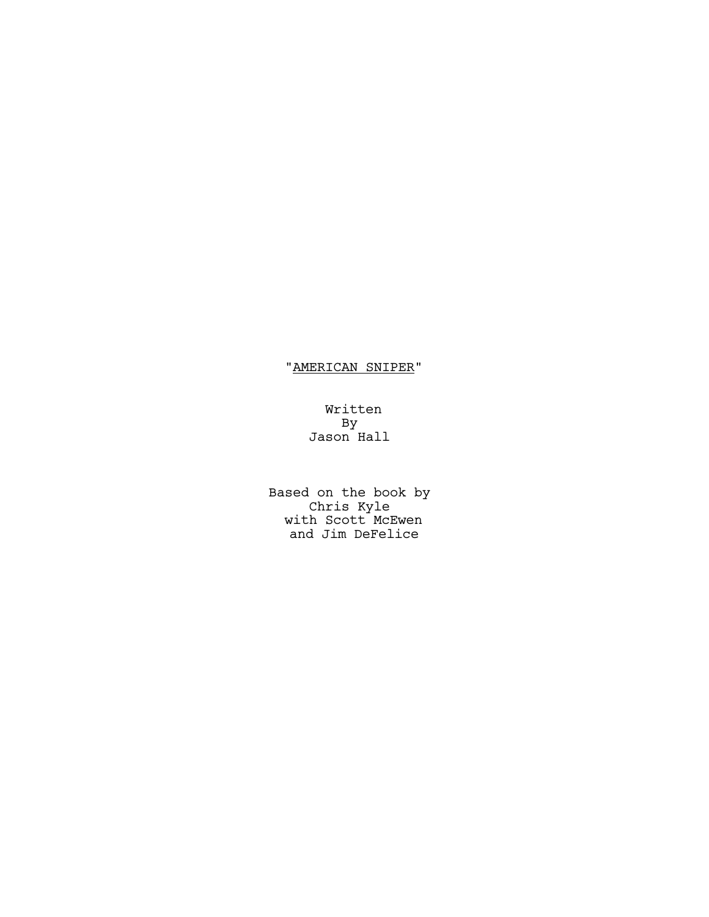# "AMERICAN SNIPER"

Written By Jason Hall

Based on the book by Chris Kyle with Scott McEwen and Jim DeFelice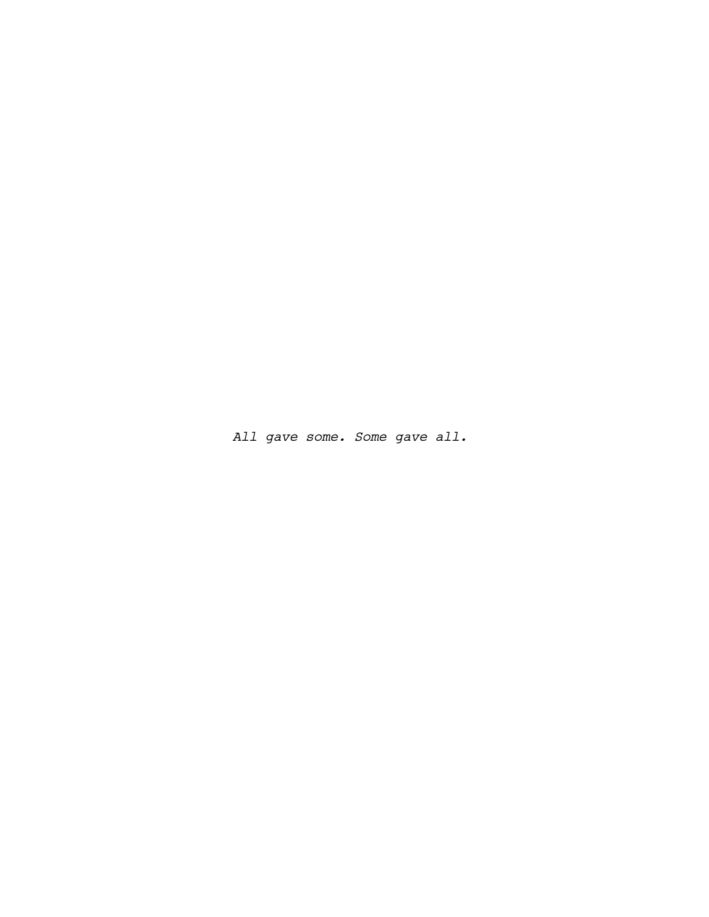*All gave some. Some gave all.*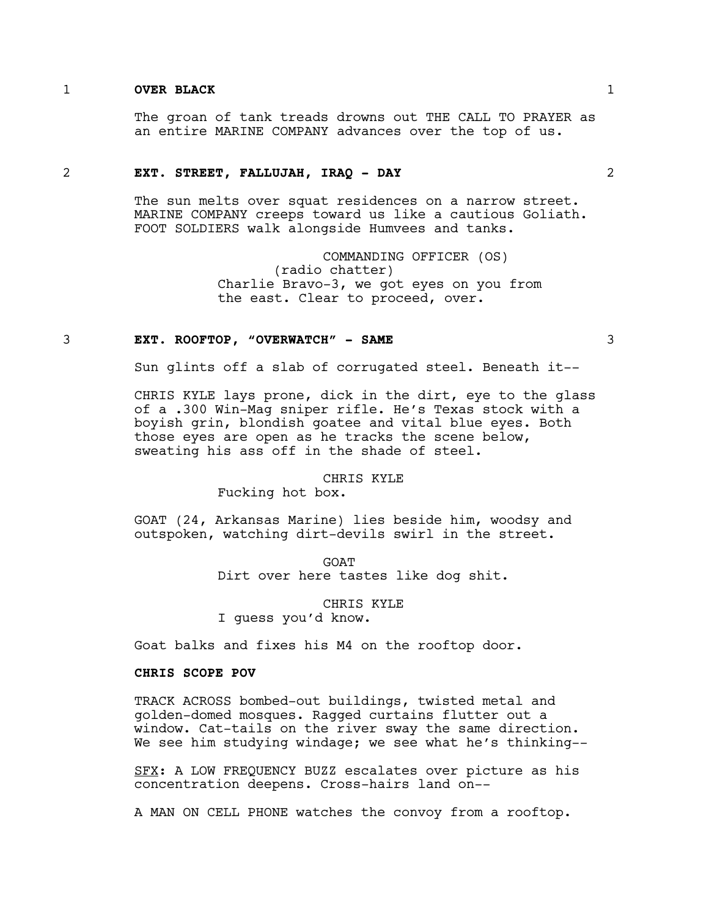### 1 **OVER BLACK** 1

The groan of tank treads drowns out THE CALL TO PRAYER as an entire MARINE COMPANY advances over the top of us.

## 2 **EXT. STREET, FALLUJAH, IRAQ - DAY** 2

The sun melts over squat residences on a narrow street. MARINE COMPANY creeps toward us like a cautious Goliath. FOOT SOLDIERS walk alongside Humvees and tanks.

> COMMANDING OFFICER (OS) (radio chatter) Charlie Bravo-3, we got eyes on you from the east. Clear to proceed, over.

#### 3 **EXT. ROOFTOP, "OVERWATCH" - SAME** 3

Sun glints off a slab of corrugated steel. Beneath it--

CHRIS KYLE lays prone, dick in the dirt, eye to the glass of a .300 Win-Mag sniper rifle. He's Texas stock with a boyish grin, blondish goatee and vital blue eyes. Both those eyes are open as he tracks the scene below, sweating his ass off in the shade of steel.

#### CHRIS KYLE

Fucking hot box.

GOAT (24, Arkansas Marine) lies beside him, woodsy and outspoken, watching dirt-devils swirl in the street.

> GOAT Dirt over here tastes like dog shit.

> > CHRIS KYLE

I guess you'd know.

Goat balks and fixes his M4 on the rooftop door.

### **CHRIS SCOPE POV**

TRACK ACROSS bombed-out buildings, twisted metal and golden-domed mosques. Ragged curtains flutter out a window. Cat-tails on the river sway the same direction. We see him studying windage; we see what he's thinking--

SFX: A LOW FREQUENCY BUZZ escalates over picture as his concentration deepens. Cross-hairs land on--

A MAN ON CELL PHONE watches the convoy from a rooftop.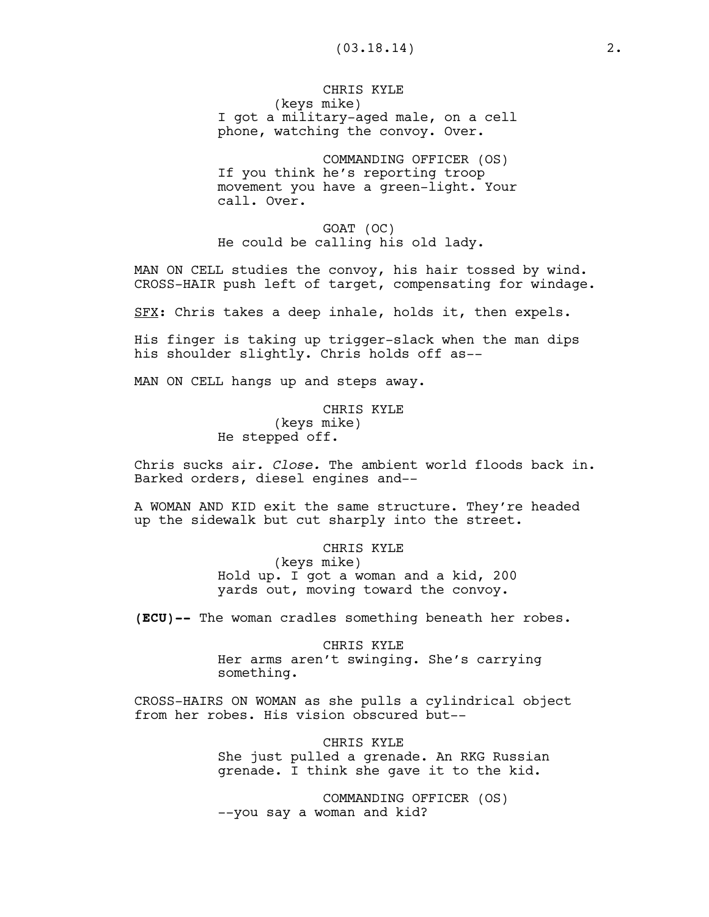# CHRIS KYLE (keys mike) I got a military-aged male, on a cell phone, watching the convoy. Over.

COMMANDING OFFICER (OS) If you think he's reporting troop movement you have a green-light. Your call. Over.

GOAT (OC) He could be calling his old lady.

MAN ON CELL studies the convoy, his hair tossed by wind. CROSS-HAIR push left of target, compensating for windage.

SFX: Chris takes a deep inhale, holds it, then expels.

His finger is taking up trigger-slack when the man dips his shoulder slightly. Chris holds off as--

MAN ON CELL hangs up and steps away.

CHRIS KYLE (keys mike) He stepped off.

Chris sucks air*. Close.* The ambient world floods back in. Barked orders, diesel engines and--

A WOMAN AND KID exit the same structure. They're headed up the sidewalk but cut sharply into the street.

> CHRIS KYLE (keys mike) Hold up. I got a woman and a kid, 200 yards out, moving toward the convoy.

**(ECU)--** The woman cradles something beneath her robes.

CHRIS KYLE Her arms aren't swinging. She's carrying something.

CROSS-HAIRS ON WOMAN as she pulls a cylindrical object from her robes. His vision obscured but--

> CHRIS KYLE She just pulled a grenade. An RKG Russian grenade. I think she gave it to the kid.

COMMANDING OFFICER (OS) --you say a woman and kid?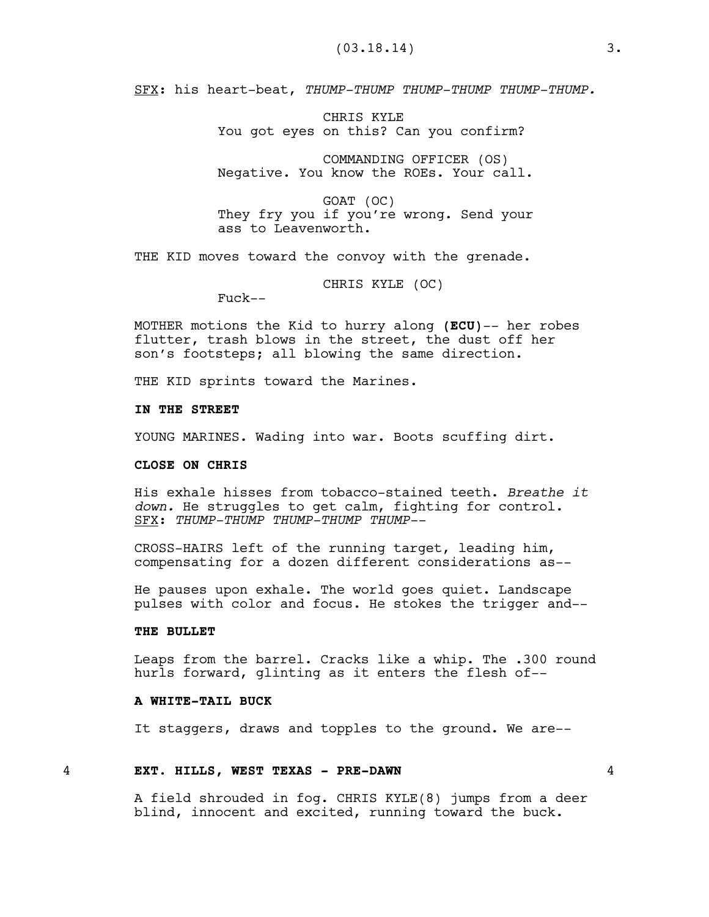SFX: his heart-beat, *THUMP-THUMP THUMP-THUMP THUMP-THUMP.*

CHRIS KYLE You got eyes on this? Can you confirm?

COMMANDING OFFICER (OS) Negative. You know the ROEs. Your call.

GOAT (OC) They fry you if you're wrong. Send your ass to Leavenworth.

THE KID moves toward the convoy with the grenade.

CHRIS KYLE (OC)

Fuck--

MOTHER motions the Kid to hurry along **(ECU)**-- her robes flutter, trash blows in the street, the dust off her son's footsteps; all blowing the same direction.

THE KID sprints toward the Marines.

### **IN THE STREET**

YOUNG MARINES. Wading into war. Boots scuffing dirt.

### **CLOSE ON CHRIS**

His exhale hisses from tobacco-stained teeth. *Breathe it down.* He struggles to get calm, fighting for control. SFX: *THUMP-THUMP THUMP-THUMP THUMP--*

CROSS-HAIRS left of the running target, leading him, compensating for a dozen different considerations as--

He pauses upon exhale. The world goes quiet. Landscape pulses with color and focus. He stokes the trigger and--

### **THE BULLET**

Leaps from the barrel. Cracks like a whip. The .300 round hurls forward, glinting as it enters the flesh of--

# **A WHITE-TAIL BUCK**

It staggers, draws and topples to the ground. We are--

### 4 **EXT. HILLS, WEST TEXAS - PRE-DAWN** 4

A field shrouded in fog. CHRIS KYLE(8) jumps from a deer blind, innocent and excited, running toward the buck.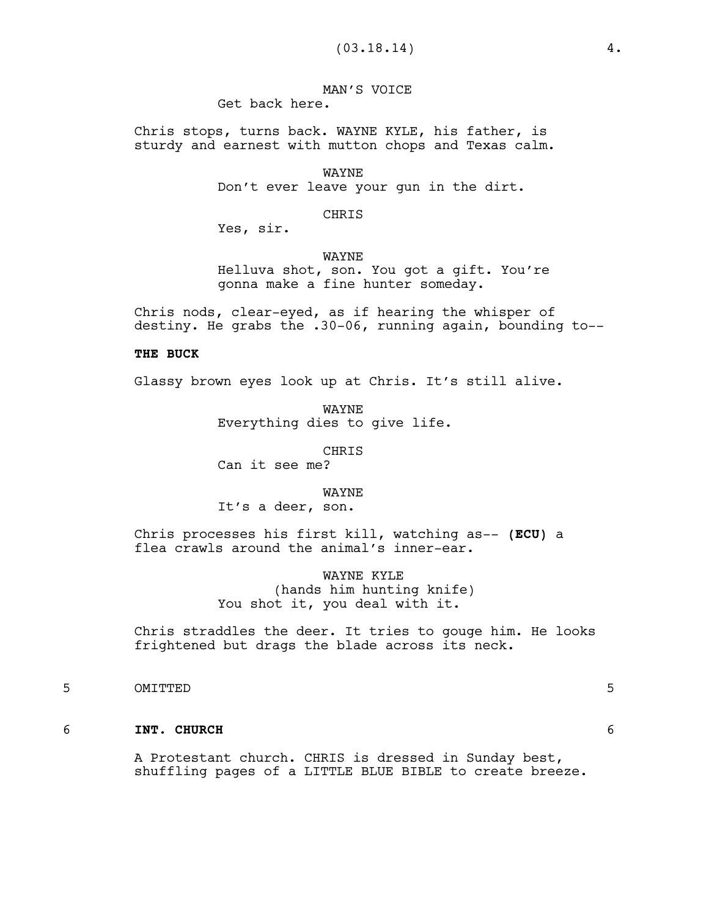MAN'S VOICE Get back here.

Chris stops, turns back. WAYNE KYLE, his father, is sturdy and earnest with mutton chops and Texas calm.

> WAYNE Don't ever leave your gun in the dirt.

> > CHRIS

Yes, sir.

WAYNE

Helluva shot, son. You got a gift. You're gonna make a fine hunter someday.

Chris nods, clear-eyed, as if hearing the whisper of destiny. He grabs the .30-06, running again, bounding to--

## **THE BUCK**

Glassy brown eyes look up at Chris. It's still alive.

WAYNE Everything dies to give life.

CHRIS

Can it see me?

WAYNE

It's a deer, son.

Chris processes his first kill, watching as-- **(ECU)** a flea crawls around the animal's inner-ear.

> WAYNE KYLE (hands him hunting knife) You shot it, you deal with it.

Chris straddles the deer. It tries to gouge him. He looks frightened but drags the blade across its neck.

5 OMITTED 5

#### 6 **INT. CHURCH** 6

A Protestant church. CHRIS is dressed in Sunday best, shuffling pages of a LITTLE BLUE BIBLE to create breeze.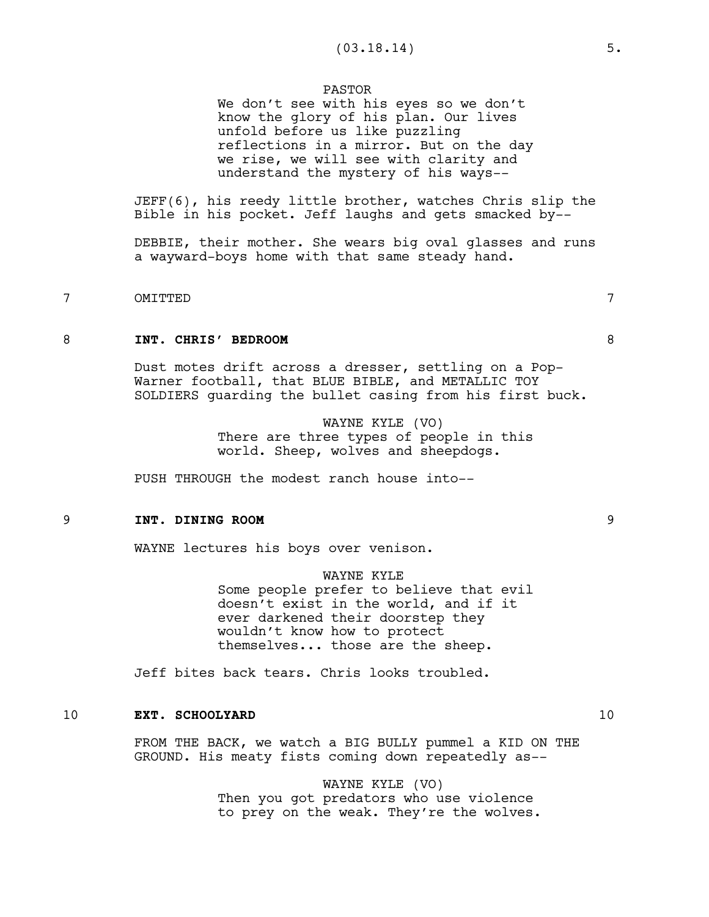### PASTOR

We don't see with his eyes so we don't know the glory of his plan. Our lives unfold before us like puzzling reflections in a mirror. But on the day we rise, we will see with clarity and understand the mystery of his ways--

JEFF(6), his reedy little brother, watches Chris slip the Bible in his pocket. Jeff laughs and gets smacked by--

DEBBIE, their mother. She wears big oval glasses and runs a wayward-boys home with that same steady hand.

# 7 OMITTED 7

### 8 **INT. CHRIS' BEDROOM** 8

Dust motes drift across a dresser, settling on a Pop-Warner football, that BLUE BIBLE, and METALLIC TOY SOLDIERS guarding the bullet casing from his first buck.

> WAYNE KYLE (VO) There are three types of people in this world. Sheep, wolves and sheepdogs.

PUSH THROUGH the modest ranch house into--

### 9 **INT. DINING ROOM** 9

WAYNE lectures his boys over venison.

WAYNE KYLE Some people prefer to believe that evil doesn't exist in the world, and if it ever darkened their doorstep they wouldn't know how to protect themselves... those are the sheep.

Jeff bites back tears. Chris looks troubled.

## 10 **EXT. SCHOOLYARD** 10

FROM THE BACK, we watch a BIG BULLY pummel a KID ON THE GROUND. His meaty fists coming down repeatedly as--

> WAYNE KYLE (VO) Then you got predators who use violence to prey on the weak. They're the wolves.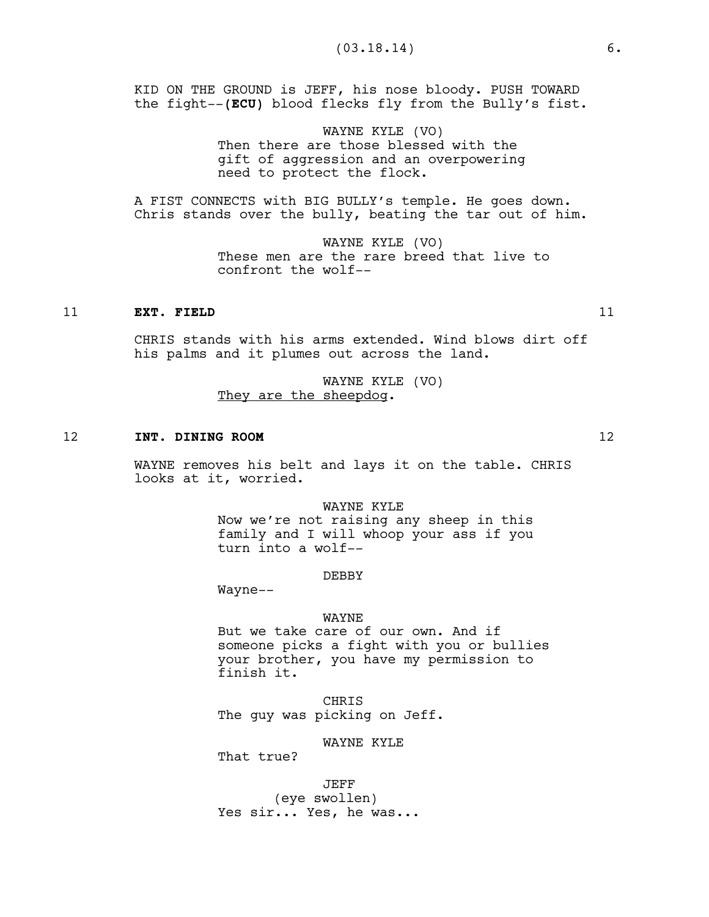KID ON THE GROUND is JEFF, his nose bloody. PUSH TOWARD the fight--**(ECU)** blood flecks fly from the Bully's fist.

> WAYNE KYLE (VO) Then there are those blessed with the gift of aggression and an overpowering need to protect the flock.

A FIST CONNECTS with BIG BULLY's temple. He goes down. Chris stands over the bully, beating the tar out of him.

> WAYNE KYLE (VO) These men are the rare breed that live to confront the wolf--

## 11 **EXT. FIELD** 11

CHRIS stands with his arms extended. Wind blows dirt off his palms and it plumes out across the land.

> WAYNE KYLE (VO) They are the sheepdog.

### 12 **INT. DINING ROOM** 12

WAYNE removes his belt and lays it on the table. CHRIS looks at it, worried.

> WAYNE KYLE Now we're not raising any sheep in this family and I will whoop your ass if you turn into a wolf--

> > **DEBBY**

Wayne--

### WAYNE

But we take care of our own. And if someone picks a fight with you or bullies your brother, you have my permission to finish it.

**CHRIS** The guy was picking on Jeff.

#### WAYNE KYLE

That true?

JEFF (eye swollen) Yes sir... Yes, he was...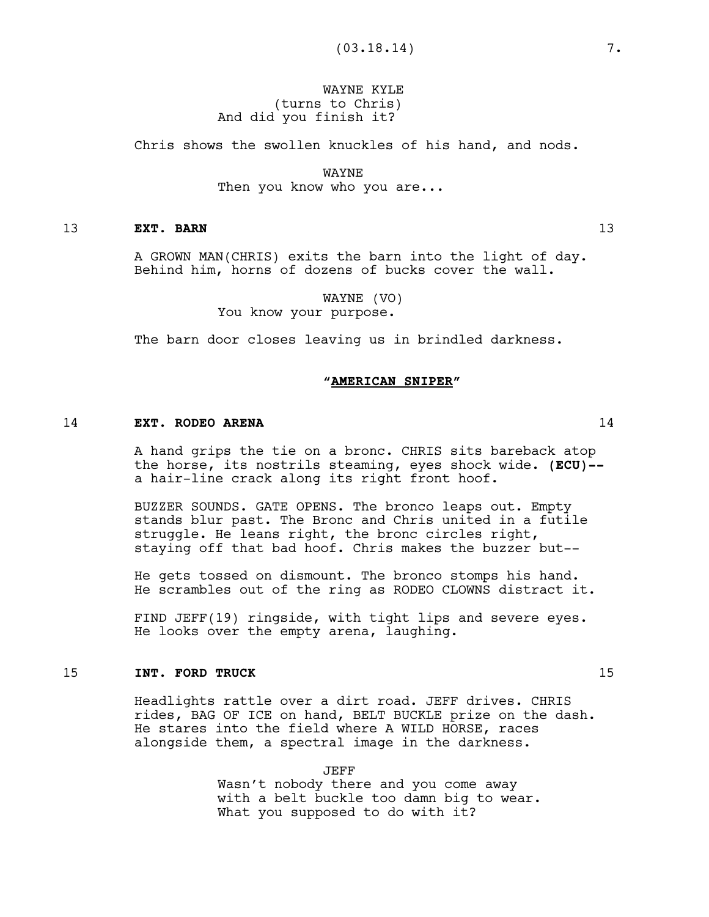# WAYNE KYLE (turns to Chris) And did you finish it?

Chris shows the swollen knuckles of his hand, and nods.

WAYNE Then you know who you are...

### 13 **EXT. BARN** 13

A GROWN MAN(CHRIS) exits the barn into the light of day. Behind him, horns of dozens of bucks cover the wall.

> WAYNE (VO) You know your purpose.

The barn door closes leaving us in brindled darkness.

## **"AMERICAN SNIPER"**

## 14 **EXT. RODEO ARENA** 14

A hand grips the tie on a bronc. CHRIS sits bareback atop the horse, its nostrils steaming, eyes shock wide. **(ECU)-** a hair-line crack along its right front hoof.

BUZZER SOUNDS. GATE OPENS. The bronco leaps out. Empty stands blur past. The Bronc and Chris united in a futile struggle. He leans right, the bronc circles right, staying off that bad hoof. Chris makes the buzzer but--

He gets tossed on dismount. The bronco stomps his hand. He scrambles out of the ring as RODEO CLOWNS distract it.

FIND JEFF(19) ringside, with tight lips and severe eyes. He looks over the empty arena, laughing.

### 15 **INT. FORD TRUCK** 15

Headlights rattle over a dirt road. JEFF drives. CHRIS rides, BAG OF ICE on hand, BELT BUCKLE prize on the dash. He stares into the field where A WILD HORSE, races alongside them, a spectral image in the darkness.

> JEFF Wasn't nobody there and you come away with a belt buckle too damn big to wear. What you supposed to do with it?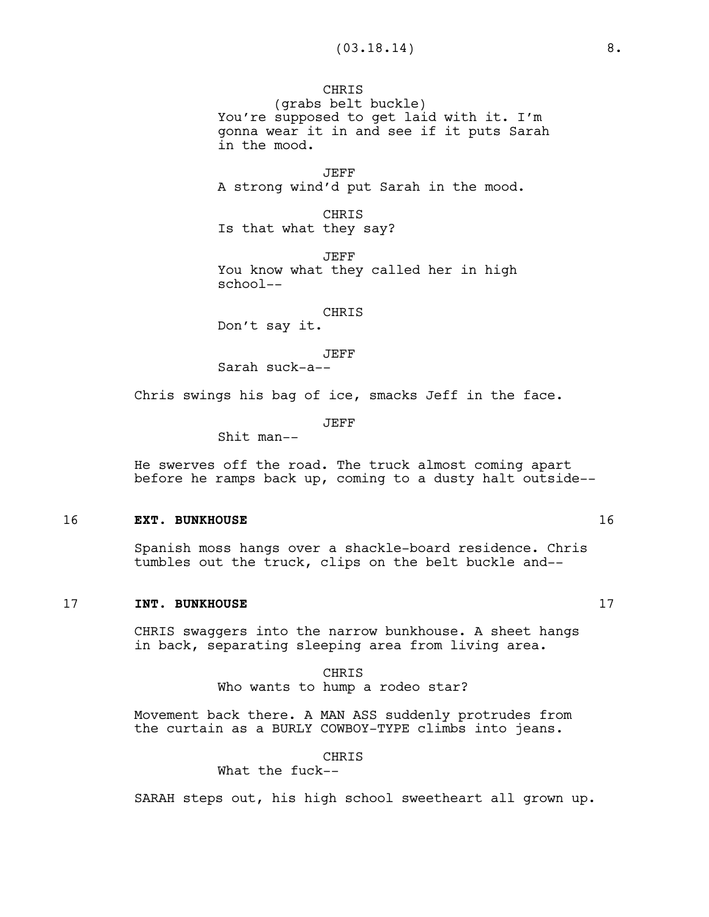CHRIS (grabs belt buckle) You're supposed to get laid with it. I'm gonna wear it in and see if it puts Sarah in the mood.

JEFF A strong wind'd put Sarah in the mood.

CHRIS Is that what they say?

JEFF You know what they called her in high school--

#### CHRIS

Don't say it.

#### JEFF

Sarah suck-a--

Chris swings his bag of ice, smacks Jeff in the face.

JEFF

Shit man--

He swerves off the road. The truck almost coming apart before he ramps back up, coming to a dusty halt outside--

### 16 **EXT. BUNKHOUSE** 16

Spanish moss hangs over a shackle-board residence. Chris tumbles out the truck, clips on the belt buckle and--

### 17 **INT. BUNKHOUSE** 17

CHRIS swaggers into the narrow bunkhouse. A sheet hangs in back, separating sleeping area from living area.

> CHRIS Who wants to hump a rodeo star?

Movement back there. A MAN ASS suddenly protrudes from the curtain as a BURLY COWBOY-TYPE climbs into jeans.

CHRIS

What the fuck--

SARAH steps out, his high school sweetheart all grown up.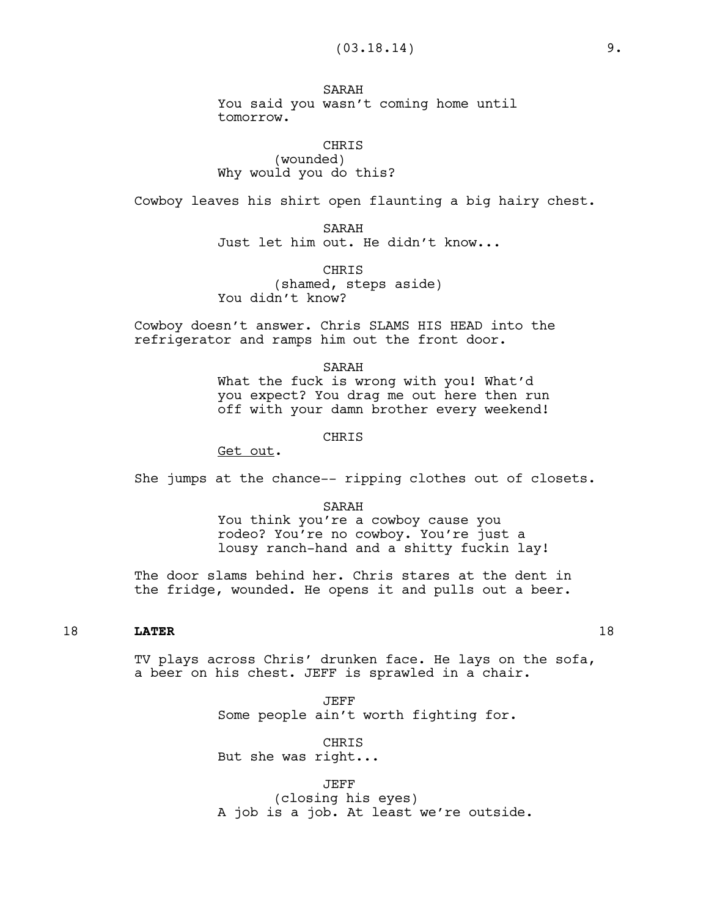SARAH You said you wasn't coming home until tomorrow.

CHRIS (wounded) Why would you do this?

Cowboy leaves his shirt open flaunting a big hairy chest.

SARAH Just let him out. He didn't know...

CHRIS (shamed, steps aside) You didn't know?

Cowboy doesn't answer. Chris SLAMS HIS HEAD into the refrigerator and ramps him out the front door.

> SARAH What the fuck is wrong with you! What'd you expect? You drag me out here then run off with your damn brother every weekend!

> > CHRIS

Get out.

She jumps at the chance-- ripping clothes out of closets.

SARAH

You think you're a cowboy cause you rodeo? You're no cowboy. You're just a lousy ranch-hand and a shitty fuckin lay!

The door slams behind her. Chris stares at the dent in the fridge, wounded. He opens it and pulls out a beer.

# 18 **LATER** 18

TV plays across Chris' drunken face. He lays on the sofa, a beer on his chest. JEFF is sprawled in a chair.

> JEFF Some people ain't worth fighting for.

CHRIS But she was right...

JEFF (closing his eyes) A job is a job. At least we're outside.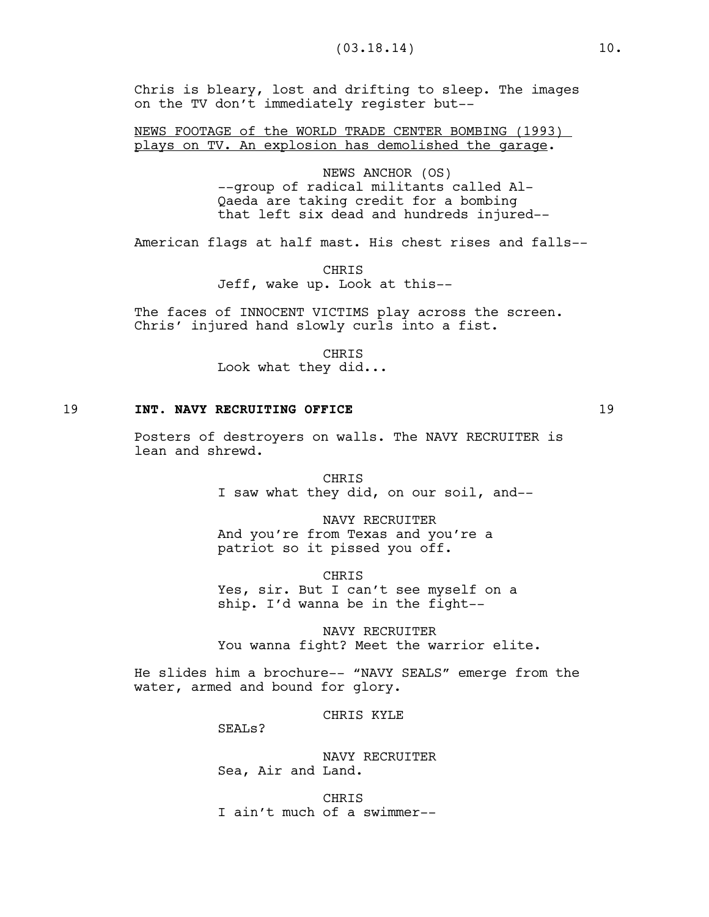Chris is bleary, lost and drifting to sleep. The images on the TV don't immediately register but--

NEWS FOOTAGE of the WORLD TRADE CENTER BOMBING (1993) plays on TV. An explosion has demolished the garage.

> NEWS ANCHOR (OS) --group of radical militants called Al-Qaeda are taking credit for a bombing that left six dead and hundreds injured--

American flags at half mast. His chest rises and falls--

**CHRTS** Jeff, wake up. Look at this--

The faces of INNOCENT VICTIMS play across the screen. Chris' injured hand slowly curls into a fist.

> CHRIS Look what they did...

## 19 **INT. NAVY RECRUITING OFFICE** 19 19

Posters of destroyers on walls. The NAVY RECRUITER is lean and shrewd.

> CHRIS I saw what they did, on our soil, and--

NAVY RECRUITER And you're from Texas and you're a patriot so it pissed you off.

CHRIS Yes, sir. But I can't see myself on a ship. I'd wanna be in the fight--

NAVY RECRUITER You wanna fight? Meet the warrior elite.

He slides him a brochure-- "NAVY SEALS" emerge from the water, armed and bound for glory.

CHRIS KYLE

SEAL<sub>s</sub>?

NAVY RECRUITER Sea, Air and Land.

CHRIS I ain't much of a swimmer--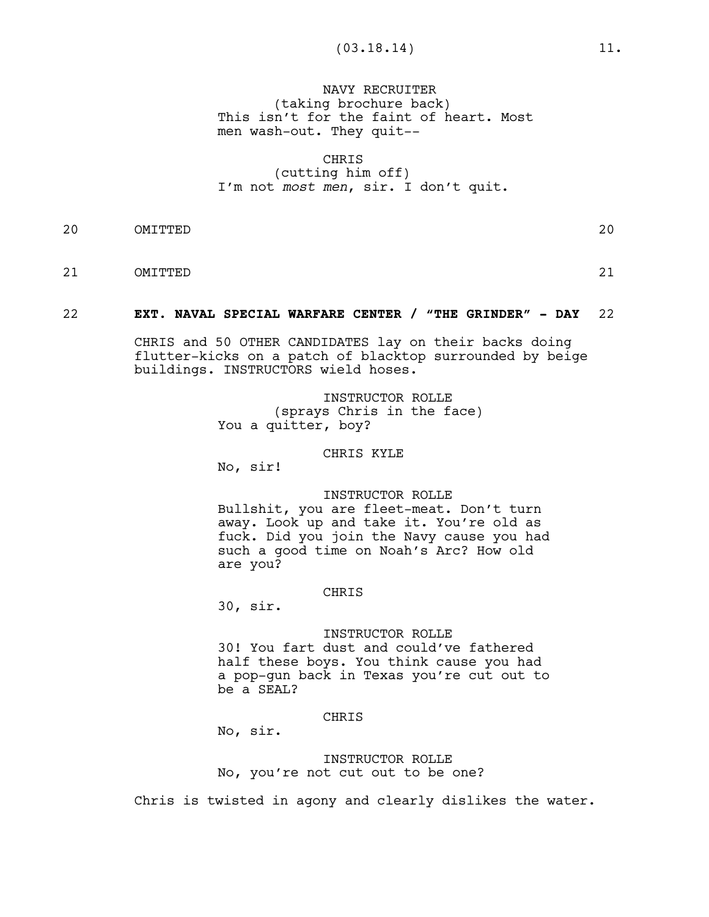NAVY RECRUITER (taking brochure back) This isn't for the faint of heart. Most men wash-out. They quit--

### CHRIS

## (cutting him off) I'm not *most men*, sir. I don't quit.

20 OMITTED 20

21 OMITTED 21

# 22 **EXT. NAVAL SPECIAL WARFARE CENTER / "THE GRINDER" - DAY** 22

CHRIS and 50 OTHER CANDIDATES lay on their backs doing flutter-kicks on a patch of blacktop surrounded by beige buildings. INSTRUCTORS wield hoses.

> INSTRUCTOR ROLLE (sprays Chris in the face) You a quitter, boy?

### CHRIS KYLE

No, sir!

### INSTRUCTOR ROLLE

Bullshit, you are fleet-meat. Don't turn away. Look up and take it. You're old as fuck. Did you join the Navy cause you had such a good time on Noah's Arc? How old are you?

### CHRIS

30, sir.

## INSTRUCTOR ROLLE

30! You fart dust and could've fathered half these boys. You think cause you had a pop-gun back in Texas you're cut out to be a SEAL?

### CHRIS

No, sir.

INSTRUCTOR ROLLE No, you're not cut out to be one?

Chris is twisted in agony and clearly dislikes the water.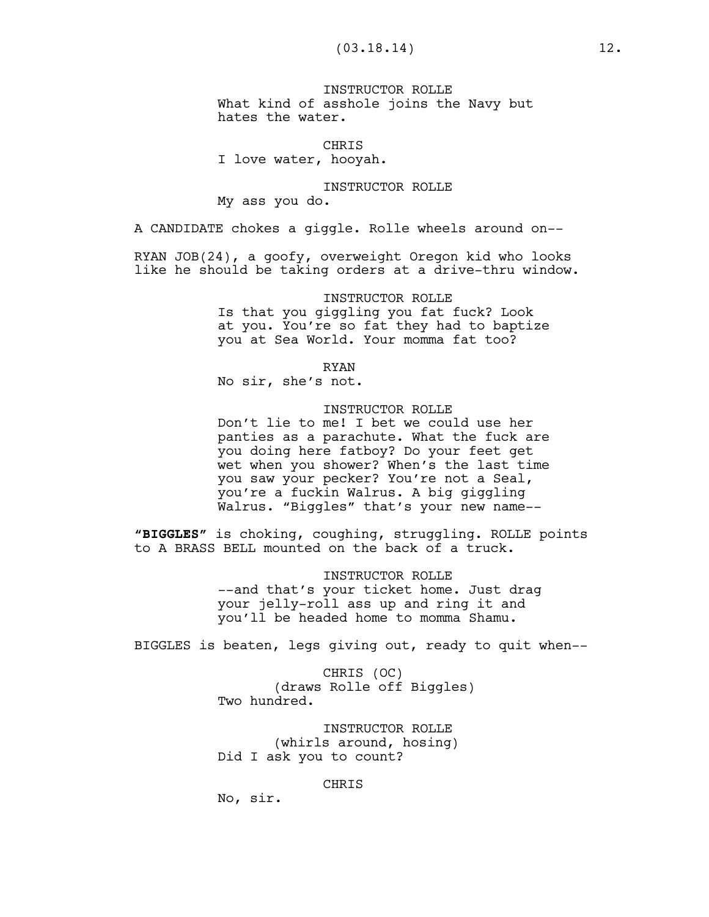INSTRUCTOR ROLLE What kind of asshole joins the Navy but hates the water.

CHRIS I love water, hooyah.

### INSTRUCTOR ROLLE

My ass you do.

A CANDIDATE chokes a giggle. Rolle wheels around on--

RYAN JOB(24), a goofy, overweight Oregon kid who looks like he should be taking orders at a drive-thru window.

#### INSTRUCTOR ROLLE

Is that you giggling you fat fuck? Look at you. You're so fat they had to baptize you at Sea World. Your momma fat too?

RYAN

No sir, she's not.

### INSTRUCTOR ROLLE

Don't lie to me! I bet we could use her panties as a parachute. What the fuck are you doing here fatboy? Do your feet get wet when you shower? When's the last time you saw your pecker? You're not a Seal, you're a fuckin Walrus. A big giggling Walrus. "Biggles" that's your new name--

**"BIGGLES"** is choking, coughing, struggling. ROLLE points to A BRASS BELL mounted on the back of a truck.

INSTRUCTOR ROLLE

--and that's your ticket home. Just drag your jelly-roll ass up and ring it and you'll be headed home to momma Shamu.

BIGGLES is beaten, legs giving out, ready to quit when--

CHRIS (OC) (draws Rolle off Biggles) Two hundred.

INSTRUCTOR ROLLE (whirls around, hosing) Did I ask you to count?

CHRIS

No, sir.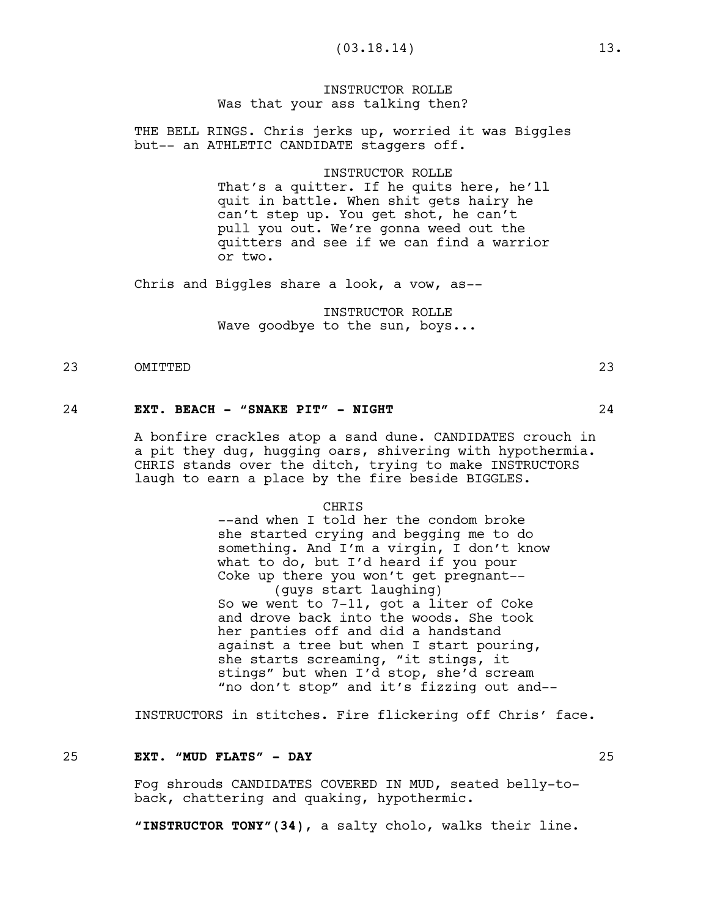INSTRUCTOR ROLLE Was that your ass talking then?

THE BELL RINGS. Chris jerks up, worried it was Biggles but-- an ATHLETIC CANDIDATE staggers off.

#### INSTRUCTOR ROLLE

That's a quitter. If he quits here, he'll quit in battle. When shit gets hairy he can't step up. You get shot, he can't pull you out. We're gonna weed out the quitters and see if we can find a warrior or two.

Chris and Biggles share a look, a vow, as--

INSTRUCTOR ROLLE Wave goodbye to the sun, boys...

# 23 OMITTED 23

24 **EXT. BEACH - "SNAKE PIT" - NIGHT** 24

A bonfire crackles atop a sand dune. CANDIDATES crouch in a pit they dug, hugging oars, shivering with hypothermia. CHRIS stands over the ditch, trying to make INSTRUCTORS laugh to earn a place by the fire beside BIGGLES.

#### **CHRTS**

--and when I told her the condom broke she started crying and begging me to do something. And I'm a virgin, I don't know what to do, but I'd heard if you pour Coke up there you won't get pregnant-- (guys start laughing) So we went to 7-11, got a liter of Coke and drove back into the woods. She took her panties off and did a handstand against a tree but when I start pouring, she starts screaming, "it stings, it stings" but when I'd stop, she'd scream "no don't stop" and it's fizzing out and--

INSTRUCTORS in stitches. Fire flickering off Chris' face.

#### 25 **EXT. "MUD FLATS" - DAY** 25

Fog shrouds CANDIDATES COVERED IN MUD, seated belly-toback, chattering and quaking, hypothermic.

**"INSTRUCTOR TONY"(34)**, a salty cholo, walks their line.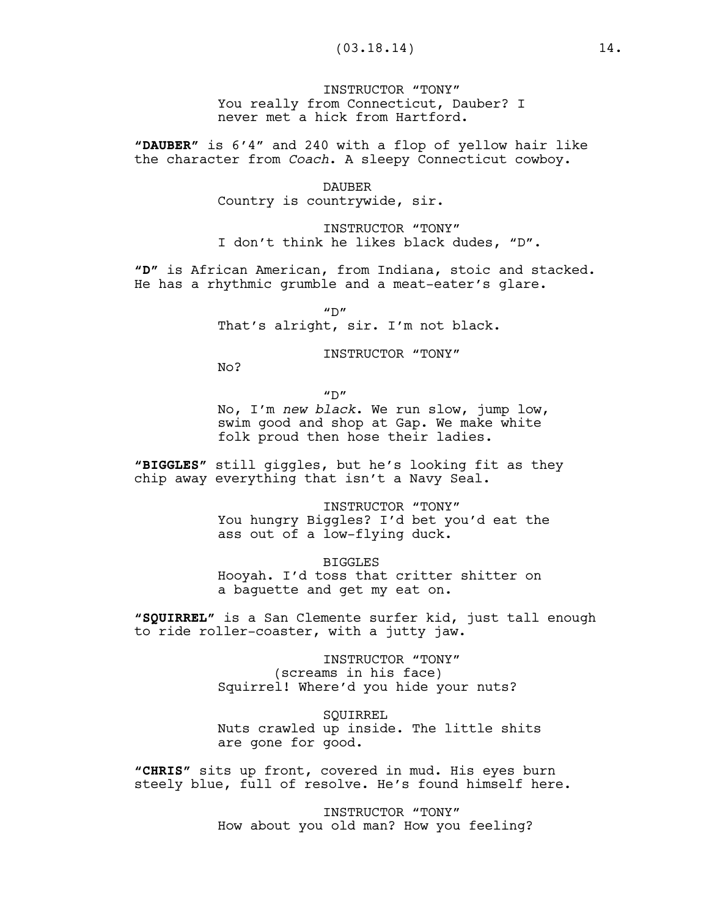INSTRUCTOR "TONY" You really from Connecticut, Dauber? I never met a hick from Hartford.

**"DAUBER"** is 6'4" and 240 with a flop of yellow hair like the character from *Coach*. A sleepy Connecticut cowboy.

# DAUBER

Country is countrywide, sir.

INSTRUCTOR "TONY" I don't think he likes black dudes, "D".

**"D"** is African American, from Indiana, stoic and stacked. He has a rhythmic grumble and a meat-eater's glare.

 $''D''$ 

That's alright, sir. I'm not black.

INSTRUCTOR "TONY"

No?

 $^{\prime\prime}$  D<sup> $^{\prime\prime}$ </sup>

No, I'm *new black*. We run slow, jump low, swim good and shop at Gap. We make white folk proud then hose their ladies.

**"BIGGLES"** still giggles, but he's looking fit as they chip away everything that isn't a Navy Seal.

> INSTRUCTOR "TONY" You hungry Biggles? I'd bet you'd eat the ass out of a low-flying duck.

BIGGLES Hooyah. I'd toss that critter shitter on a baguette and get my eat on.

**"SQUIRREL"** is a San Clemente surfer kid, just tall enough to ride roller-coaster, with a jutty jaw.

> INSTRUCTOR "TONY" (screams in his face) Squirrel! Where'd you hide your nuts?

**SOUIRREL** Nuts crawled up inside. The little shits are gone for good.

**"CHRIS"** sits up front, covered in mud. His eyes burn steely blue, full of resolve. He's found himself here.

> INSTRUCTOR "TONY" How about you old man? How you feeling?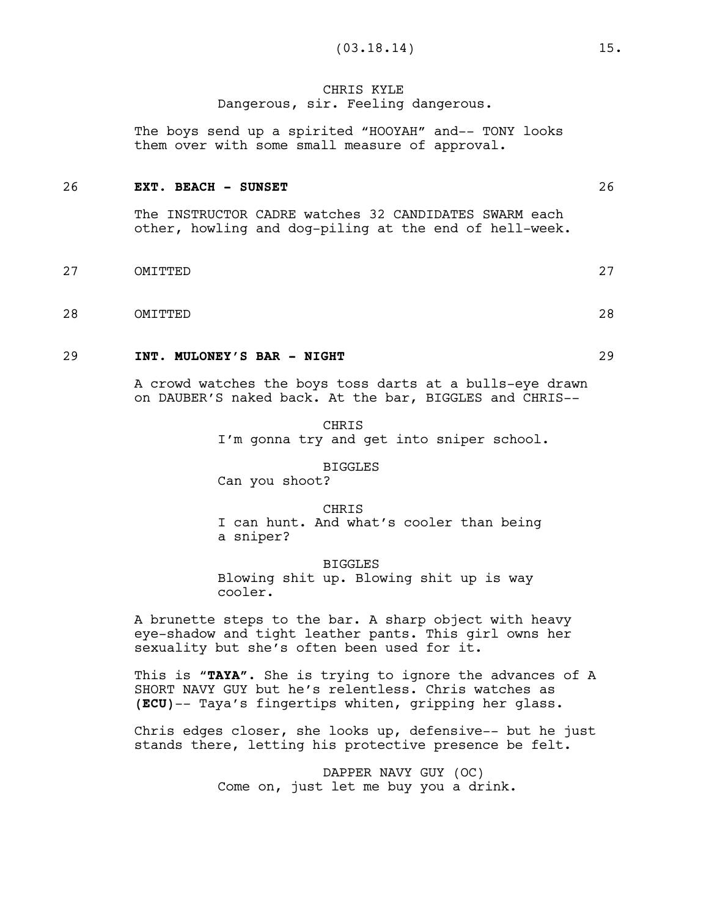## CHRIS KYLE Dangerous, sir. Feeling dangerous.

The boys send up a spirited "HOOYAH" and-- TONY looks them over with some small measure of approval.

### 26 **EXT. BEACH - SUNSET** 26

The INSTRUCTOR CADRE watches 32 CANDIDATES SWARM each other, howling and dog-piling at the end of hell-week.

- 27 OMITTED 27
- 28 OMITTED 28

## 29 **INT. MULONEY'S BAR - NIGHT** 29

A crowd watches the boys toss darts at a bulls-eye drawn on DAUBER'S naked back. At the bar, BIGGLES and CHRIS--

> CHRIS I'm gonna try and get into sniper school.

#### BIGGLES

Can you shoot?

CHRIS I can hunt. And what's cooler than being a sniper?

BIGGLES

Blowing shit up. Blowing shit up is way cooler.

A brunette steps to the bar. A sharp object with heavy eye-shadow and tight leather pants. This girl owns her sexuality but she's often been used for it.

This is "**TAYA"**. She is trying to ignore the advances of A SHORT NAVY GUY but he's relentless. Chris watches as **(ECU)**-- Taya's fingertips whiten, gripping her glass.

Chris edges closer, she looks up, defensive-- but he just stands there, letting his protective presence be felt.

> DAPPER NAVY GUY (OC) Come on, just let me buy you a drink.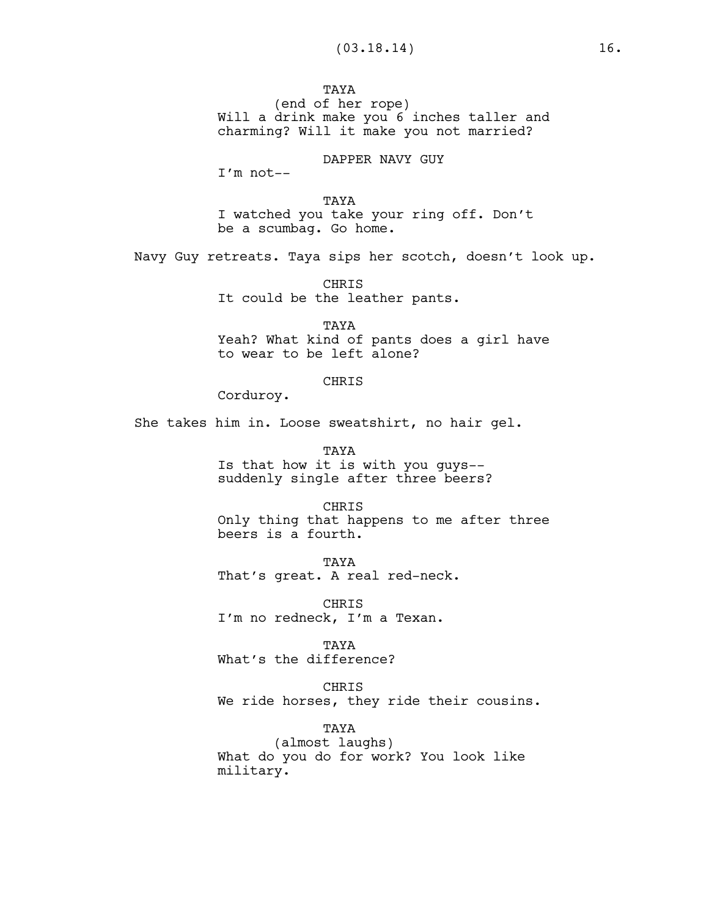TAYA (end of her rope) Will a drink make you 6 inches taller and charming? Will it make you not married?

DAPPER NAVY GUY

I'm not--

TAYA I watched you take your ring off. Don't be a scumbag. Go home.

Navy Guy retreats. Taya sips her scotch, doesn't look up.

CHRIS It could be the leather pants.

TAYA Yeah? What kind of pants does a girl have to wear to be left alone?

### CHRIS

Corduroy.

She takes him in. Loose sweatshirt, no hair gel.

TAYA Is that how it is with you guys- suddenly single after three beers?

#### CHRIS

Only thing that happens to me after three beers is a fourth.

TAYA That's great. A real red-neck.

CHRIS I'm no redneck, I'm a Texan.

#### TAYA

What's the difference?

### CHRIS

We ride horses, they ride their cousins.

# TAYA

(almost laughs) What do you do for work? You look like military.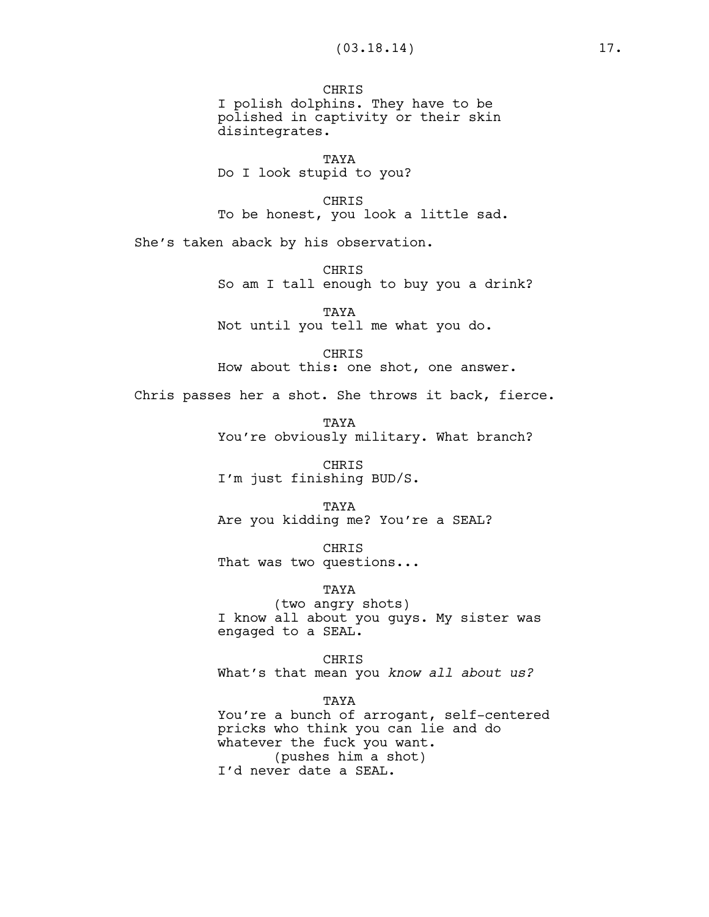**CHRIS** I polish dolphins. They have to be polished in captivity or their skin disintegrates.

TAYA Do I look stupid to you?

CHRIS To be honest, you look a little sad.

She's taken aback by his observation.

**CHRTS** So am I tall enough to buy you a drink?

TAYA Not until you tell me what you do.

CHRIS How about this: one shot, one answer.

Chris passes her a shot. She throws it back, fierce.

**TAYA** You're obviously military. What branch?

CHRIS I'm just finishing BUD/S.

TAYA Are you kidding me? You're a SEAL?

CHRIS That was two questions...

TAYA (two angry shots) I know all about you guys. My sister was engaged to a SEAL.

CHRIS What's that mean you *know all about us?*

TAYA

You're a bunch of arrogant, self-centered pricks who think you can lie and do whatever the fuck you want. (pushes him a shot) I'd never date a SEAL.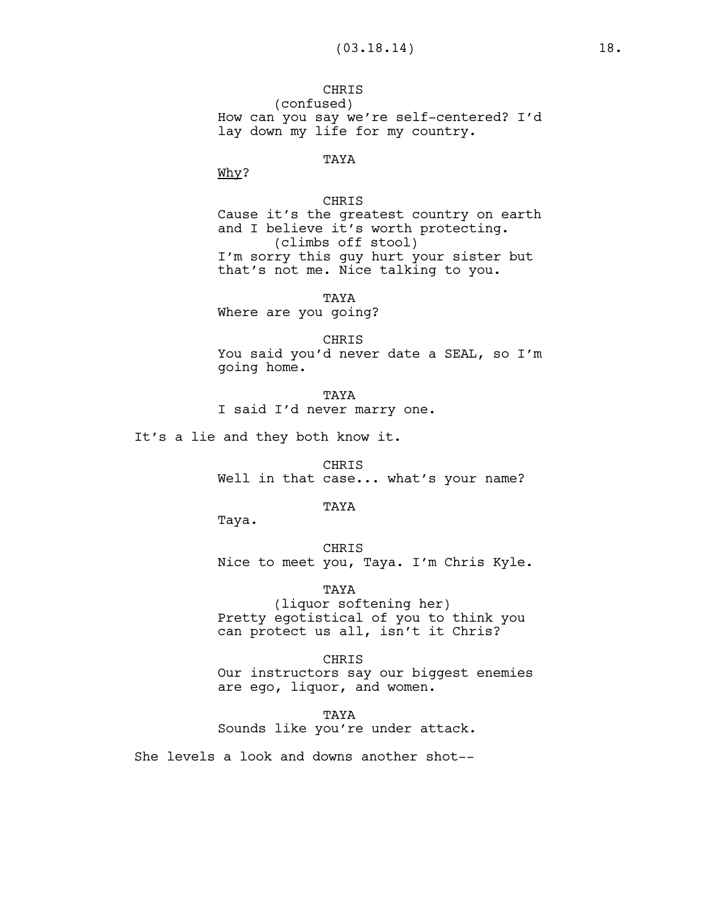**CHRIS** (confused) How can you say we're self-centered? I'd lay down my life for my country.

# TAYA

Why?

### CHRIS

Cause it's the greatest country on earth and I believe it's worth protecting. (climbs off stool) I'm sorry this guy hurt your sister but that's not me. Nice talking to you.

TAYA

Where are you going?

CHRIS You said you'd never date a SEAL, so I'm going home.

TAYA I said I'd never marry one.

It's a lie and they both know it.

CHRIS Well in that case... what's your name?

TAYA

Taya.

CHRIS Nice to meet you, Taya. I'm Chris Kyle.

TAYA (liquor softening her) Pretty egotistical of you to think you can protect us all, isn't it Chris?

CHRIS Our instructors say our biggest enemies are ego, liquor, and women.

TAYA Sounds like you're under attack.

She levels a look and downs another shot--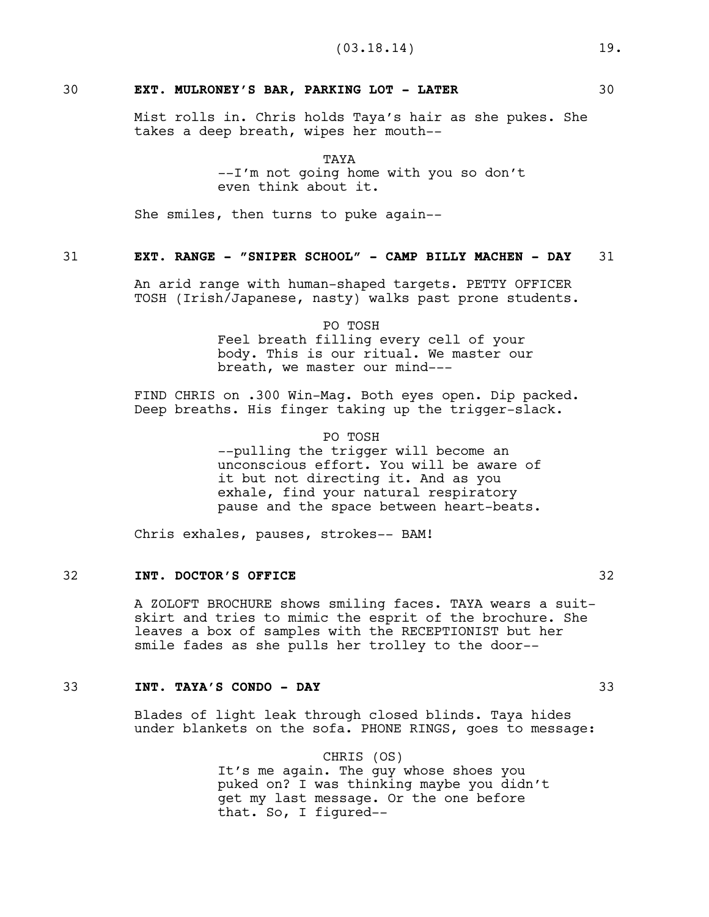# 30 **EXT. MULRONEY'S BAR, PARKING LOT - LATER** 30

Mist rolls in. Chris holds Taya's hair as she pukes. She takes a deep breath, wipes her mouth--

> TAYA --I'm not going home with you so don't even think about it.

She smiles, then turns to puke again--

# 31 **EXT. RANGE - "SNIPER SCHOOL" - CAMP BILLY MACHEN - DAY** 31

An arid range with human-shaped targets. PETTY OFFICER TOSH (Irish/Japanese, nasty) walks past prone students.

> PO TOSH Feel breath filling every cell of your body. This is our ritual. We master our breath, we master our mind---

FIND CHRIS on .300 Win-Mag. Both eyes open. Dip packed. Deep breaths. His finger taking up the trigger-slack.

#### PO TOSH

--pulling the trigger will become an unconscious effort. You will be aware of it but not directing it. And as you exhale, find your natural respiratory pause and the space between heart-beats.

Chris exhales, pauses, strokes-- BAM!

# 32 **INT. DOCTOR'S OFFICE** 32

A ZOLOFT BROCHURE shows smiling faces. TAYA wears a suitskirt and tries to mimic the esprit of the brochure. She leaves a box of samples with the RECEPTIONIST but her smile fades as she pulls her trolley to the door--

# 33 **INT. TAYA'S CONDO - DAY** 33

Blades of light leak through closed blinds. Taya hides under blankets on the sofa. PHONE RINGS, goes to message:

> CHRIS (OS) It's me again. The guy whose shoes you puked on? I was thinking maybe you didn't get my last message. Or the one before that. So, I figured--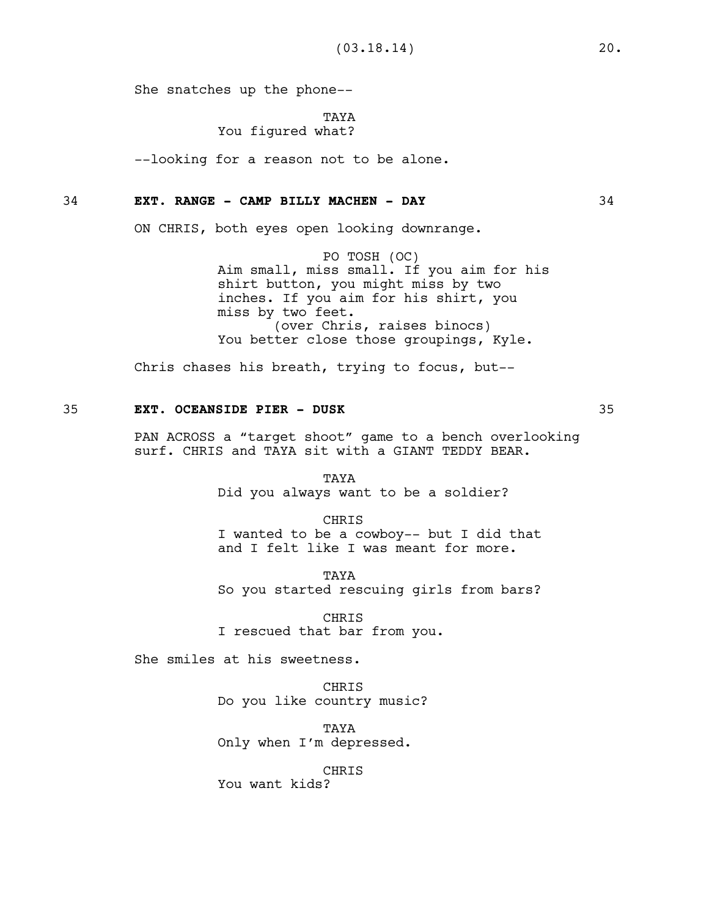She snatches up the phone--

TAYA

# You figured what?

--looking for a reason not to be alone.

## 34 **EXT. RANGE - CAMP BILLY MACHEN - DAY** 34

ON CHRIS, both eyes open looking downrange.

PO TOSH (OC) Aim small, miss small. If you aim for his shirt button, you might miss by two inches. If you aim for his shirt, you miss by two feet. (over Chris, raises binocs) You better close those groupings, Kyle.

Chris chases his breath, trying to focus, but--

## 35 **EXT. OCEANSIDE PIER - DUSK** 35

PAN ACROSS a "target shoot" game to a bench overlooking surf. CHRIS and TAYA sit with a GIANT TEDDY BEAR.

> TAYA Did you always want to be a soldier?

CHRIS I wanted to be a cowboy-- but I did that and I felt like I was meant for more.

**TAYA** So you started rescuing girls from bars?

CHRIS I rescued that bar from you.

She smiles at his sweetness.

CHRIS Do you like country music?

TAYA Only when I'm depressed.

### CHRIS

You want kids?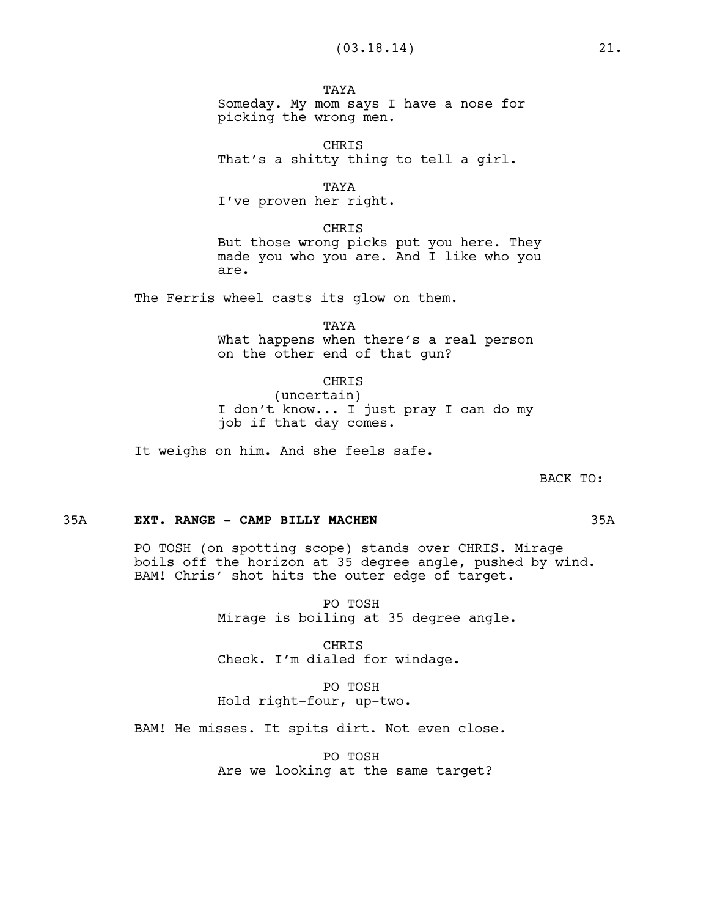**TAYA** Someday. My mom says I have a nose for picking the wrong men.

CHRIS That's a shitty thing to tell a girl.

TAYA

I've proven her right.

CHRIS But those wrong picks put you here. They made you who you are. And I like who you are.

The Ferris wheel casts its glow on them.

TAYA What happens when there's a real person on the other end of that gun?

CHRIS (uncertain) I don't know... I just pray I can do my job if that day comes.

It weighs on him. And she feels safe.

BACK TO:

#### 35A **EXT. RANGE - CAMP BILLY MACHEN** 35A

PO TOSH (on spotting scope) stands over CHRIS. Mirage boils off the horizon at 35 degree angle, pushed by wind. BAM! Chris' shot hits the outer edge of target.

> PO TOSH Mirage is boiling at 35 degree angle.

CHRIS Check. I'm dialed for windage.

PO TOSH Hold right-four, up-two.

BAM! He misses. It spits dirt. Not even close.

PO TOSH Are we looking at the same target?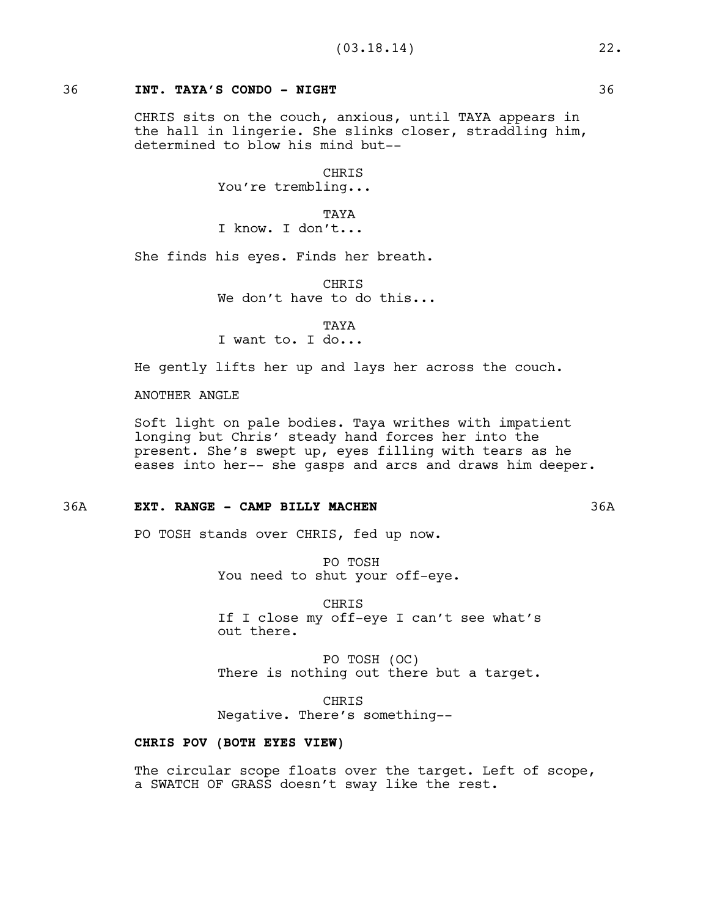## 36 **INT. TAYA'S CONDO - NIGHT** 36

CHRIS sits on the couch, anxious, until TAYA appears in the hall in lingerie. She slinks closer, straddling him, determined to blow his mind but--

> CHRIS You're trembling...

**TAYA** I know. I don't...

She finds his eyes. Finds her breath.

CHRIS We don't have to do this...

TAYA I want to. I do...

He gently lifts her up and lays her across the couch.

ANOTHER ANGLE

Soft light on pale bodies. Taya writhes with impatient longing but Chris' steady hand forces her into the present. She's swept up, eyes filling with tears as he eases into her-- she gasps and arcs and draws him deeper.

## 36A **EXT. RANGE - CAMP BILLY MACHEN** 36A

PO TOSH stands over CHRIS, fed up now.

PO TOSH You need to shut your off-eye.

CHRIS If I close my off-eye I can't see what's out there.

PO TOSH (OC) There is nothing out there but a target.

CHRIS Negative. There's something--

## **CHRIS POV (BOTH EYES VIEW)**

The circular scope floats over the target. Left of scope, a SWATCH OF GRASS doesn't sway like the rest.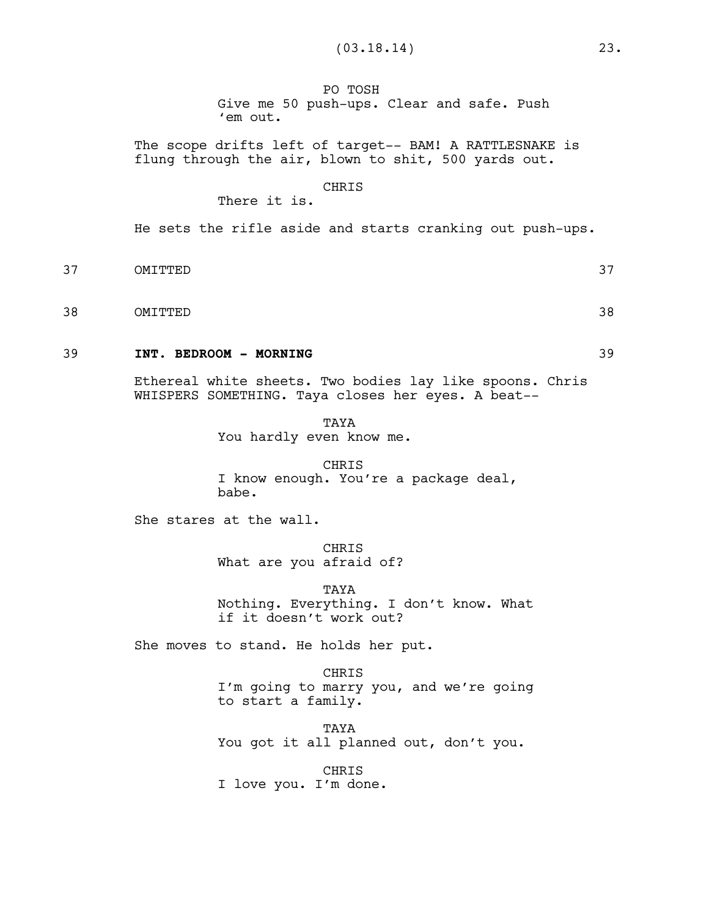PO TOSH Give me 50 push-ups. Clear and safe. Push 'em out.

The scope drifts left of target-- BAM! A RATTLESNAKE is flung through the air, blown to shit, 500 yards out.

### CHRIS

There it is.

He sets the rifle aside and starts cranking out push-ups.

- 37 OMITTED 37
- 38 OMITTED 38

## 39 **INT. BEDROOM - MORNING** 39

Ethereal white sheets. Two bodies lay like spoons. Chris WHISPERS SOMETHING. Taya closes her eyes. A beat--

> **TAYA** You hardly even know me.

CHRIS I know enough. You're a package deal, babe.

She stares at the wall.

CHRIS What are you afraid of?

TAYA Nothing. Everything. I don't know. What if it doesn't work out?

She moves to stand. He holds her put.

CHRIS I'm going to marry you, and we're going to start a family.

TAYA You got it all planned out, don't you.

CHRIS I love you. I'm done.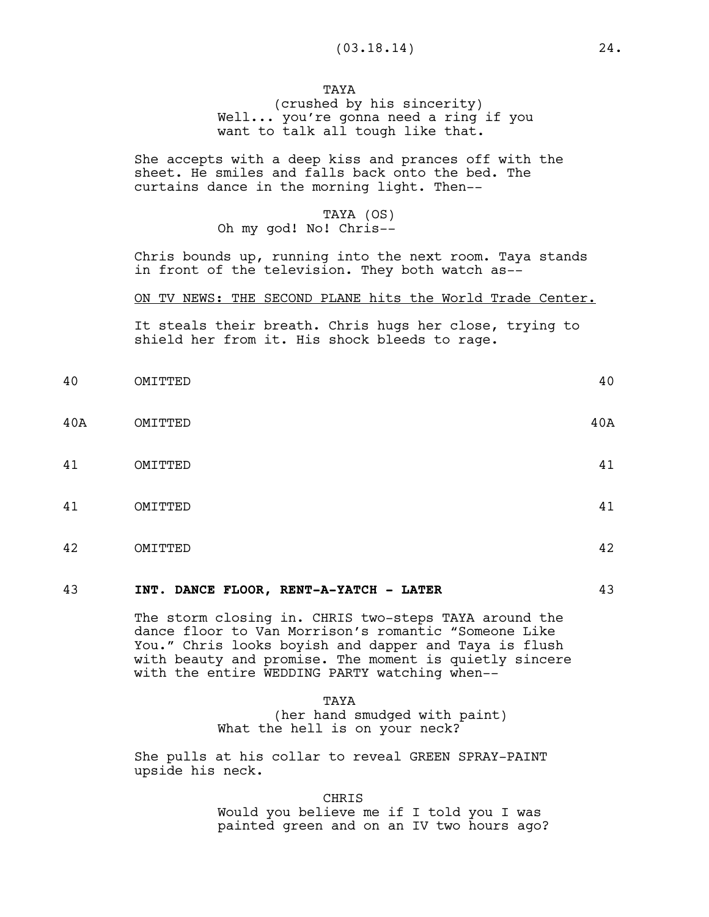**TAYA** (crushed by his sincerity) Well... you're gonna need a ring if you want to talk all tough like that.

She accepts with a deep kiss and prances off with the sheet. He smiles and falls back onto the bed. The curtains dance in the morning light. Then--

# TAYA (OS) Oh my god! No! Chris--

Chris bounds up, running into the next room. Taya stands in front of the television. They both watch as--

### ON TV NEWS: THE SECOND PLANE hits the World Trade Center.

It steals their breath. Chris hugs her close, trying to shield her from it. His shock bleeds to rage.

| 40  | OMITTED | 40  |
|-----|---------|-----|
| 40A | OMITTED | 40A |
| 41  | OMITTED | 41  |
| 41  | OMITTED | 41  |
| 42  | OMITTED | 42  |
|     |         |     |

### 43 **INT. DANCE FLOOR, RENT-A-YATCH - LATER** 43

The storm closing in. CHRIS two-steps TAYA around the dance floor to Van Morrison's romantic "Someone Like You." Chris looks boyish and dapper and Taya is flush with beauty and promise. The moment is quietly sincere with the entire WEDDING PARTY watching when--

> TAYA (her hand smudged with paint) What the hell is on your neck?

She pulls at his collar to reveal GREEN SPRAY-PAINT upside his neck.

CHRIS

Would you believe me if I told you I was painted green and on an IV two hours ago?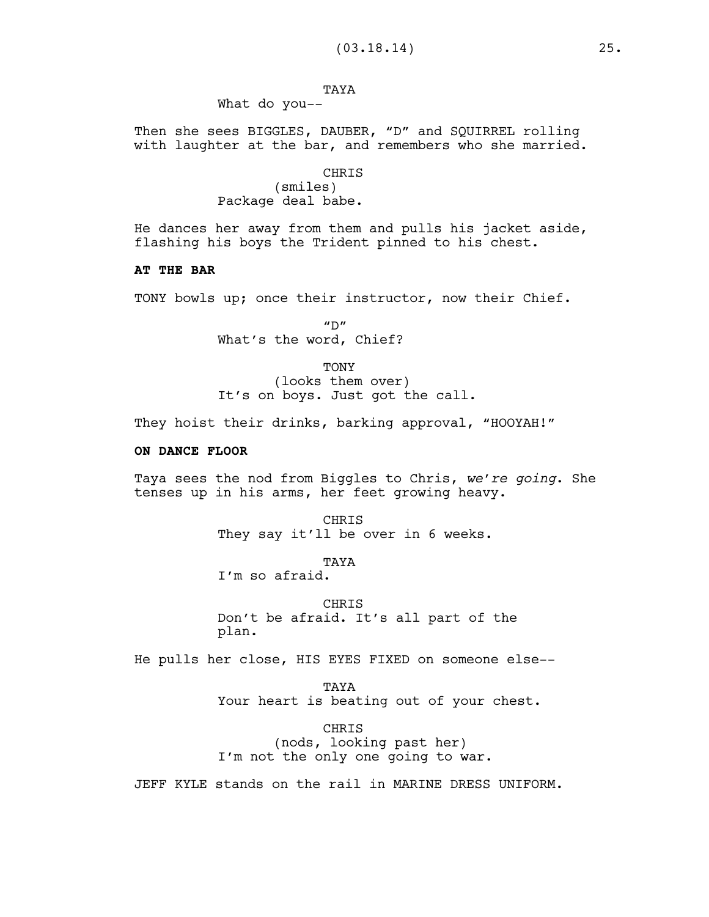# TAYA

What do you--

Then she sees BIGGLES, DAUBER, "D" and SQUIRREL rolling with laughter at the bar, and remembers who she married.

# CHRIS

(smiles) Package deal babe.

He dances her away from them and pulls his jacket aside, flashing his boys the Trident pinned to his chest.

## **AT THE BAR**

TONY bowls up; once their instructor, now their Chief.

 $^{\prime\prime}$  D $^{\prime\prime}$ What's the word, Chief?

**TONY** (looks them over) It's on boys. Just got the call.

They hoist their drinks, barking approval, "HOOYAH!"

## **ON DANCE FLOOR**

Taya sees the nod from Biggles to Chris, *we're going*. She tenses up in his arms, her feet growing heavy.

> CHRIS They say it'll be over in 6 weeks.

> > TAYA

I'm so afraid.

**CHRTS** Don't be afraid. It's all part of the plan.

He pulls her close, HIS EYES FIXED on someone else--

TAYA Your heart is beating out of your chest.

CHRIS (nods, looking past her) I'm not the only one going to war.

JEFF KYLE stands on the rail in MARINE DRESS UNIFORM.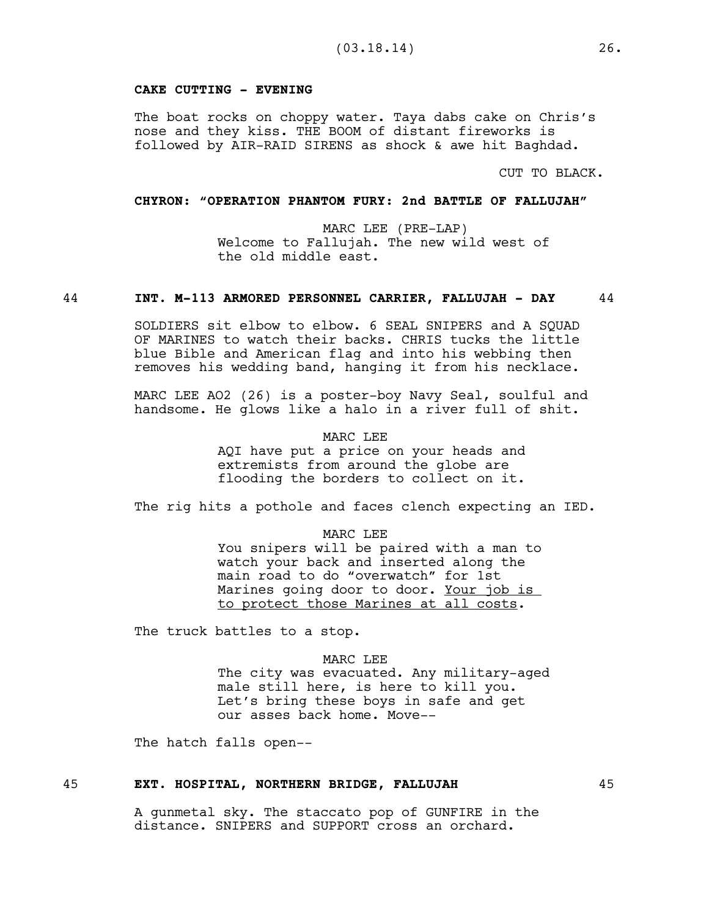## **CAKE CUTTING - EVENING**

The boat rocks on choppy water. Taya dabs cake on Chris's nose and they kiss. THE BOOM of distant fireworks is followed by AIR-RAID SIRENS as shock & awe hit Baghdad.

CUT TO BLACK.

## **CHYRON: "OPERATION PHANTOM FURY: 2nd BATTLE OF FALLUJAH"**

MARC LEE (PRE-LAP) Welcome to Fallujah. The new wild west of the old middle east.

### 44 **INT. M-113 ARMORED PERSONNEL CARRIER, FALLUJAH - DAY** 44

SOLDIERS sit elbow to elbow. 6 SEAL SNIPERS and A SQUAD OF MARINES to watch their backs. CHRIS tucks the little blue Bible and American flag and into his webbing then removes his wedding band, hanging it from his necklace.

MARC LEE AO2 (26) is a poster-boy Navy Seal, soulful and handsome. He glows like a halo in a river full of shit.

#### MARC LEE

AQI have put a price on your heads and extremists from around the globe are flooding the borders to collect on it.

The rig hits a pothole and faces clench expecting an IED.

#### MARC LEE

You snipers will be paired with a man to watch your back and inserted along the main road to do "overwatch" for 1st Marines going door to door. Your job is to protect those Marines at all costs.

The truck battles to a stop.

#### MARC LEE

The city was evacuated. Any military-aged male still here, is here to kill you. Let's bring these boys in safe and get our asses back home. Move--

The hatch falls open--

## 45 **EXT. HOSPITAL, NORTHERN BRIDGE, FALLUJAH** 45

A gunmetal sky. The staccato pop of GUNFIRE in the distance. SNIPERS and SUPPORT cross an orchard.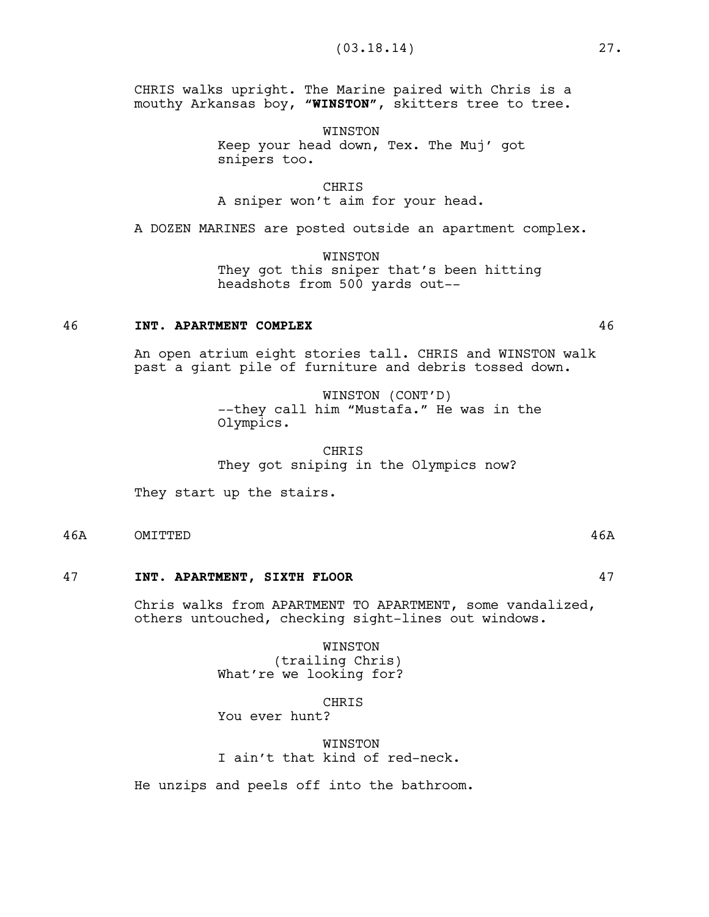CHRIS walks upright. The Marine paired with Chris is a mouthy Arkansas boy, **"WINSTON"**, skitters tree to tree.

> WINSTON Keep your head down, Tex. The Muj' got snipers too.

CHRIS A sniper won't aim for your head.

A DOZEN MARINES are posted outside an apartment complex.

WINSTON They got this sniper that's been hitting headshots from 500 yards out--

## 46 **INT. APARTMENT COMPLEX** 46

An open atrium eight stories tall. CHRIS and WINSTON walk past a giant pile of furniture and debris tossed down.

> WINSTON (CONT'D) --they call him "Mustafa." He was in the Olympics.

**CHRIS** They got sniping in the Olympics now?

They start up the stairs.

46A OMITTED 46A

### 47 **INT. APARTMENT, SIXTH FLOOR** 47

Chris walks from APARTMENT TO APARTMENT, some vandalized, others untouched, checking sight-lines out windows.

> WINSTON (trailing Chris) What're we looking for?

**CHRIS** You ever hunt?

**WINSTON** I ain't that kind of red-neck.

He unzips and peels off into the bathroom.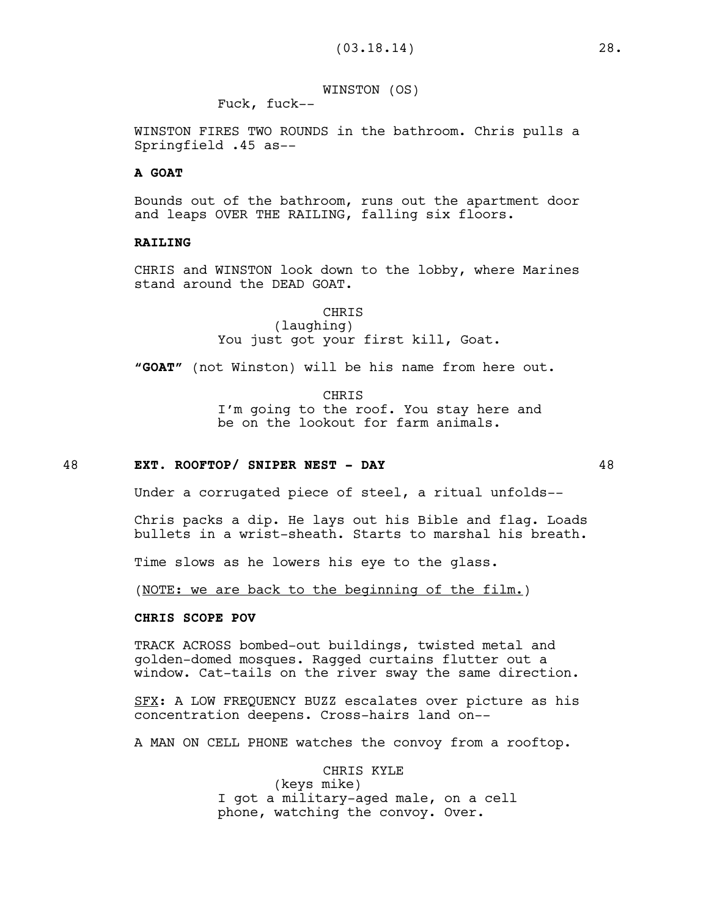WINSTON (OS)

Fuck, fuck--

WINSTON FIRES TWO ROUNDS in the bathroom. Chris pulls a Springfield .45 as--

## **A GOAT**

Bounds out of the bathroom, runs out the apartment door and leaps OVER THE RAILING, falling six floors.

### **RAILING**

CHRIS and WINSTON look down to the lobby, where Marines stand around the DEAD GOAT.

> CHRIS (laughing) You just got your first kill, Goat.

**"GOAT"** (not Winston) will be his name from here out.

CHRIS I'm going to the roof. You stay here and be on the lookout for farm animals.

### 48 **EXT. ROOFTOP/ SNIPER NEST - DAY** 48

Under a corrugated piece of steel, a ritual unfolds--

Chris packs a dip. He lays out his Bible and flag. Loads bullets in a wrist-sheath. Starts to marshal his breath.

Time slows as he lowers his eye to the glass.

(NOTE: we are back to the beginning of the film.)

## **CHRIS SCOPE POV**

TRACK ACROSS bombed-out buildings, twisted metal and golden-domed mosques. Ragged curtains flutter out a window. Cat-tails on the river sway the same direction.

SFX: A LOW FREQUENCY BUZZ escalates over picture as his concentration deepens. Cross-hairs land on--

A MAN ON CELL PHONE watches the convoy from a rooftop.

CHRIS KYLE (keys mike) I got a military-aged male, on a cell phone, watching the convoy. Over.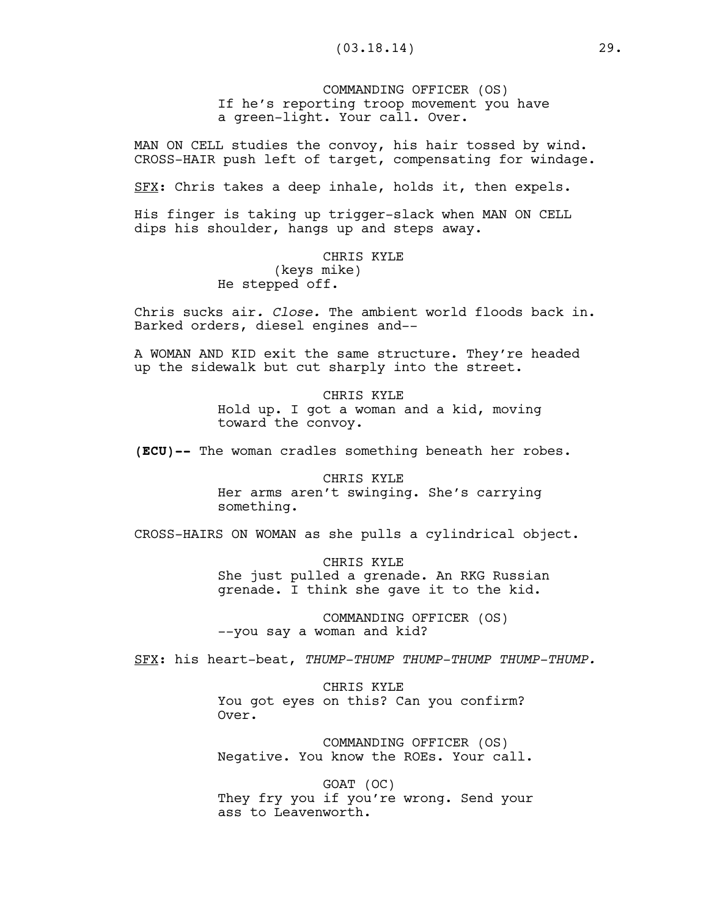COMMANDING OFFICER (OS) If he's reporting troop movement you have a green-light. Your call. Over.

MAN ON CELL studies the convoy, his hair tossed by wind. CROSS-HAIR push left of target, compensating for windage.

SFX: Chris takes a deep inhale, holds it, then expels.

His finger is taking up trigger-slack when MAN ON CELL dips his shoulder, hangs up and steps away.

# CHRIS KYLE (keys mike) He stepped off.

Chris sucks air*. Close.* The ambient world floods back in. Barked orders, diesel engines and--

A WOMAN AND KID exit the same structure. They're headed up the sidewalk but cut sharply into the street.

> CHRIS KYLE Hold up. I got a woman and a kid, moving toward the convoy.

**(ECU)--** The woman cradles something beneath her robes.

CHRIS KYLE Her arms aren't swinging. She's carrying something.

CROSS-HAIRS ON WOMAN as she pulls a cylindrical object.

CHRIS KYLE She just pulled a grenade. An RKG Russian grenade. I think she gave it to the kid.

COMMANDING OFFICER (OS) --you say a woman and kid?

SFX: his heart-beat, *THUMP-THUMP THUMP-THUMP THUMP-THUMP.*

CHRIS KYLE You got eyes on this? Can you confirm? Over.

COMMANDING OFFICER (OS) Negative. You know the ROEs. Your call.

GOAT (OC) They fry you if you're wrong. Send your ass to Leavenworth.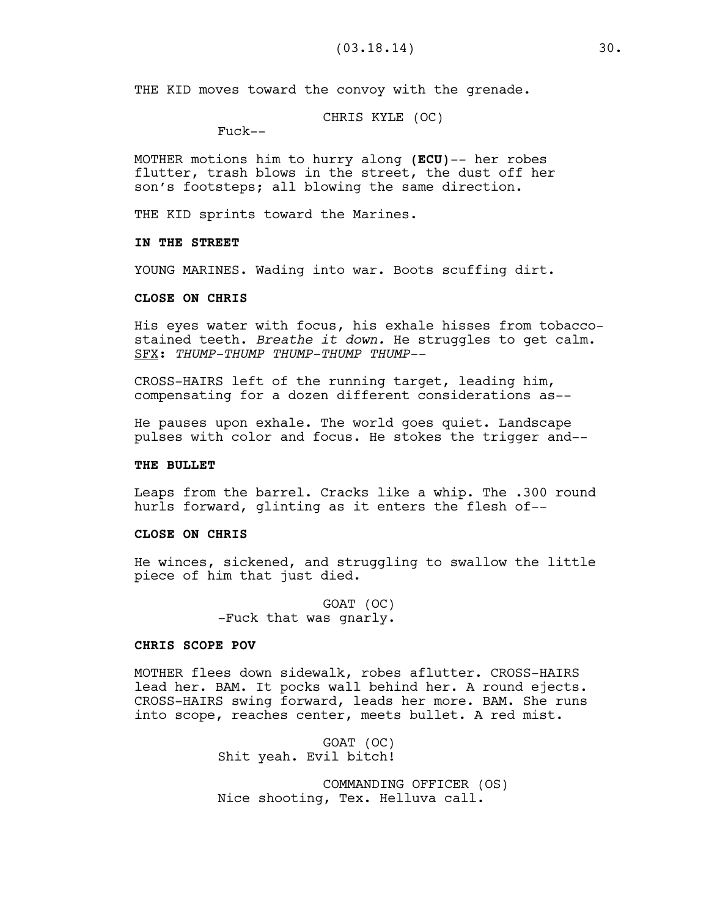THE KID moves toward the convoy with the grenade.

CHRIS KYLE (OC)

Fuck--

MOTHER motions him to hurry along **(ECU)**-- her robes flutter, trash blows in the street, the dust off her son's footsteps; all blowing the same direction.

THE KID sprints toward the Marines.

### **IN THE STREET**

YOUNG MARINES. Wading into war. Boots scuffing dirt.

### **CLOSE ON CHRIS**

His eyes water with focus, his exhale hisses from tobaccostained teeth. *Breathe it down.* He struggles to get calm. SFX: *THUMP-THUMP THUMP-THUMP THUMP--*

CROSS-HAIRS left of the running target, leading him, compensating for a dozen different considerations as--

He pauses upon exhale. The world goes quiet. Landscape pulses with color and focus. He stokes the trigger and--

### **THE BULLET**

Leaps from the barrel. Cracks like a whip. The .300 round hurls forward, glinting as it enters the flesh of--

## **CLOSE ON CHRIS**

He winces, sickened, and struggling to swallow the little piece of him that just died.

> GOAT (OC) -Fuck that was gnarly.

## **CHRIS SCOPE POV**

MOTHER flees down sidewalk, robes aflutter. CROSS-HAIRS lead her. BAM. It pocks wall behind her. A round ejects. CROSS-HAIRS swing forward, leads her more. BAM. She runs into scope, reaches center, meets bullet. A red mist.

> GOAT (OC) Shit yeah. Evil bitch!

COMMANDING OFFICER (OS) Nice shooting, Tex. Helluva call.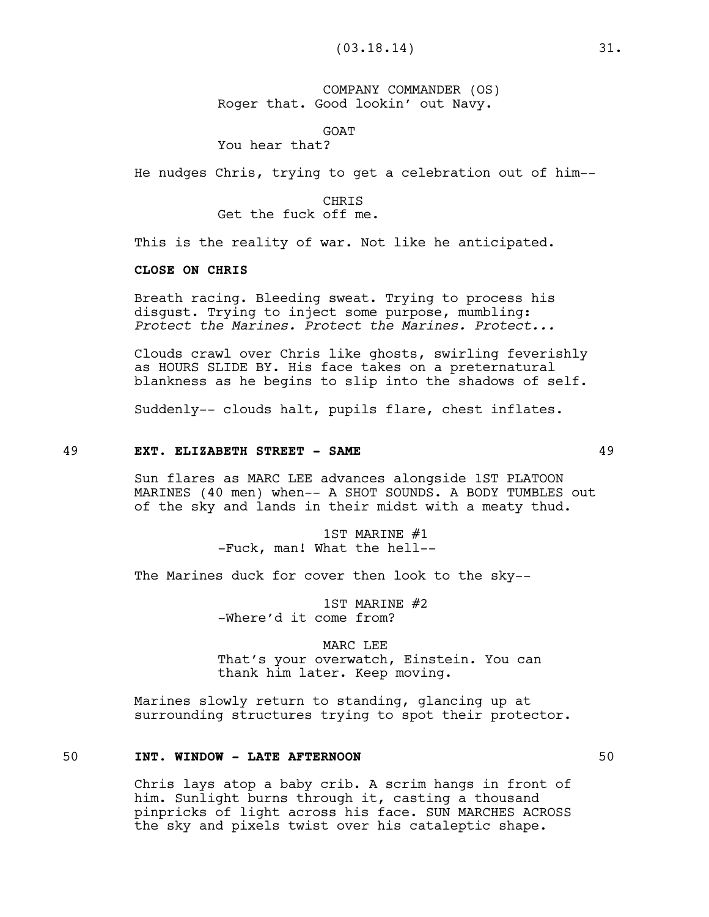COMPANY COMMANDER (OS) Roger that. Good lookin' out Navy.

GOAT

You hear that?

He nudges Chris, trying to get a celebration out of him--

CHRIS

Get the fuck off me.

This is the reality of war. Not like he anticipated.

# **CLOSE ON CHRIS**

Breath racing. Bleeding sweat. Trying to process his disgust. Trying to inject some purpose, mumbling: *Protect the Marines. Protect the Marines. Protect...*

Clouds crawl over Chris like ghosts, swirling feverishly as HOURS SLIDE BY. His face takes on a preternatural blankness as he begins to slip into the shadows of self.

Suddenly-- clouds halt, pupils flare, chest inflates.

#### 49 **EXT. ELIZABETH STREET - SAME** 49

Sun flares as MARC LEE advances alongside 1ST PLATOON MARINES (40 men) when-- A SHOT SOUNDS. A BODY TUMBLES out of the sky and lands in their midst with a meaty thud.

> 1ST MARINE #1 -Fuck, man! What the hell--

The Marines duck for cover then look to the sky--

1ST MARINE #2 -Where'd it come from?

MARC LEE That's your overwatch, Einstein. You can thank him later. Keep moving.

Marines slowly return to standing, glancing up at surrounding structures trying to spot their protector.

# 50 **INT. WINDOW - LATE AFTERNOON** 50

Chris lays atop a baby crib. A scrim hangs in front of him. Sunlight burns through it, casting a thousand pinpricks of light across his face. SUN MARCHES ACROSS the sky and pixels twist over his cataleptic shape.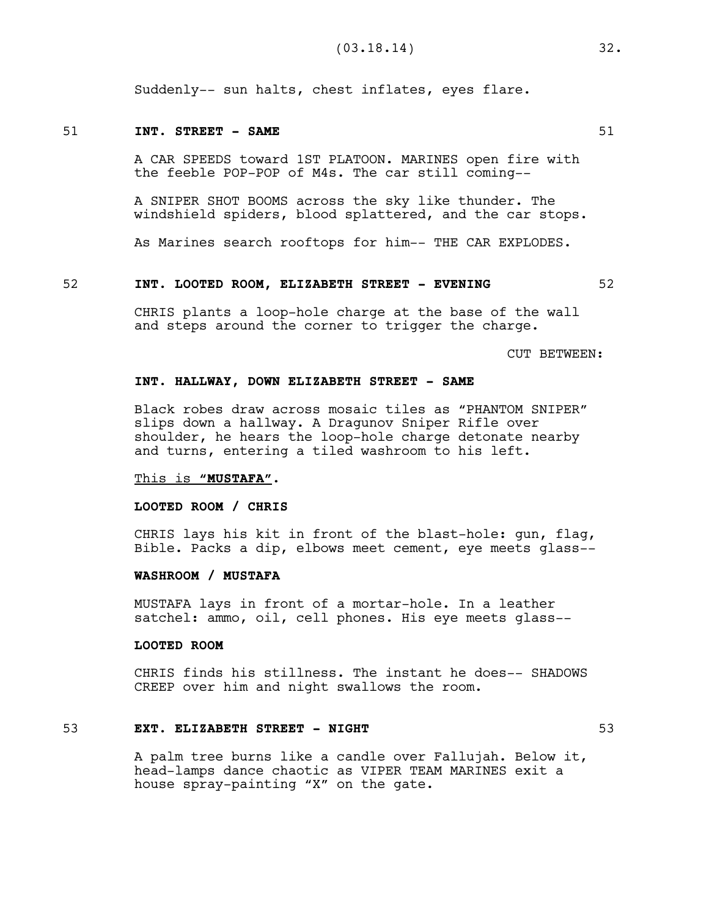Suddenly-- sun halts, chest inflates, eyes flare.

### 51 **INT. STREET - SAME** 51

A CAR SPEEDS toward 1ST PLATOON. MARINES open fire with the feeble POP-POP of M4s. The car still coming--

A SNIPER SHOT BOOMS across the sky like thunder. The windshield spiders, blood splattered, and the car stops.

As Marines search rooftops for him-- THE CAR EXPLODES.

### 52 **INT. LOOTED ROOM, ELIZABETH STREET - EVENING** 52

CHRIS plants a loop-hole charge at the base of the wall and steps around the corner to trigger the charge.

CUT BETWEEN:

### **INT. HALLWAY, DOWN ELIZABETH STREET - SAME**

Black robes draw across mosaic tiles as "PHANTOM SNIPER" slips down a hallway. A Dragunov Sniper Rifle over shoulder, he hears the loop-hole charge detonate nearby and turns, entering a tiled washroom to his left.

### This is **"MUSTAFA".**

### **LOOTED ROOM / CHRIS**

CHRIS lays his kit in front of the blast-hole: gun, flag, Bible. Packs a dip, elbows meet cement, eye meets glass--

## **WASHROOM / MUSTAFA**

MUSTAFA lays in front of a mortar-hole. In a leather satchel: ammo, oil, cell phones. His eye meets glass--

### **LOOTED ROOM**

CHRIS finds his stillness. The instant he does-- SHADOWS CREEP over him and night swallows the room.

## 53 **EXT. ELIZABETH STREET - NIGHT** 53

A palm tree burns like a candle over Fallujah. Below it, head-lamps dance chaotic as VIPER TEAM MARINES exit a house spray-painting "X" on the gate.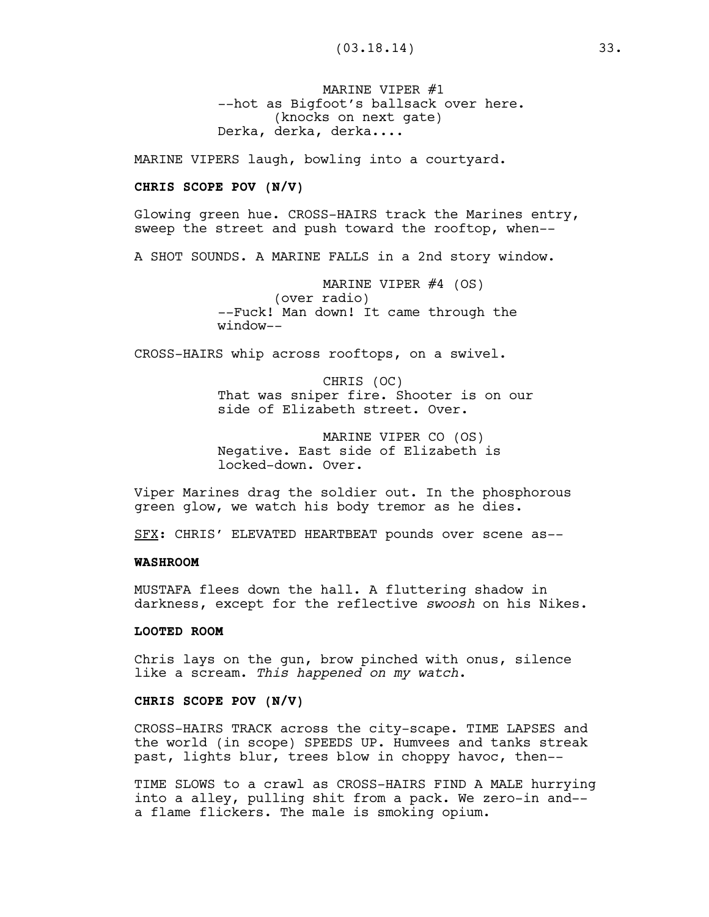MARINE VIPER #1 --hot as Bigfoot's ballsack over here. (knocks on next gate) Derka, derka, derka....

MARINE VIPERS laugh, bowling into a courtyard.

## **CHRIS SCOPE POV (N/V)**

Glowing green hue. CROSS-HAIRS track the Marines entry, sweep the street and push toward the rooftop, when--

A SHOT SOUNDS. A MARINE FALLS in a 2nd story window.

MARINE VIPER #4 (OS) (over radio) --Fuck! Man down! It came through the window--

CROSS-HAIRS whip across rooftops, on a swivel.

CHRIS (OC) That was sniper fire. Shooter is on our side of Elizabeth street. Over.

MARINE VIPER CO (OS) Negative. East side of Elizabeth is locked-down. Over.

Viper Marines drag the soldier out. In the phosphorous green glow, we watch his body tremor as he dies.

SFX: CHRIS' ELEVATED HEARTBEAT pounds over scene as--

### **WASHROOM**

MUSTAFA flees down the hall. A fluttering shadow in darkness, except for the reflective *swoosh* on his Nikes.

## **LOOTED ROOM**

Chris lays on the gun, brow pinched with onus, silence like a scream. *This happened on my watch*.

# **CHRIS SCOPE POV (N/V)**

CROSS-HAIRS TRACK across the city-scape. TIME LAPSES and the world (in scope) SPEEDS UP. Humvees and tanks streak past, lights blur, trees blow in choppy havoc, then--

TIME SLOWS to a crawl as CROSS-HAIRS FIND A MALE hurrying into a alley, pulling shit from a pack. We zero-in and- a flame flickers. The male is smoking opium.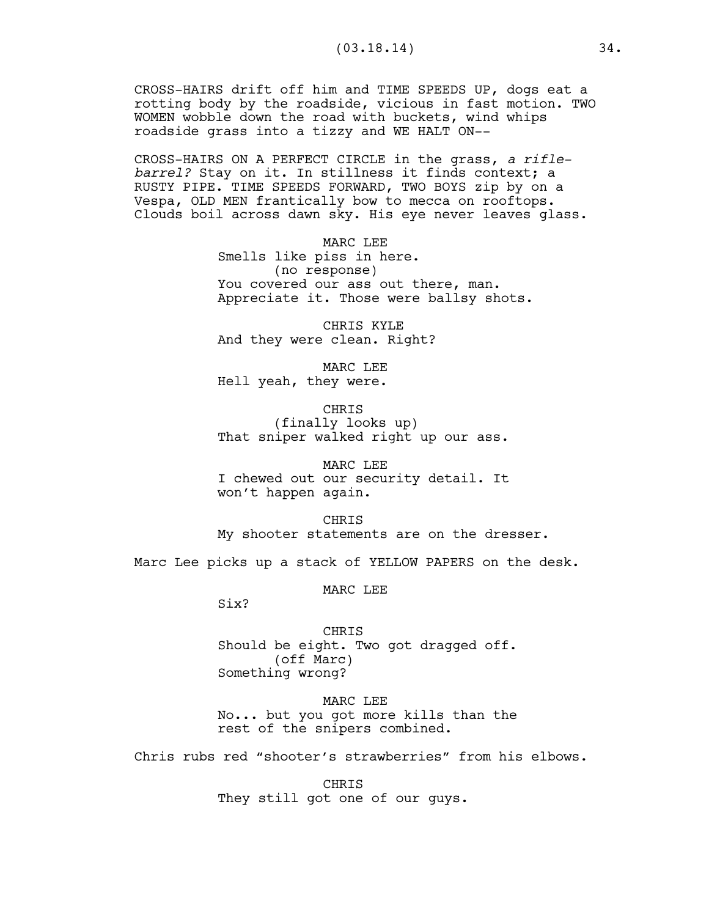CROSS-HAIRS drift off him and TIME SPEEDS UP, dogs eat a rotting body by the roadside, vicious in fast motion. TWO WOMEN wobble down the road with buckets, wind whips roadside grass into a tizzy and WE HALT ON--

CROSS-HAIRS ON A PERFECT CIRCLE in the grass, *a riflebarrel?* Stay on it. In stillness it finds context; a RUSTY PIPE. TIME SPEEDS FORWARD, TWO BOYS zip by on a Vespa, OLD MEN frantically bow to mecca on rooftops. Clouds boil across dawn sky. His eye never leaves glass.

> MARC LEE Smells like piss in here. (no response) You covered our ass out there, man. Appreciate it. Those were ballsy shots.

CHRIS KYLE And they were clean. Right?

MARC LEE Hell yeah, they were.

CHRIS (finally looks up) That sniper walked right up our ass.

MARC LEE I chewed out our security detail. It won't happen again.

**CHRTS** My shooter statements are on the dresser.

Marc Lee picks up a stack of YELLOW PAPERS on the desk.

MARC LEE

Six?

CHRIS Should be eight. Two got dragged off. (off Marc) Something wrong?

MARC LEE No... but you got more kills than the rest of the snipers combined.

Chris rubs red "shooter's strawberries" from his elbows.

CHRIS They still got one of our guys.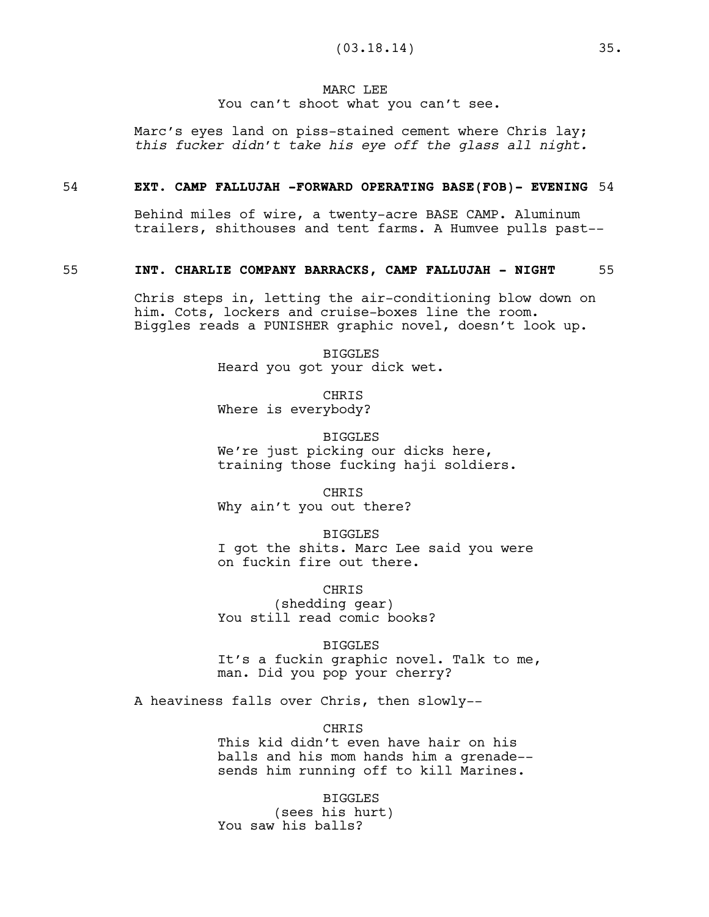#### MARC LEE

### You can't shoot what you can't see.

Marc's eyes land on piss-stained cement where Chris lay; *this fucker didn't take his eye off the glass all night.* 

#### 54 **EXT. CAMP FALLUJAH -FORWARD OPERATING BASE(FOB)- EVENING** 54

Behind miles of wire, a twenty-acre BASE CAMP. Aluminum trailers, shithouses and tent farms. A Humvee pulls past--

#### 55 **INT. CHARLIE COMPANY BARRACKS, CAMP FALLUJAH - NIGHT** 55

Chris steps in, letting the air-conditioning blow down on him. Cots, lockers and cruise-boxes line the room. Biggles reads a PUNISHER graphic novel, doesn't look up.

> BIGGLES Heard you got your dick wet.

CHRIS Where is everybody?

BIGGLES We're just picking our dicks here, training those fucking haji soldiers.

CHRIS Why ain't you out there?

BIGGLES

I got the shits. Marc Lee said you were on fuckin fire out there.

CHRIS

(shedding gear) You still read comic books?

BIGGLES

It's a fuckin graphic novel. Talk to me, man. Did you pop your cherry?

A heaviness falls over Chris, then slowly--

**CHRIS** 

This kid didn't even have hair on his balls and his mom hands him a grenade- sends him running off to kill Marines.

BIGGLES (sees his hurt) You saw his balls?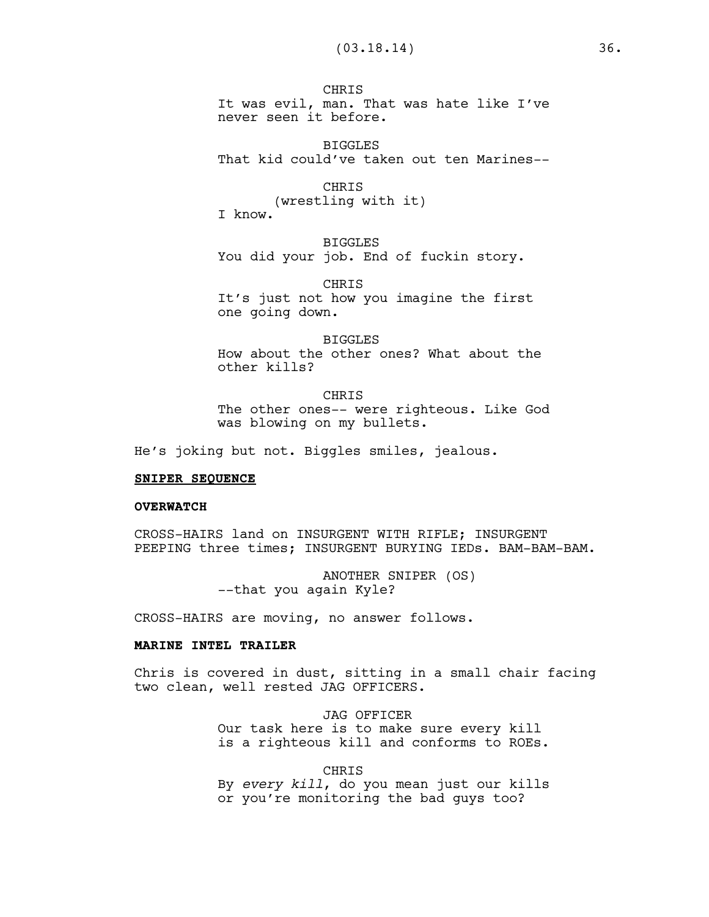**CHRTS** It was evil, man. That was hate like I've never seen it before.

BIGGLES That kid could've taken out ten Marines--

CHRIS (wrestling with it) I know.

BIGGLES You did your job. End of fuckin story.

CHRIS It's just not how you imagine the first one going down.

BIGGLES How about the other ones? What about the other kills?

CHRIS The other ones-- were righteous. Like God was blowing on my bullets.

He's joking but not. Biggles smiles, jealous.

#### **SNIPER SEQUENCE**

#### **OVERWATCH**

CROSS-HAIRS land on INSURGENT WITH RIFLE; INSURGENT PEEPING three times; INSURGENT BURYING IEDs. BAM-BAM-BAM.

> ANOTHER SNIPER (OS) --that you again Kyle?

CROSS-HAIRS are moving, no answer follows.

#### **MARINE INTEL TRAILER**

Chris is covered in dust, sitting in a small chair facing two clean, well rested JAG OFFICERS.

> JAG OFFICER Our task here is to make sure every kill is a righteous kill and conforms to ROEs.

> > CHRIS

By *every kill*, do you mean just our kills or you're monitoring the bad guys too?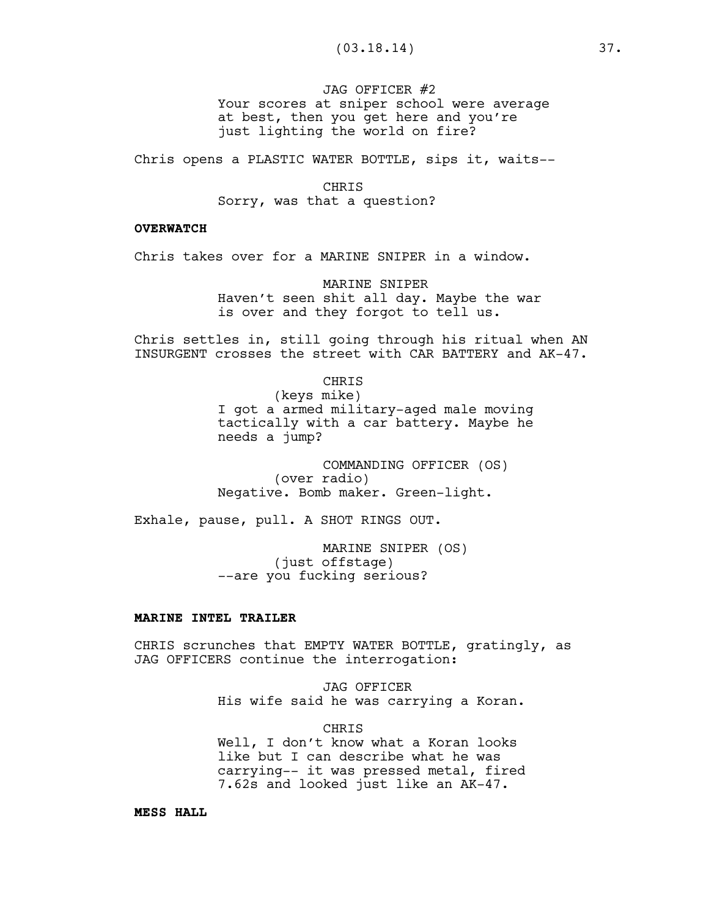JAG OFFICER #2 Your scores at sniper school were average at best, then you get here and you're just lighting the world on fire?

Chris opens a PLASTIC WATER BOTTLE, sips it, waits--

CHRIS Sorry, was that a question?

## **OVERWATCH**

Chris takes over for a MARINE SNIPER in a window.

MARINE SNIPER Haven't seen shit all day. Maybe the war is over and they forgot to tell us.

Chris settles in, still going through his ritual when AN INSURGENT crosses the street with CAR BATTERY and AK-47.

CHRIS

(keys mike) I got a armed military-aged male moving tactically with a car battery. Maybe he needs a jump?

COMMANDING OFFICER (OS) (over radio) Negative. Bomb maker. Green-light.

Exhale, pause, pull. A SHOT RINGS OUT.

MARINE SNIPER (OS) (just offstage) --are you fucking serious?

## **MARINE INTEL TRAILER**

CHRIS scrunches that EMPTY WATER BOTTLE, gratingly, as JAG OFFICERS continue the interrogation:

> JAG OFFICER His wife said he was carrying a Koran.

> > CHRIS

Well, I don't know what a Koran looks like but I can describe what he was carrying-- it was pressed metal, fired 7.62s and looked just like an AK-47.

**MESS HALL**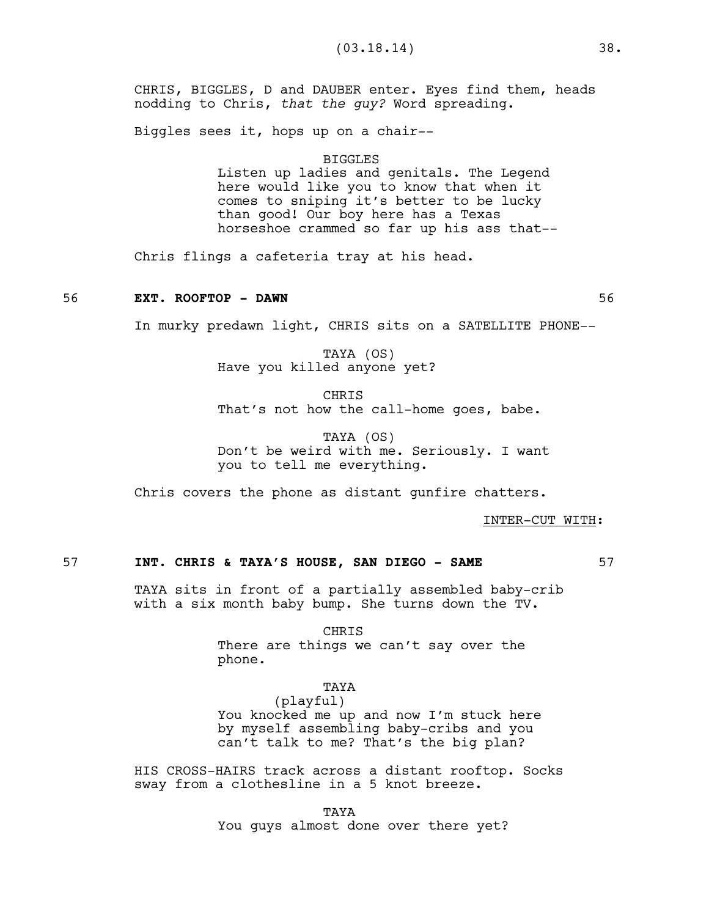CHRIS, BIGGLES, D and DAUBER enter. Eyes find them, heads nodding to Chris, *that the guy?* Word spreading.

Biggles sees it, hops up on a chair--

#### BIGGLES

Listen up ladies and genitals. The Legend here would like you to know that when it comes to sniping it's better to be lucky than good! Our boy here has a Texas horseshoe crammed so far up his ass that--

Chris flings a cafeteria tray at his head.

#### 56 **EXT. ROOFTOP - DAWN** 56

In murky predawn light, CHRIS sits on a SATELLITE PHONE--

TAYA (OS) Have you killed anyone yet?

**CHRTS** That's not how the call-home goes, babe.

TAYA (OS) Don't be weird with me. Seriously. I want you to tell me everything.

Chris covers the phone as distant gunfire chatters.

INTER-CUT WITH:

# 57 **INT. CHRIS & TAYA'S HOUSE, SAN DIEGO - SAME** 57

TAYA sits in front of a partially assembled baby-crib with a six month baby bump. She turns down the TV.

CHRIS

There are things we can't say over the phone.

#### TAYA

(playful) You knocked me up and now I'm stuck here by myself assembling baby-cribs and you can't talk to me? That's the big plan?

HIS CROSS-HAIRS track across a distant rooftop. Socks sway from a clothesline in a 5 knot breeze.

> TAYA You guys almost done over there yet?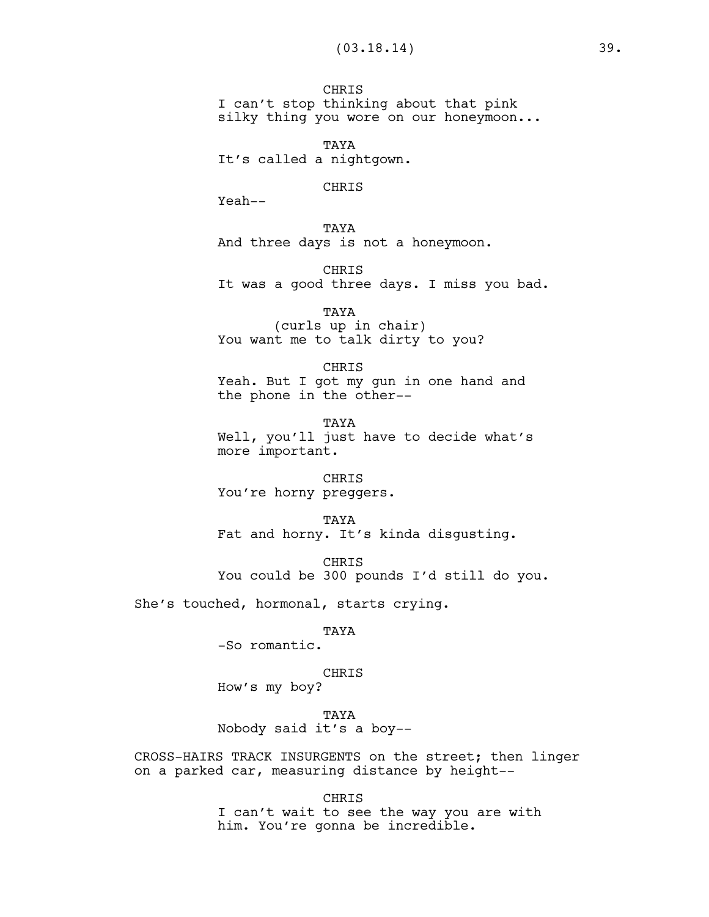**CHRIS** I can't stop thinking about that pink silky thing you wore on our honeymoon...

TAYA It's called a nightgown.

## CHRIS

Yeah--

TAYA And three days is not a honeymoon.

**CHRIS** It was a good three days. I miss you bad.

TAYA (curls up in chair) You want me to talk dirty to you?

CHRIS Yeah. But I got my gun in one hand and the phone in the other--

**TAYA** Well, you'll just have to decide what's more important.

CHRIS You're horny preggers.

TAYA Fat and horny. It's kinda disgusting.

CHRIS You could be 300 pounds I'd still do you.

She's touched, hormonal, starts crying.

TAYA

-So romantic.

CHRIS

How's my boy?

TAYA Nobody said it's a boy--

CROSS-HAIRS TRACK INSURGENTS on the street; then linger on a parked car, measuring distance by height--

CHRIS

I can't wait to see the way you are with him. You're gonna be incredible.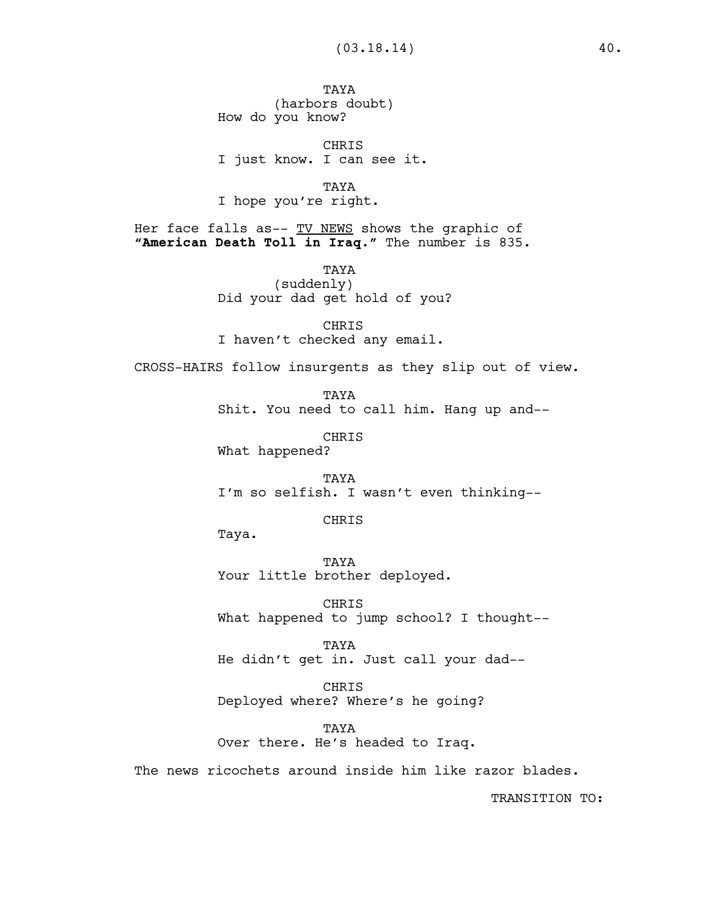TAYA (harbors doubt) How do you know?

CHRIS I just know. I can see it.

TAYA I hope you're right.

Her face falls as-- TV NEWS shows the graphic of **"American Death Toll in Iraq**.**"** The number is 835.

> TAYA (suddenly) Did your dad get hold of you?

CHRIS I haven't checked any email.

CROSS-HAIRS follow insurgents as they slip out of view.

**TAYA** Shit. You need to call him. Hang up and--

CHRIS What happened?

TAYA I'm so selfish. I wasn't even thinking--

CHRIS

Taya.

TAYA Your little brother deployed.

CHRIS What happened to jump school? I thought--

TAYA He didn't get in. Just call your dad--

CHRIS Deployed where? Where's he going?

TAYA Over there. He's headed to Iraq.

The news ricochets around inside him like razor blades.

TRANSITION TO: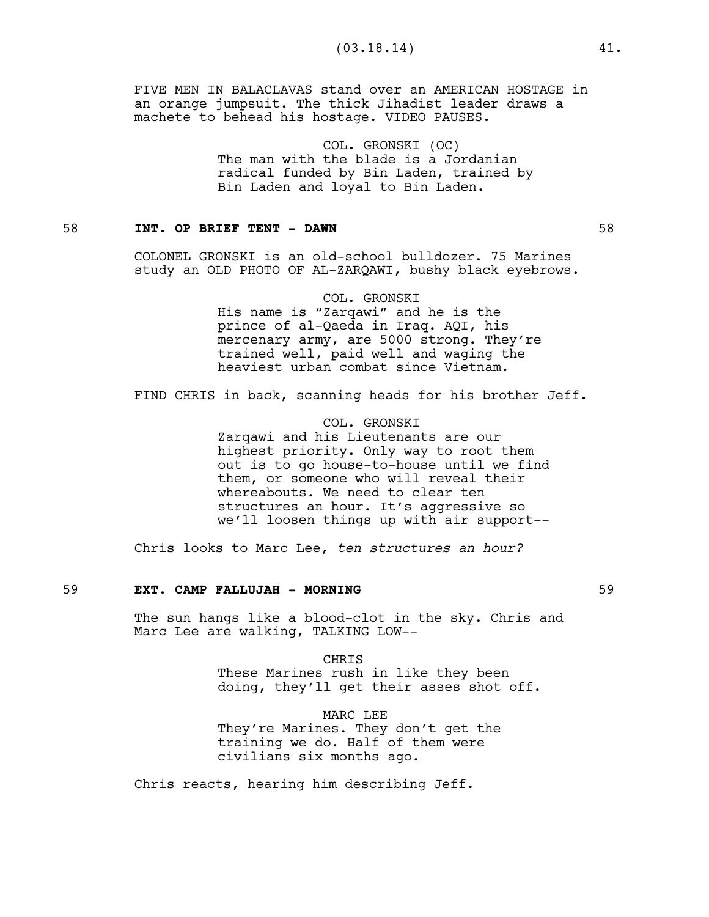FIVE MEN IN BALACLAVAS stand over an AMERICAN HOSTAGE in an orange jumpsuit. The thick Jihadist leader draws a machete to behead his hostage. VIDEO PAUSES.

> COL. GRONSKI (OC) The man with the blade is a Jordanian radical funded by Bin Laden, trained by Bin Laden and loyal to Bin Laden.

## 58 **INT. OP BRIEF TENT - DAWN** 58

COLONEL GRONSKI is an old-school bulldozer. 75 Marines study an OLD PHOTO OF AL-ZARQAWI, bushy black eyebrows.

> COL. GRONSKI His name is "Zarqawi" and he is the prince of al-Qaeda in Iraq. AQI, his mercenary army, are 5000 strong. They're trained well, paid well and waging the heaviest urban combat since Vietnam.

FIND CHRIS in back, scanning heads for his brother Jeff.

COL. GRONSKI Zarqawi and his Lieutenants are our highest priority. Only way to root them out is to go house-to-house until we find them, or someone who will reveal their whereabouts. We need to clear ten structures an hour. It's aggressive so we'll loosen things up with air support--

Chris looks to Marc Lee, *ten structures an hour?* 

## 59 **EXT. CAMP FALLUJAH - MORNING** 59

The sun hangs like a blood-clot in the sky. Chris and Marc Lee are walking, TALKING LOW--

> CHRIS These Marines rush in like they been doing, they'll get their asses shot off.

MARC LEE They're Marines. They don't get the training we do. Half of them were civilians six months ago.

Chris reacts, hearing him describing Jeff.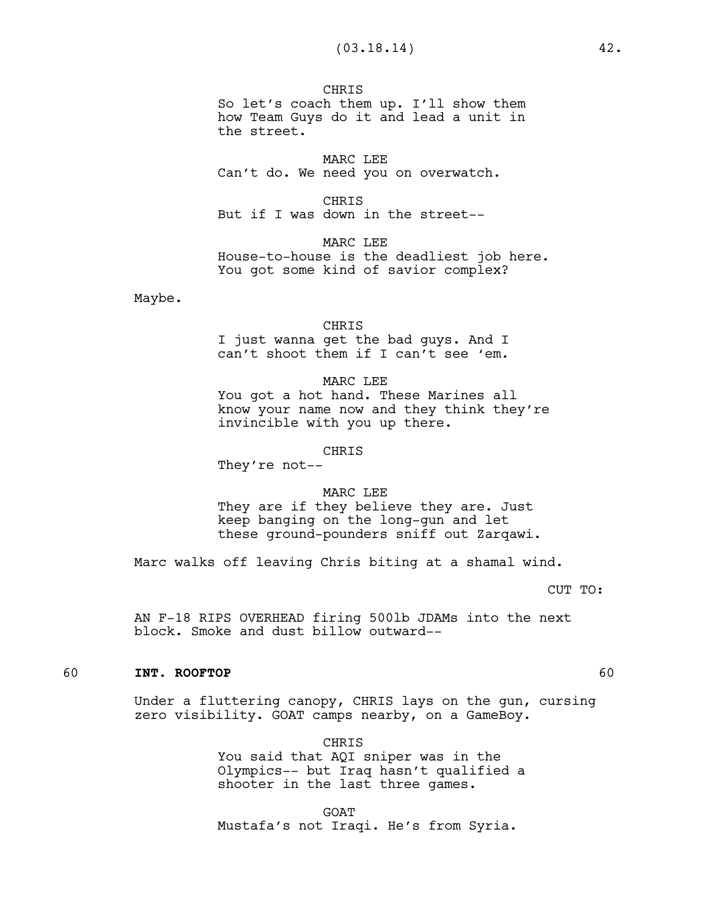**CHRIS** So let's coach them up. I'll show them how Team Guys do it and lead a unit in the street.

MARC LEE Can't do. We need you on overwatch.

**CHRIS** But if I was down in the street--

MARC LEE House-to-house is the deadliest job here. You got some kind of savior complex?

Maybe.

#### CHRIS

I just wanna get the bad guys. And I can't shoot them if I can't see 'em.

#### MARC LEE

You got a hot hand. These Marines all know your name now and they think they're invincible with you up there.

#### CHRIS

They're not--

#### MARC LEE

They are if they believe they are. Just keep banging on the long-gun and let these ground-pounders sniff out Zarqawi.

Marc walks off leaving Chris biting at a shamal wind.

CUT TO:

AN F-18 RIPS OVERHEAD firing 500lb JDAMs into the next block. Smoke and dust billow outward--

#### 60 **INT. ROOFTOP** 60

Under a fluttering canopy, CHRIS lays on the gun, cursing zero visibility. GOAT camps nearby, on a GameBoy.

CHRIS

You said that AQI sniper was in the Olympics-- but Iraq hasn't qualified a shooter in the last three games.

GOAT

Mustafa's not Iraqi. He's from Syria.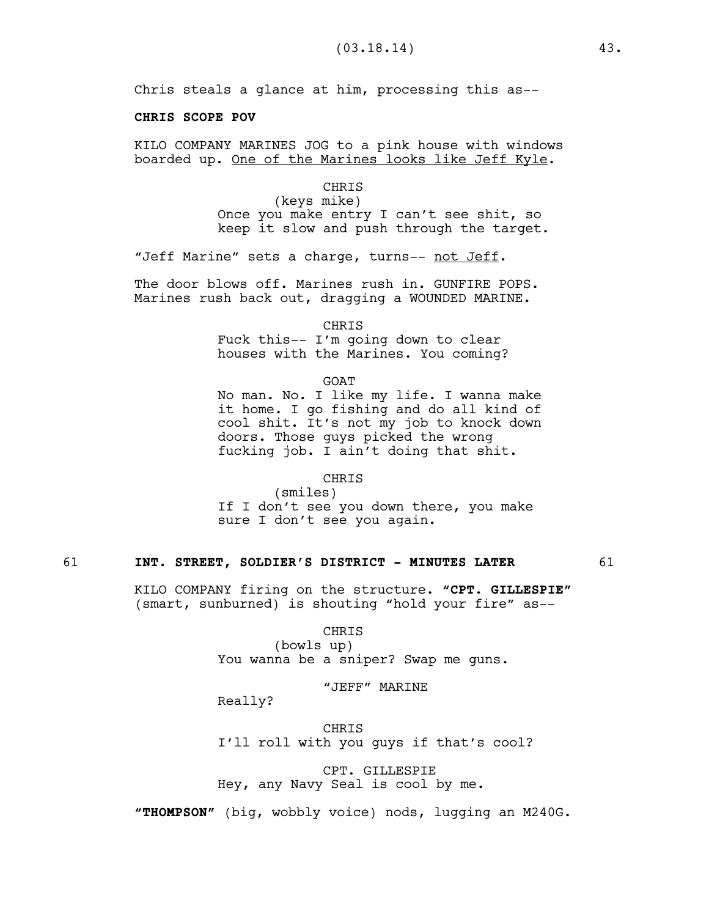Chris steals a glance at him, processing this as--

## **CHRIS SCOPE POV**

KILO COMPANY MARINES JOG to a pink house with windows boarded up. One of the Marines looks like Jeff Kyle.

#### CHRIS

(keys mike) Once you make entry I can't see shit, so keep it slow and push through the target.

"Jeff Marine" sets a charge, turns-- not Jeff.

The door blows off. Marines rush in. GUNFIRE POPS. Marines rush back out, dragging a WOUNDED MARINE.

> CHRIS Fuck this-- I'm going down to clear

houses with the Marines. You coming?

GOAT

No man. No. I like my life. I wanna make it home. I go fishing and do all kind of cool shit. It's not my job to knock down doors. Those guys picked the wrong fucking job. I ain't doing that shit.

## CHRIS

(smiles) If I don't see you down there, you make sure I don't see you again.

## 61 **INT. STREET, SOLDIER'S DISTRICT - MINUTES LATER** 61

KILO COMPANY firing on the structure. **"CPT. GILLESPIE"** (smart, sunburned) is shouting "hold your fire" as--

#### CHRIS

(bowls up) You wanna be a sniper? Swap me guns.

"JEFF" MARINE

Really?

**CHRIS** I'll roll with you guys if that's cool?

CPT. GILLESPIE Hey, any Navy Seal is cool by me.

**"THOMPSON"** (big, wobbly voice) nods, lugging an M240G.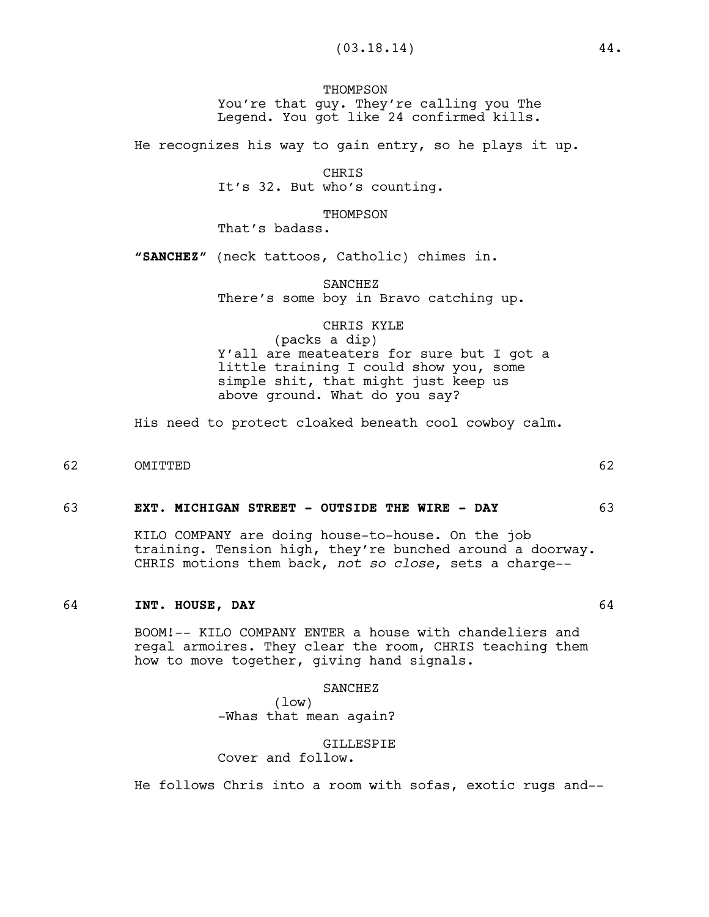## **THOMPSON** You're that guy. They're calling you The Legend. You got like 24 confirmed kills.

He recognizes his way to gain entry, so he plays it up.

CHRIS It's 32. But who's counting.

THOMPSON

That's badass.

**"SANCHEZ"** (neck tattoos, Catholic) chimes in.

SANCHEZ There's some boy in Bravo catching up.

# CHRIS KYLE

(packs a dip) Y'all are meateaters for sure but I got a little training I could show you, some simple shit, that might just keep us above ground. What do you say?

His need to protect cloaked beneath cool cowboy calm.

62 OMITTED 62

63 **EXT. MICHIGAN STREET - OUTSIDE THE WIRE - DAY** 63

KILO COMPANY are doing house-to-house. On the job training. Tension high, they're bunched around a doorway. CHRIS motions them back, *not so close*, sets a charge--

## 64 **INT. HOUSE, DAY** 64

BOOM!-- KILO COMPANY ENTER a house with chandeliers and regal armoires. They clear the room, CHRIS teaching them how to move together, giving hand signals.

## SANCHEZ

(low) -Whas that mean again?

#### **GILLESPIE**

Cover and follow.

He follows Chris into a room with sofas, exotic rugs and--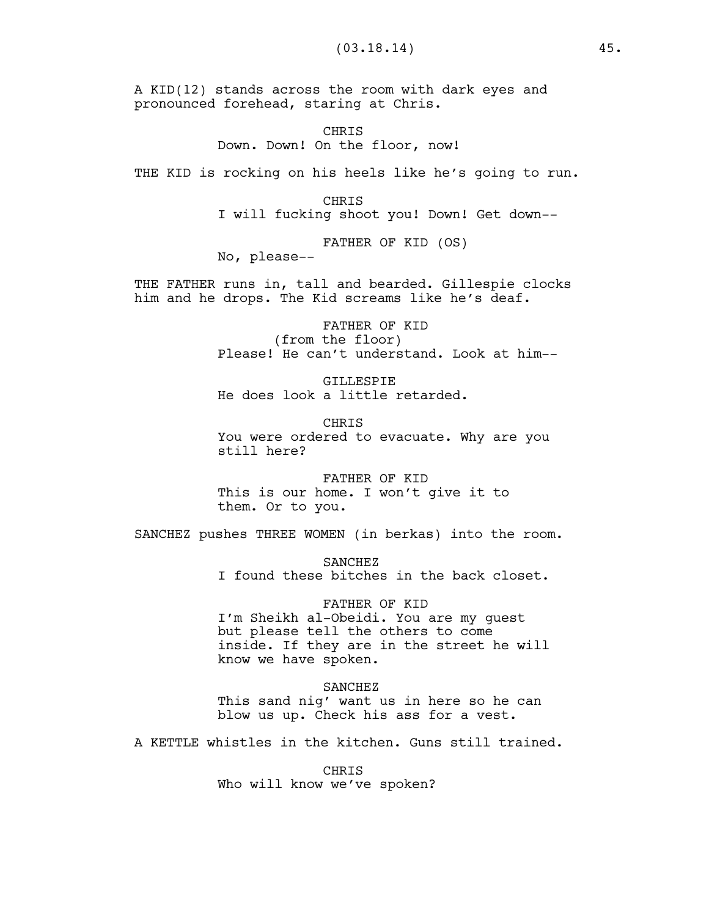A KID(12) stands across the room with dark eyes and pronounced forehead, staring at Chris.

> CHRIS Down. Down! On the floor, now!

THE KID is rocking on his heels like he's going to run.

CHRIS I will fucking shoot you! Down! Get down--

FATHER OF KID (OS) No, please--

THE FATHER runs in, tall and bearded. Gillespie clocks him and he drops. The Kid screams like he's deaf.

> FATHER OF KID (from the floor) Please! He can't understand. Look at him--

GILLESPIE He does look a little retarded.

**CHRIS** You were ordered to evacuate. Why are you still here?

FATHER OF KID This is our home. I won't give it to them. Or to you.

SANCHEZ pushes THREE WOMEN (in berkas) into the room.

SANCHEZ I found these bitches in the back closet.

FATHER OF KID I'm Sheikh al-Obeidi. You are my guest but please tell the others to come inside. If they are in the street he will know we have spoken.

SANCHEZ This sand nig' want us in here so he can blow us up. Check his ass for a vest.

A KETTLE whistles in the kitchen. Guns still trained.

CHRIS Who will know we've spoken?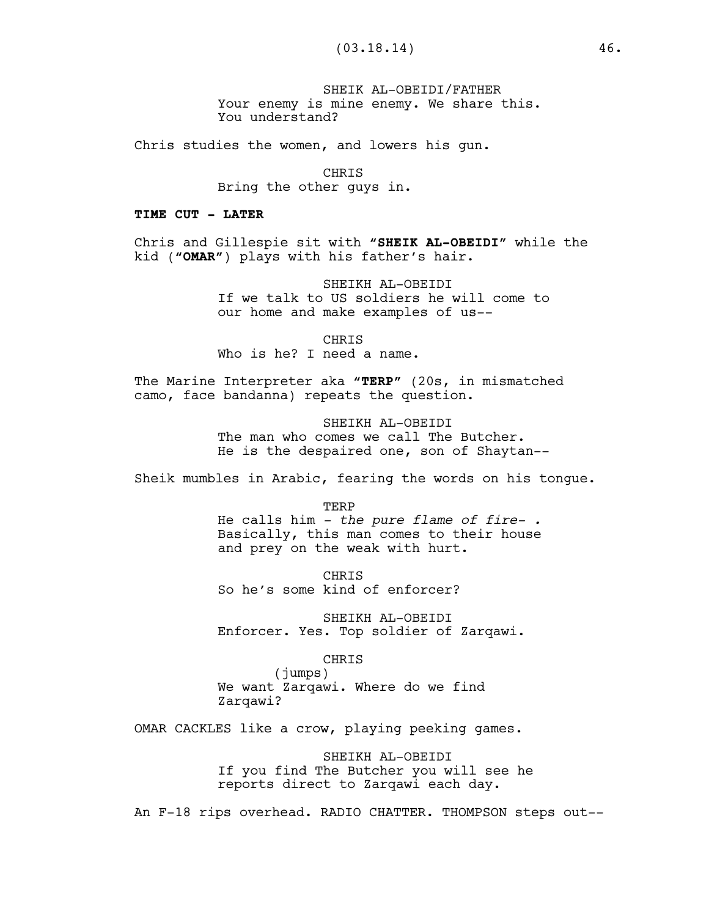SHEIK AL-OBEIDI/FATHER Your enemy is mine enemy. We share this. You understand?

Chris studies the women, and lowers his gun.

CHRIS Bring the other guys in.

#### **TIME CUT - LATER**

Chris and Gillespie sit with **"SHEIK AL-OBEIDI"** while the kid (**"OMAR"**) plays with his father's hair.

> SHEIKH AL-OBEIDI If we talk to US soldiers he will come to our home and make examples of us--

CHRIS Who is he? I need a name.

The Marine Interpreter aka **"TERP"** (20s, in mismatched camo, face bandanna) repeats the question.

> SHEIKH AL-OBEIDI The man who comes we call The Butcher. He is the despaired one, son of Shaytan--

Sheik mumbles in Arabic, fearing the words on his tongue.

TERP He calls him *- the pure flame of fire- .* Basically, this man comes to their house and prey on the weak with hurt.

CHRIS So he's some kind of enforcer?

SHEIKH AL-OBEIDI Enforcer. Yes. Top soldier of Zarqawi.

## CHRIS

(jumps) We want Zarqawi. Where do we find Zarqawi?

OMAR CACKLES like a crow, playing peeking games.

SHEIKH AL-OBEIDI If you find The Butcher you will see he reports direct to Zarqawi each day.

An F-18 rips overhead. RADIO CHATTER. THOMPSON steps out--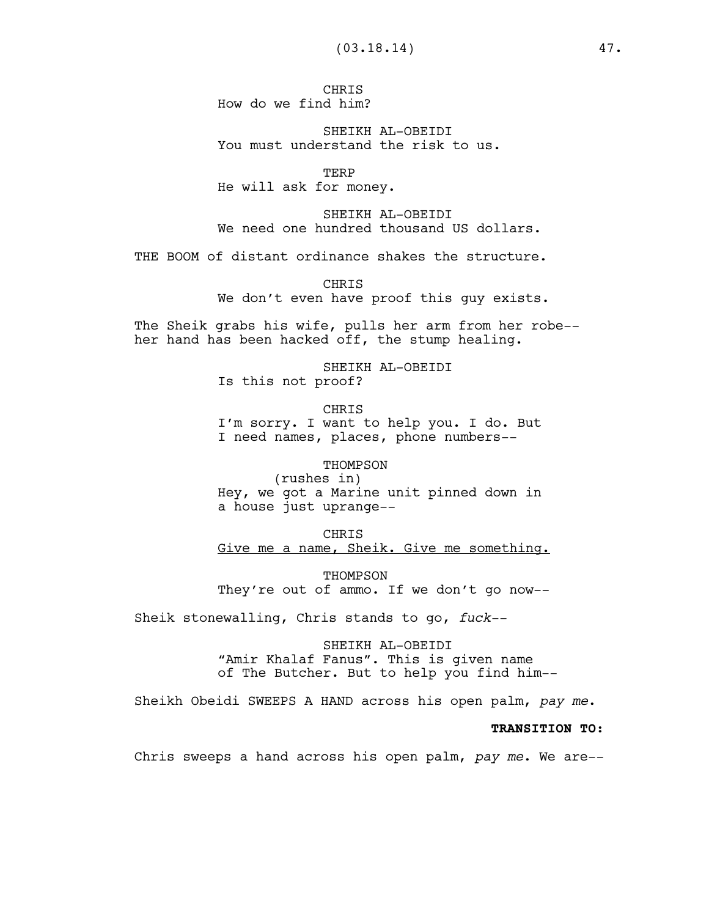**CHRTS** How do we find him?

SHEIKH AL-OBEIDI You must understand the risk to us.

TERP He will ask for money.

SHEIKH AL-OBEIDI We need one hundred thousand US dollars.

THE BOOM of distant ordinance shakes the structure.

**CHRTS** We don't even have proof this guy exists.

The Sheik grabs his wife, pulls her arm from her robe- her hand has been hacked off, the stump healing.

> SHEIKH AL-OBEIDI Is this not proof?

CHRIS I'm sorry. I want to help you. I do. But I need names, places, phone numbers--

THOMPSON (rushes in)

Hey, we got a Marine unit pinned down in a house just uprange--

CHRIS Give me a name, Sheik. Give me something.

THOMPSON They're out of ammo. If we don't go now--

Sheik stonewalling, Chris stands to go, *fuck--*

SHEIKH AL-OBEIDI "Amir Khalaf Fanus". This is given name of The Butcher. But to help you find him--

Sheikh Obeidi SWEEPS A HAND across his open palm, *pay me*.

#### **TRANSITION TO:**

Chris sweeps a hand across his open palm, *pay me*. We are--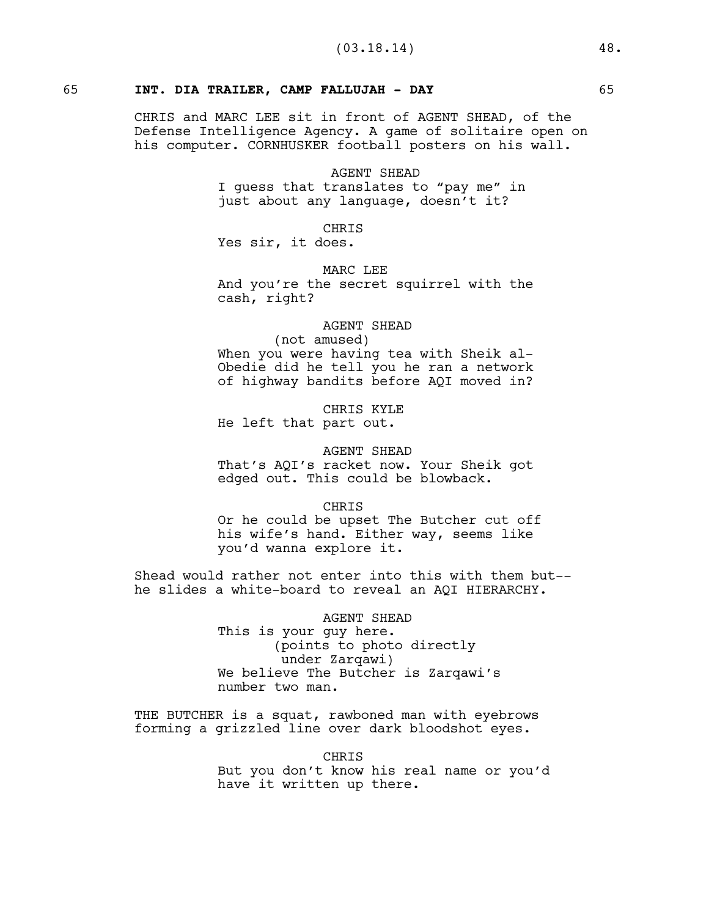## 65 **INT. DIA TRAILER, CAMP FALLUJAH - DAY** 65

CHRIS and MARC LEE sit in front of AGENT SHEAD, of the Defense Intelligence Agency. A game of solitaire open on his computer. CORNHUSKER football posters on his wall.

#### AGENT SHEAD

I guess that translates to "pay me" in just about any language, doesn't it?

CHRIS

Yes sir, it does.

MARC LEE

And you're the secret squirrel with the cash, right?

# AGENT SHEAD

(not amused) When you were having tea with Sheik al-Obedie did he tell you he ran a network of highway bandits before AQI moved in?

CHRIS KYLE

He left that part out.

#### AGENT SHEAD

That's AQI's racket now. Your Sheik got edged out. This could be blowback.

#### CHRIS

Or he could be upset The Butcher cut off his wife's hand. Either way, seems like you'd wanna explore it.

Shead would rather not enter into this with them but- he slides a white-board to reveal an AQI HIERARCHY.

> AGENT SHEAD This is your guy here. (points to photo directly under Zarqawi) We believe The Butcher is Zarqawi's number two man.

THE BUTCHER is a squat, rawboned man with eyebrows forming a grizzled line over dark bloodshot eyes.

> CHRIS But you don't know his real name or you'd have it written up there.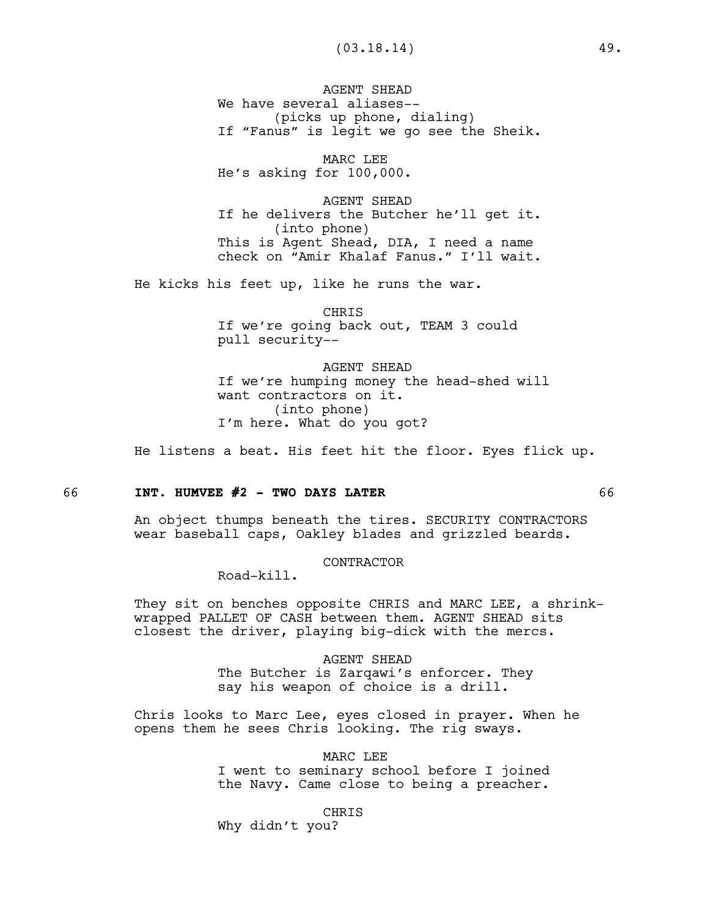AGENT SHEAD We have several aliases--(picks up phone, dialing) If "Fanus" is legit we go see the Sheik.

MARC LEE He's asking for 100,000.

AGENT SHEAD If he delivers the Butcher he'll get it. (into phone) This is Agent Shead, DIA, I need a name check on "Amir Khalaf Fanus." I'll wait.

He kicks his feet up, like he runs the war.

CHRIS If we're going back out, TEAM 3 could pull security--

AGENT SHEAD If we're humping money the head-shed will want contractors on it. (into phone) I'm here. What do you got?

He listens a beat. His feet hit the floor. Eyes flick up.

#### 66 **INT. HUMVEE #2 - TWO DAYS LATER** 66

An object thumps beneath the tires. SECURITY CONTRACTORS wear baseball caps, Oakley blades and grizzled beards.

CONTRACTOR

Road-kill.

They sit on benches opposite CHRIS and MARC LEE, a shrinkwrapped PALLET OF CASH between them. AGENT SHEAD sits closest the driver, playing big-dick with the mercs.

> AGENT SHEAD The Butcher is Zarqawi's enforcer. They say his weapon of choice is a drill.

Chris looks to Marc Lee, eyes closed in prayer. When he opens them he sees Chris looking. The rig sways.

> MARC LEE I went to seminary school before I joined the Navy. Came close to being a preacher.

> > CHRIS

Why didn't you?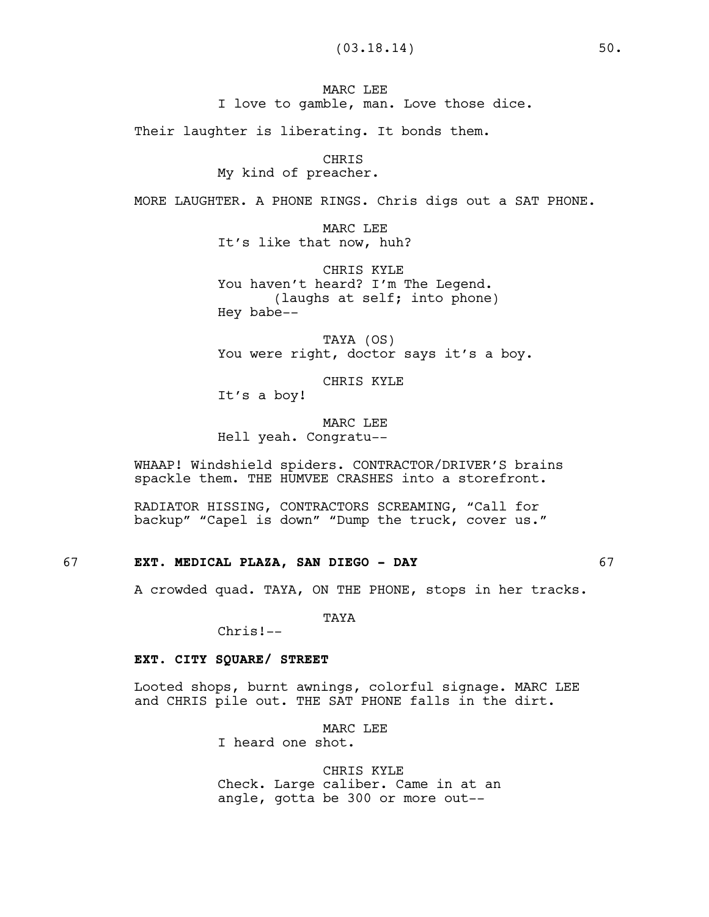MARC LEE I love to gamble, man. Love those dice.

Their laughter is liberating. It bonds them.

CHRIS

My kind of preacher.

MORE LAUGHTER. A PHONE RINGS. Chris digs out a SAT PHONE.

MARC LEE It's like that now, huh?

CHRIS KYLE You haven't heard? I'm The Legend. (laughs at self; into phone) Hey babe--

TAYA (OS) You were right, doctor says it's a boy.

CHRIS KYLE It's a boy!

MARC LEE Hell yeah. Congratu--

WHAAP! Windshield spiders. CONTRACTOR/DRIVER'S brains spackle them. THE HUMVEE CRASHES into a storefront.

RADIATOR HISSING, CONTRACTORS SCREAMING, "Call for backup" "Capel is down" "Dump the truck, cover us."

## 67 **EXT. MEDICAL PLAZA, SAN DIEGO - DAY** 67

A crowded quad. TAYA, ON THE PHONE, stops in her tracks.

TAYA

Chris!--

## **EXT. CITY SQUARE/ STREET**

Looted shops, burnt awnings, colorful signage. MARC LEE and CHRIS pile out. THE SAT PHONE falls in the dirt.

MARC LEE

I heard one shot.

CHRIS KYLE Check. Large caliber. Came in at an angle, gotta be 300 or more out--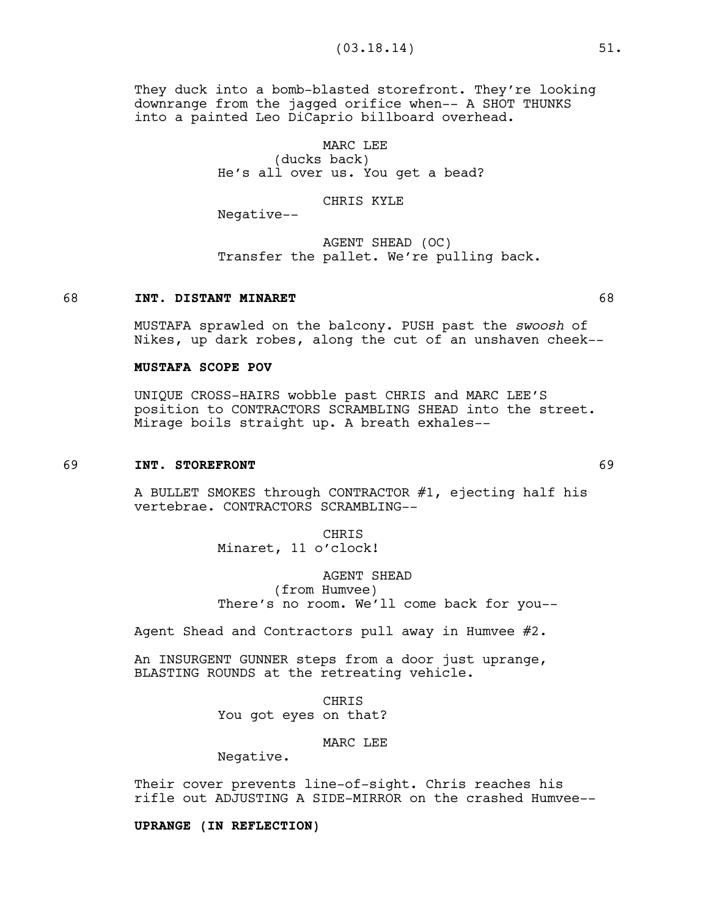They duck into a bomb-blasted storefront. They're looking downrange from the jagged orifice when-- A SHOT THUNKS into a painted Leo DiCaprio billboard overhead.

> MARC LEE (ducks back) He's all over us. You get a bead?

#### CHRIS KYLE

Negative--

AGENT SHEAD (OC) Transfer the pallet. We're pulling back.

#### 68 **INT. DISTANT MINARET** 68

MUSTAFA sprawled on the balcony. PUSH past the *swoosh* of Nikes, up dark robes, along the cut of an unshaven cheek--

#### **MUSTAFA SCOPE POV**

UNIQUE CROSS-HAIRS wobble past CHRIS and MARC LEE'S position to CONTRACTORS SCRAMBLING SHEAD into the street. Mirage boils straight up. A breath exhales--

## 69 **INT. STOREFRONT** 69

A BULLET SMOKES through CONTRACTOR #1, ejecting half his vertebrae. CONTRACTORS SCRAMBLING--

> CHRIS Minaret, 11 o'clock!

## AGENT SHEAD

(from Humvee) There's no room. We'll come back for you--

Agent Shead and Contractors pull away in Humvee #2.

An INSURGENT GUNNER steps from a door just uprange, BLASTING ROUNDS at the retreating vehicle.

> CHRIS You got eyes on that?

> > MARC LEE

Negative.

Their cover prevents line-of-sight. Chris reaches his rifle out ADJUSTING A SIDE-MIRROR on the crashed Humvee--

**UPRANGE (IN REFLECTION)**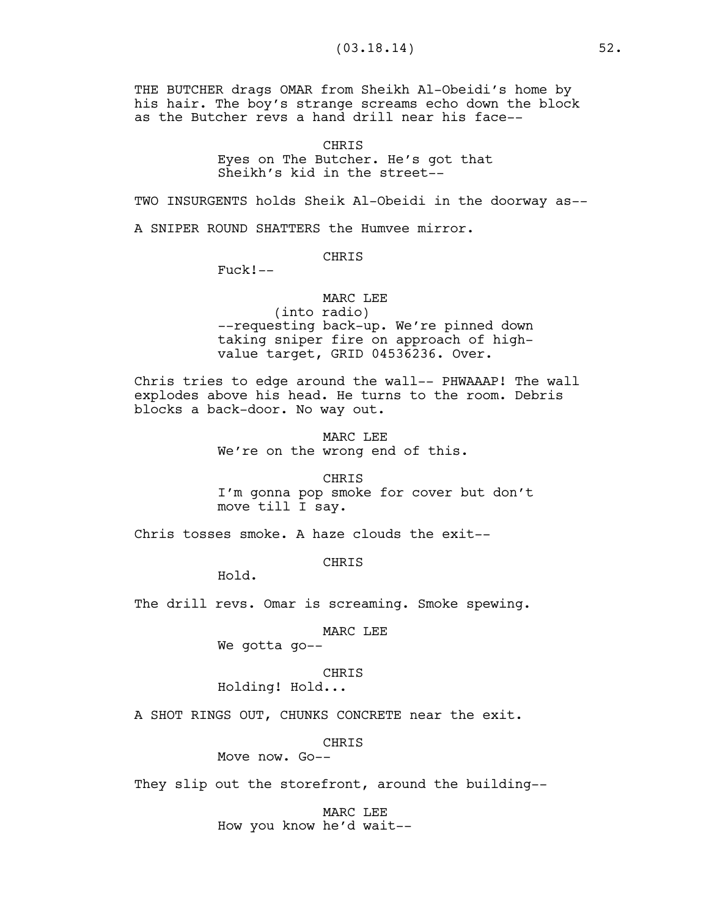THE BUTCHER drags OMAR from Sheikh Al-Obeidi's home by his hair. The boy's strange screams echo down the block as the Butcher revs a hand drill near his face--

> CHRIS Eyes on The Butcher. He's got that Sheikh's kid in the street--

TWO INSURGENTS holds Sheik Al-Obeidi in the doorway as--

A SNIPER ROUND SHATTERS the Humvee mirror.

CHRIS

Fuck!--

## MARC LEE

(into radio) --requesting back-up. We're pinned down taking sniper fire on approach of highvalue target, GRID 04536236. Over.

Chris tries to edge around the wall-- PHWAAAP! The wall explodes above his head. He turns to the room. Debris blocks a back-door. No way out.

> MARC LEE We're on the wrong end of this.

CHRIS I'm gonna pop smoke for cover but don't move till I say.

Chris tosses smoke. A haze clouds the exit--

CHRIS

Hold.

The drill revs. Omar is screaming. Smoke spewing.

## MARC LEE

We gotta go--

### CHRIS

Holding! Hold...

A SHOT RINGS OUT, CHUNKS CONCRETE near the exit.

CHRIS

Move now. Go--

They slip out the storefront, around the building--

MARC LEE How you know he'd wait--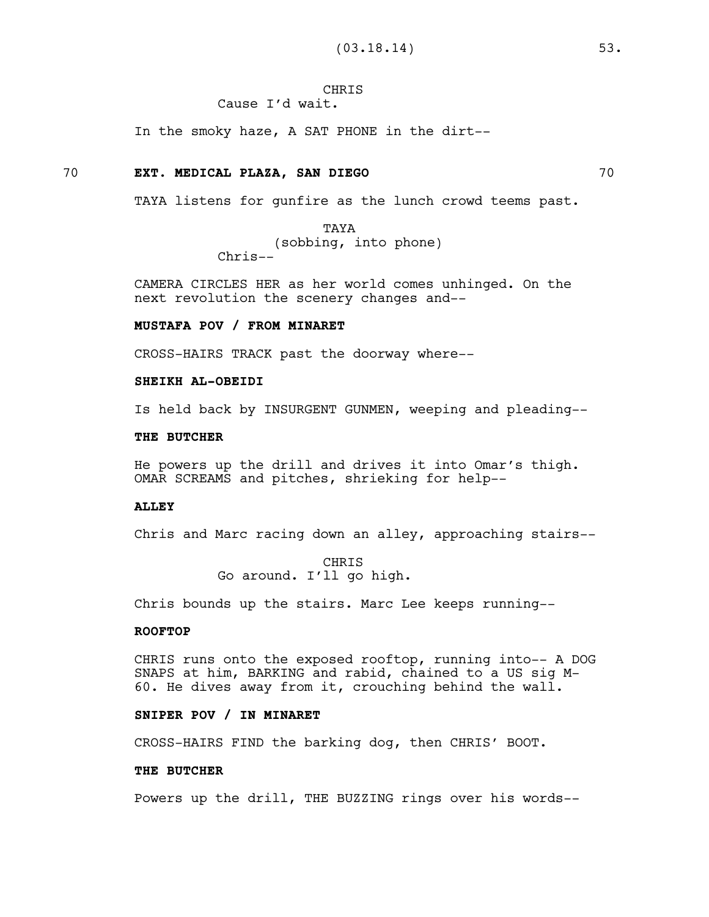# **CHRIS**

Cause I'd wait.

In the smoky haze, A SAT PHONE in the dirt--

## 70 **EXT. MEDICAL PLAZA, SAN DIEGO** 70

TAYA listens for gunfire as the lunch crowd teems past.

TAYA (sobbing, into phone) Chris--

CAMERA CIRCLES HER as her world comes unhinged. On the next revolution the scenery changes and--

## **MUSTAFA POV / FROM MINARET**

CROSS-HAIRS TRACK past the doorway where--

## **SHEIKH AL-OBEIDI**

Is held back by INSURGENT GUNMEN, weeping and pleading--

#### **THE BUTCHER**

He powers up the drill and drives it into Omar's thigh. OMAR SCREAMS and pitches, shrieking for help--

#### **ALLEY**

Chris and Marc racing down an alley, approaching stairs--

CHRIS Go around. I'll go high.

Chris bounds up the stairs. Marc Lee keeps running--

## **ROOFTOP**

CHRIS runs onto the exposed rooftop, running into-- A DOG SNAPS at him, BARKING and rabid, chained to a US sig M-60. He dives away from it, crouching behind the wall.

## **SNIPER POV / IN MINARET**

CROSS-HAIRS FIND the barking dog, then CHRIS' BOOT.

## **THE BUTCHER**

Powers up the drill, THE BUZZING rings over his words--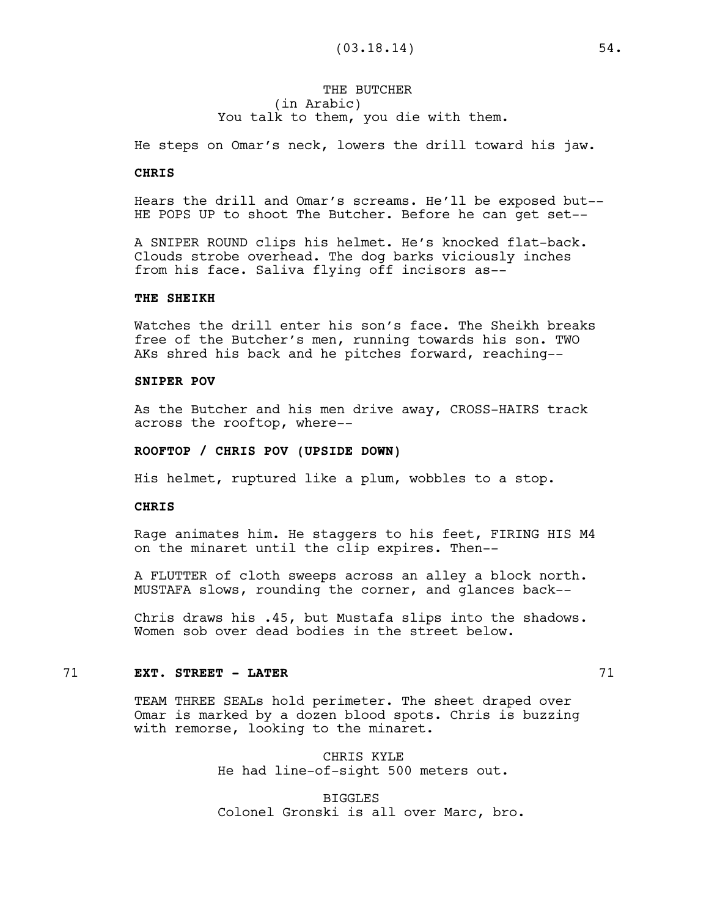## THE BUTCHER (in Arabic) You talk to them, you die with them.

He steps on Omar's neck, lowers the drill toward his jaw.

## **CHRIS**

Hears the drill and Omar's screams. He'll be exposed but-- HE POPS UP to shoot The Butcher. Before he can get set--

A SNIPER ROUND clips his helmet. He's knocked flat-back. Clouds strobe overhead. The dog barks viciously inches from his face. Saliva flying off incisors as--

#### **THE SHEIKH**

Watches the drill enter his son's face. The Sheikh breaks free of the Butcher's men, running towards his son. TWO AKs shred his back and he pitches forward, reaching--

## **SNIPER POV**

As the Butcher and his men drive away, CROSS-HAIRS track across the rooftop, where--

#### **ROOFTOP / CHRIS POV (UPSIDE DOWN)**

His helmet, ruptured like a plum, wobbles to a stop.

#### **CHRIS**

Rage animates him. He staggers to his feet, FIRING HIS M4 on the minaret until the clip expires. Then--

A FLUTTER of cloth sweeps across an alley a block north. MUSTAFA slows, rounding the corner, and glances back--

Chris draws his .45, but Mustafa slips into the shadows. Women sob over dead bodies in the street below.

#### 71 **EXT. STREET - LATER** 71

TEAM THREE SEALs hold perimeter. The sheet draped over Omar is marked by a dozen blood spots. Chris is buzzing with remorse, looking to the minaret.

> CHRIS KYLE He had line-of-sight 500 meters out.

BIGGLES Colonel Gronski is all over Marc, bro.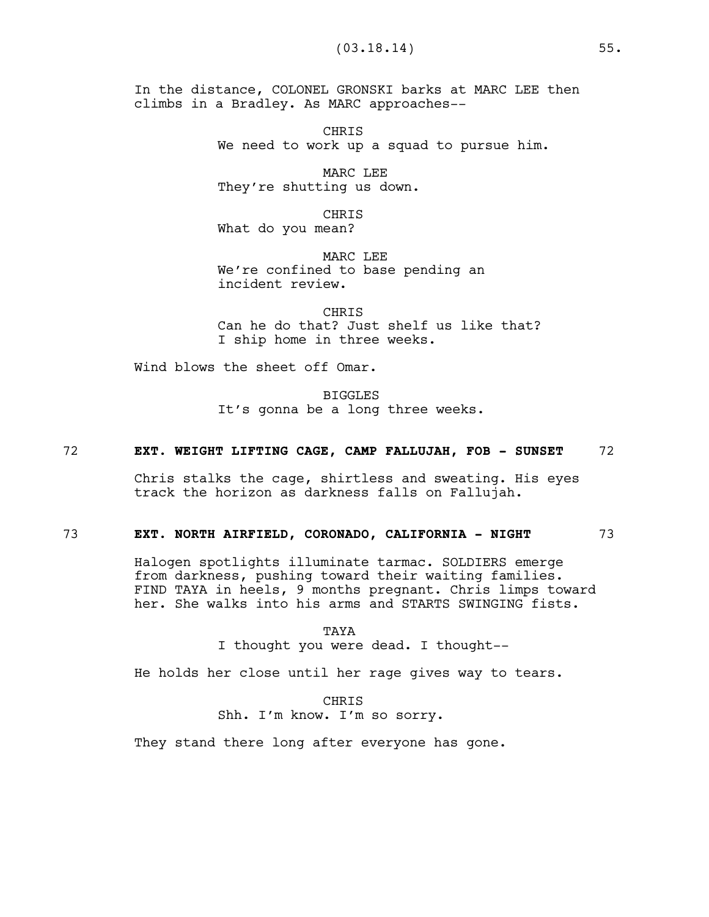In the distance, COLONEL GRONSKI barks at MARC LEE then climbs in a Bradley. As MARC approaches--

> CHRIS We need to work up a squad to pursue him.

MARC LEE They're shutting us down.

CHRIS What do you mean?

MARC LEE We're confined to base pending an incident review.

**CHRTS** Can he do that? Just shelf us like that? I ship home in three weeks.

Wind blows the sheet off Omar.

BIGGLES It's gonna be a long three weeks.

## 72 **EXT. WEIGHT LIFTING CAGE, CAMP FALLUJAH, FOB - SUNSET** 72

Chris stalks the cage, shirtless and sweating. His eyes track the horizon as darkness falls on Fallujah.

## 73 **EXT. NORTH AIRFIELD, CORONADO, CALIFORNIA - NIGHT** 73

Halogen spotlights illuminate tarmac. SOLDIERS emerge from darkness, pushing toward their waiting families. FIND TAYA in heels, 9 months pregnant. Chris limps toward her. She walks into his arms and STARTS SWINGING fists.

TAYA

I thought you were dead. I thought--

He holds her close until her rage gives way to tears.

**CHRIS** Shh. I'm know. I'm so sorry.

They stand there long after everyone has gone.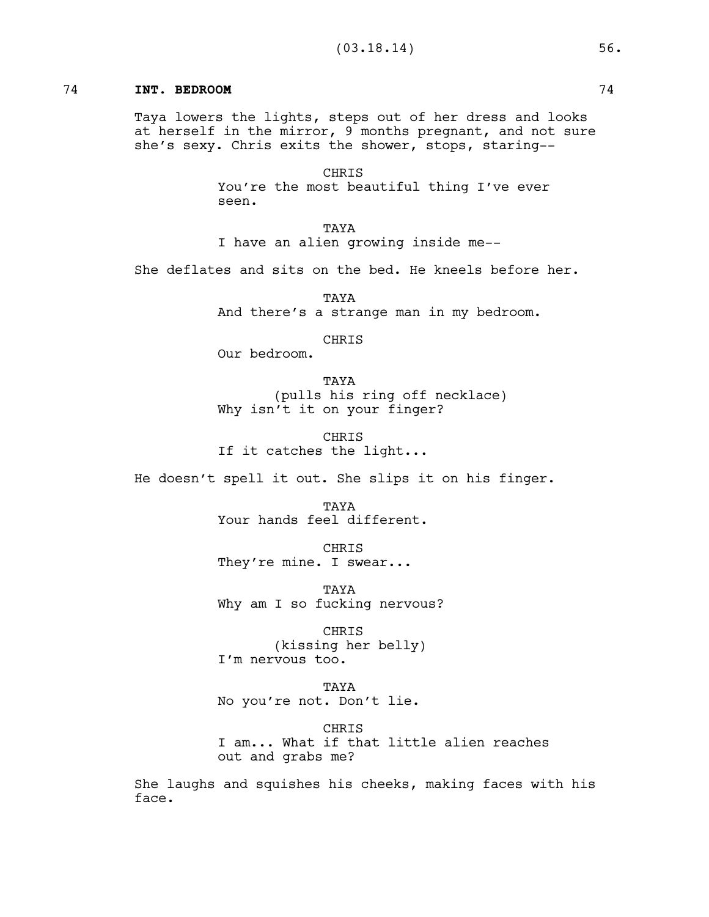## 74 **INT. BEDROOM** 74

Taya lowers the lights, steps out of her dress and looks at herself in the mirror, 9 months pregnant, and not sure she's sexy. Chris exits the shower, stops, staring--

> CHRIS You're the most beautiful thing I've ever seen.

TAYA I have an alien growing inside me--

She deflates and sits on the bed. He kneels before her.

TAYA And there's a strange man in my bedroom.

CHRIS

Our bedroom.

TAYA (pulls his ring off necklace) Why isn't it on your finger?

CHRIS If it catches the light...

He doesn't spell it out. She slips it on his finger.

TAYA Your hands feel different.

CHRIS They're mine. I swear...

TAYA Why am I so fucking nervous?

CHRIS (kissing her belly) I'm nervous too.

TAYA No you're not. Don't lie.

**CHRIS** I am... What if that little alien reaches out and grabs me?

She laughs and squishes his cheeks, making faces with his face.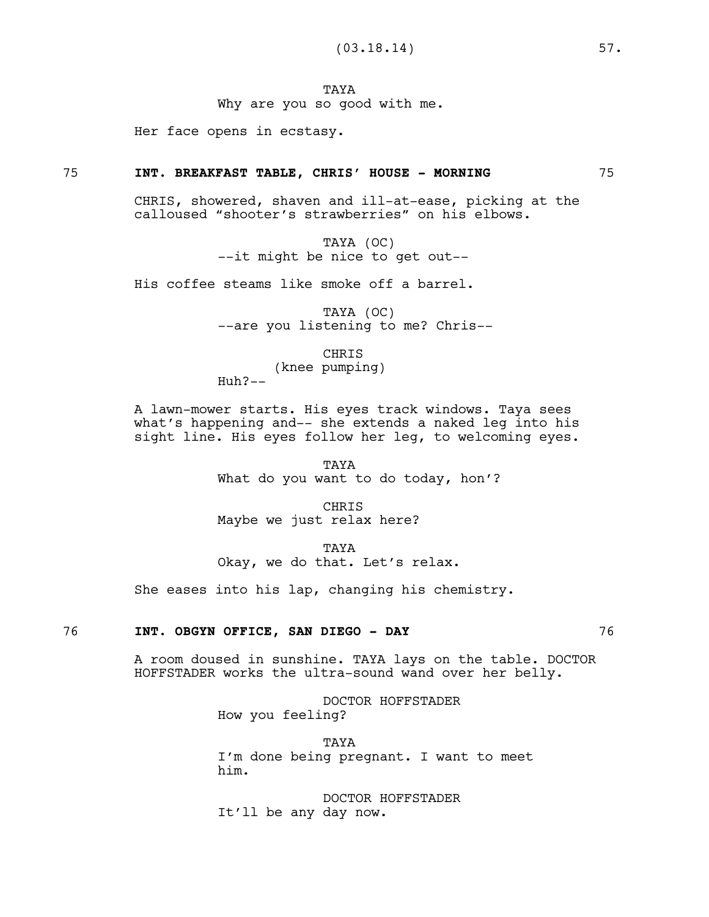**TAYA** 

Why are you so good with me.

Her face opens in ecstasy.

#### 75 **INT. BREAKFAST TABLE, CHRIS' HOUSE - MORNING** 75

CHRIS, showered, shaven and ill-at-ease, picking at the calloused "shooter's strawberries" on his elbows.

> TAYA (OC) --it might be nice to get out--

His coffee steams like smoke off a barrel.

TAYA (OC) --are you listening to me? Chris--

CHRIS

(knee pumping)

Huh?--

A lawn-mower starts. His eyes track windows. Taya sees what's happening and-- she extends a naked leg into his sight line. His eyes follow her leg, to welcoming eyes.

> TAYA What do you want to do today, hon'?

CHRIS Maybe we just relax here?

TAYA Okay, we do that. Let's relax.

She eases into his lap, changing his chemistry.

## 76 **INT. OBGYN OFFICE, SAN DIEGO - DAY** 76

A room doused in sunshine. TAYA lays on the table. DOCTOR HOFFSTADER works the ultra-sound wand over her belly.

> DOCTOR HOFFSTADER How you feeling?

TAYA I'm done being pregnant. I want to meet him.

DOCTOR HOFFSTADER It'll be any day now.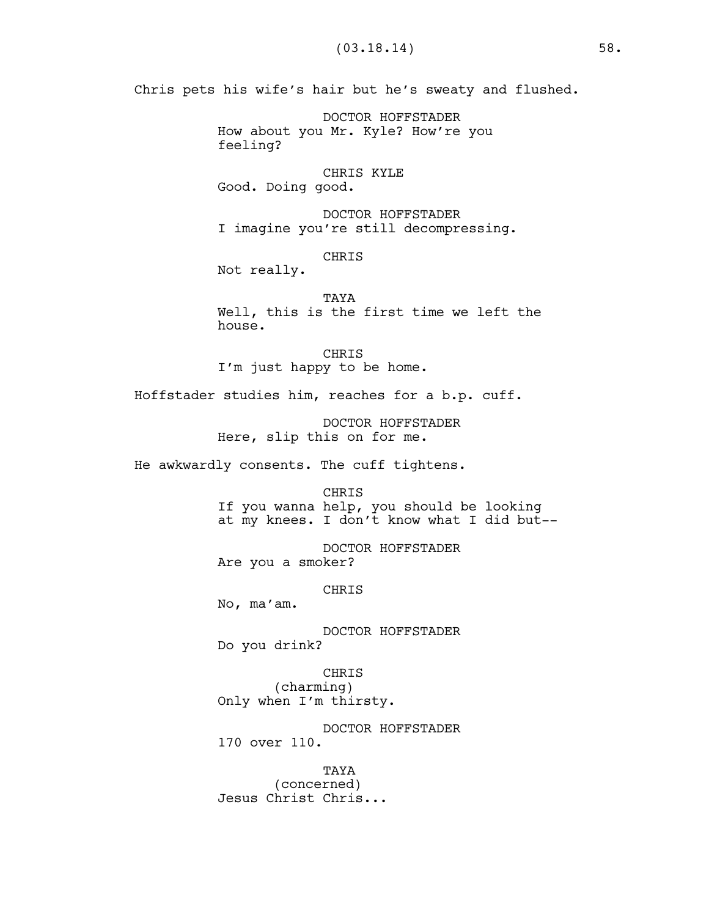Chris pets his wife's hair but he's sweaty and flushed.

DOCTOR HOFFSTADER How about you Mr. Kyle? How're you feeling?

CHRIS KYLE Good. Doing good.

DOCTOR HOFFSTADER I imagine you're still decompressing.

CHRIS

Not really.

TAYA Well, this is the first time we left the house.

CHRIS I'm just happy to be home.

Hoffstader studies him, reaches for a b.p. cuff.

DOCTOR HOFFSTADER Here, slip this on for me.

He awkwardly consents. The cuff tightens.

CHRIS If you wanna help, you should be looking at my knees. I don't know what I did but--

DOCTOR HOFFSTADER Are you a smoker?

CHRIS

No, ma'am.

DOCTOR HOFFSTADER Do you drink?

CHRIS (charming) Only when I'm thirsty.

DOCTOR HOFFSTADER 170 over 110.

TAYA (concerned) Jesus Christ Chris...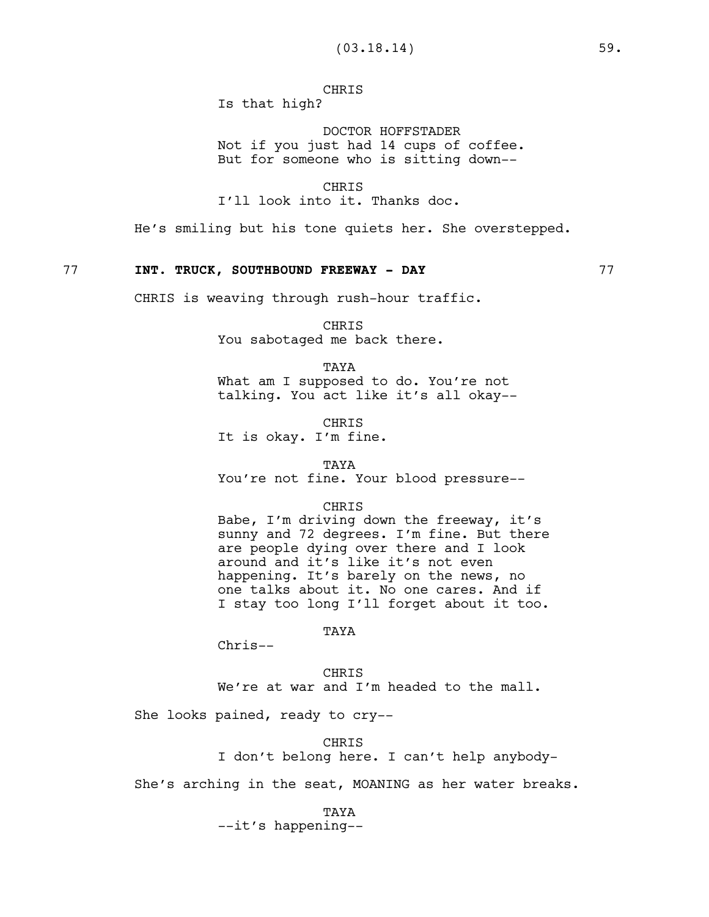CHRIS Is that high?

DOCTOR HOFFSTADER Not if you just had 14 cups of coffee. But for someone who is sitting down--

CHRIS I'll look into it. Thanks doc.

He's smiling but his tone quiets her. She overstepped.

## 77 **INT. TRUCK, SOUTHBOUND FREEWAY - DAY** 77

CHRIS is weaving through rush-hour traffic.

CHRIS You sabotaged me back there.

TAYA What am I supposed to do. You're not talking. You act like it's all okay--

**CHRIS** It is okay. I'm fine.

TAYA

You're not fine. Your blood pressure--

#### CHRIS

Babe, I'm driving down the freeway, it's sunny and 72 degrees. I'm fine. But there are people dying over there and I look around and it's like it's not even happening. It's barely on the news, no one talks about it. No one cares. And if I stay too long I'll forget about it too.

## TAYA

Chris--

**CHRTS** We're at war and I'm headed to the mall.

She looks pained, ready to cry--

CHRIS I don't belong here. I can't help anybody-

She's arching in the seat, MOANING as her water breaks.

#### TAYA

--it's happening--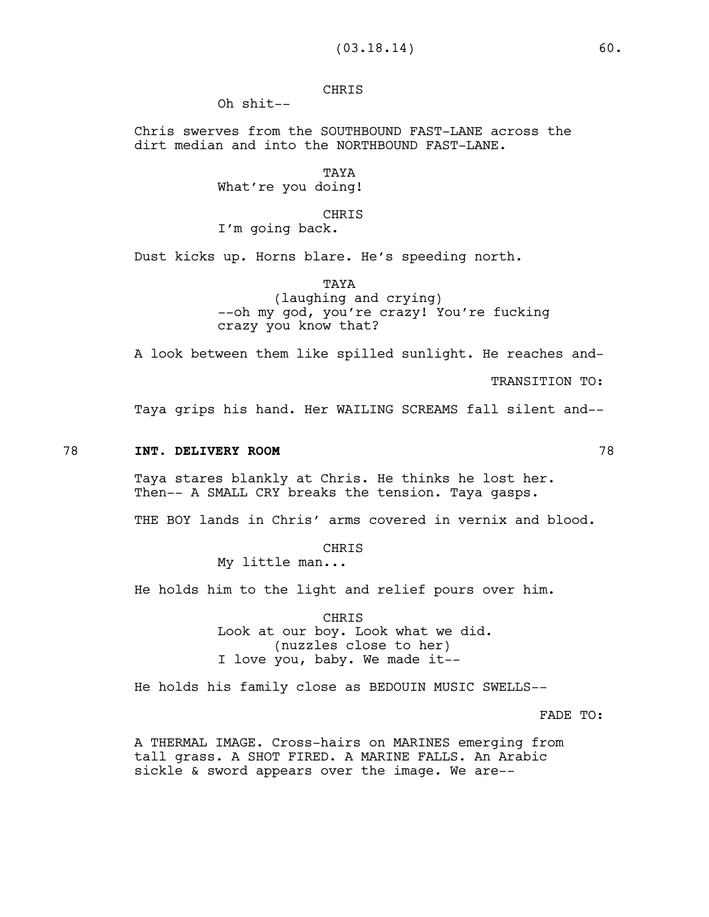# CHRIS

Oh shit--

Chris swerves from the SOUTHBOUND FAST-LANE across the dirt median and into the NORTHBOUND FAST-LANE.

> TAYA What're you doing!

#### CHRIS

I'm going back.

Dust kicks up. Horns blare. He's speeding north.

TAYA

(laughing and crying) --oh my god, you're crazy! You're fucking crazy you know that?

A look between them like spilled sunlight. He reaches and-

TRANSITION TO:

Taya grips his hand. Her WAILING SCREAMS fall silent and--

#### 78 **INT. DELIVERY ROOM** 78

Taya stares blankly at Chris. He thinks he lost her. Then-- A SMALL CRY breaks the tension. Taya gasps.

THE BOY lands in Chris' arms covered in vernix and blood.

CHRIS

My little man...

He holds him to the light and relief pours over him.

CHRIS Look at our boy. Look what we did. (nuzzles close to her) I love you, baby. We made it--

He holds his family close as BEDOUIN MUSIC SWELLS--

FADE TO:

A THERMAL IMAGE. Cross-hairs on MARINES emerging from tall grass. A SHOT FIRED. A MARINE FALLS. An Arabic sickle & sword appears over the image. We are--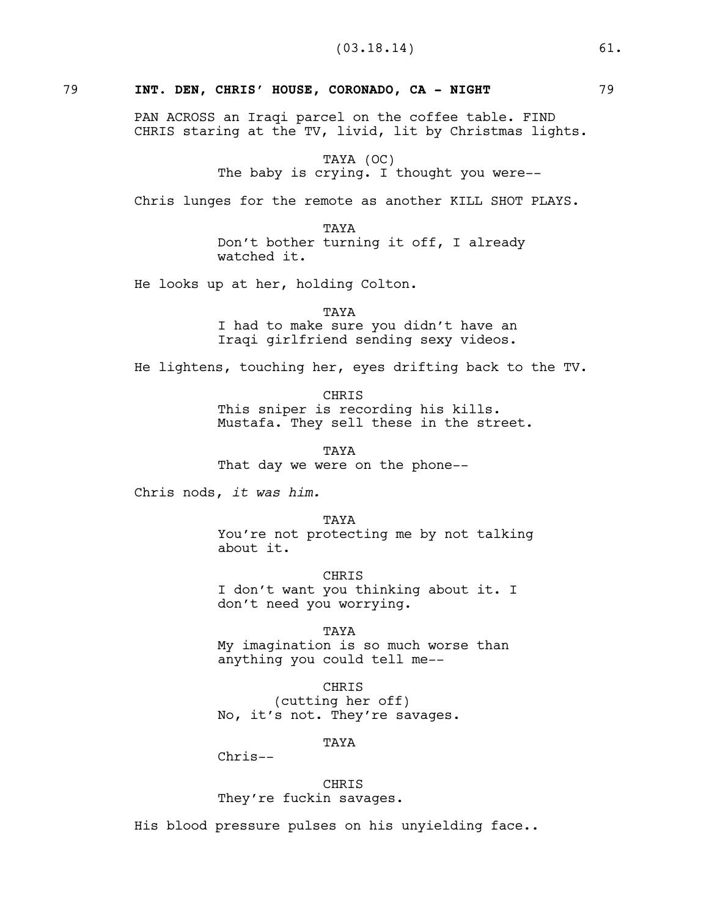## 79 **INT. DEN, CHRIS' HOUSE, CORONADO, CA - NIGHT** 79

PAN ACROSS an Iraqi parcel on the coffee table. FIND CHRIS staring at the TV, livid, lit by Christmas lights.

TAYA (OC)

The baby is crying. I thought you were--

Chris lunges for the remote as another KILL SHOT PLAYS.

TAYA Don't bother turning it off, I already watched it.

He looks up at her, holding Colton.

TAYA I had to make sure you didn't have an Iraqi girlfriend sending sexy videos.

He lightens, touching her, eyes drifting back to the TV.

CHRIS This sniper is recording his kills. Mustafa. They sell these in the street.

TAYA That day we were on the phone--

Chris nods, *it was him.* 

**TAYA** You're not protecting me by not talking about it.

**CHRTS** I don't want you thinking about it. I don't need you worrying.

TAYA

My imagination is so much worse than anything you could tell me--

CHRIS

(cutting her off) No, it's not. They're savages.

TAYA

Chris--

CHRIS They're fuckin savages.

His blood pressure pulses on his unyielding face..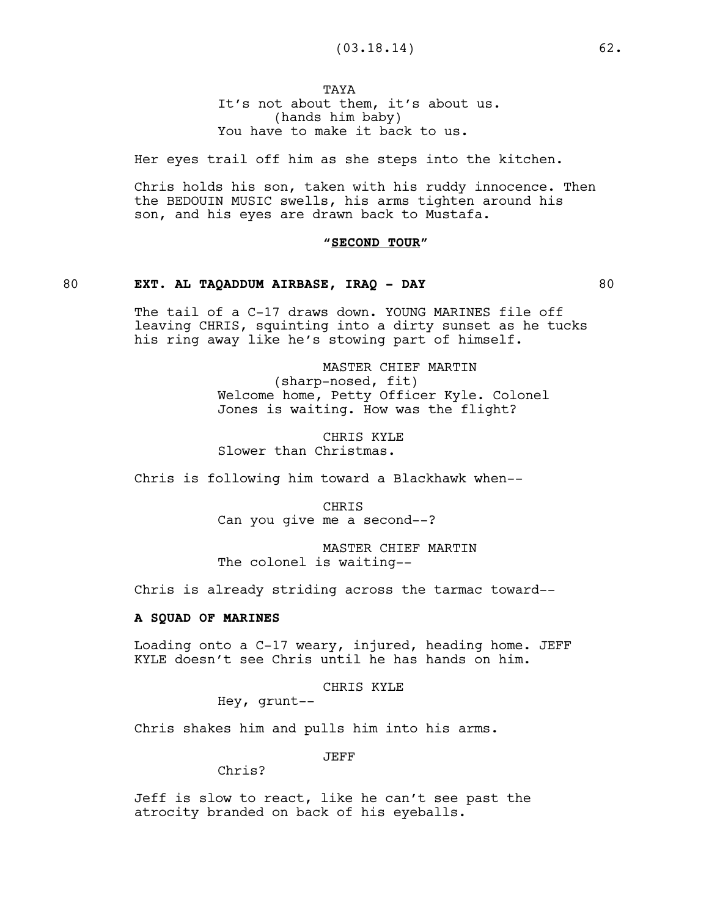**TAYA** 

It's not about them, it's about us. (hands him baby) You have to make it back to us.

Her eyes trail off him as she steps into the kitchen.

Chris holds his son, taken with his ruddy innocence. Then the BEDOUIN MUSIC swells, his arms tighten around his son, and his eyes are drawn back to Mustafa.

## **"SECOND TOUR"**

## 80 **EXT. AL TAQADDUM AIRBASE, IRAQ - DAY** 80

The tail of a C-17 draws down. YOUNG MARINES file off leaving CHRIS, squinting into a dirty sunset as he tucks his ring away like he's stowing part of himself.

> MASTER CHIEF MARTIN (sharp-nosed, fit) Welcome home, Petty Officer Kyle. Colonel Jones is waiting. How was the flight?

CHRIS KYLE Slower than Christmas.

Chris is following him toward a Blackhawk when--

CHRIS Can you give me a second--?

MASTER CHIEF MARTIN The colonel is waiting--

Chris is already striding across the tarmac toward--

## **A SQUAD OF MARINES**

Loading onto a C-17 weary, injured, heading home. JEFF KYLE doesn't see Chris until he has hands on him.

CHRIS KYLE

Hey, grunt--

Chris shakes him and pulls him into his arms.

JEFF

Chris?

Jeff is slow to react, like he can't see past the atrocity branded on back of his eyeballs.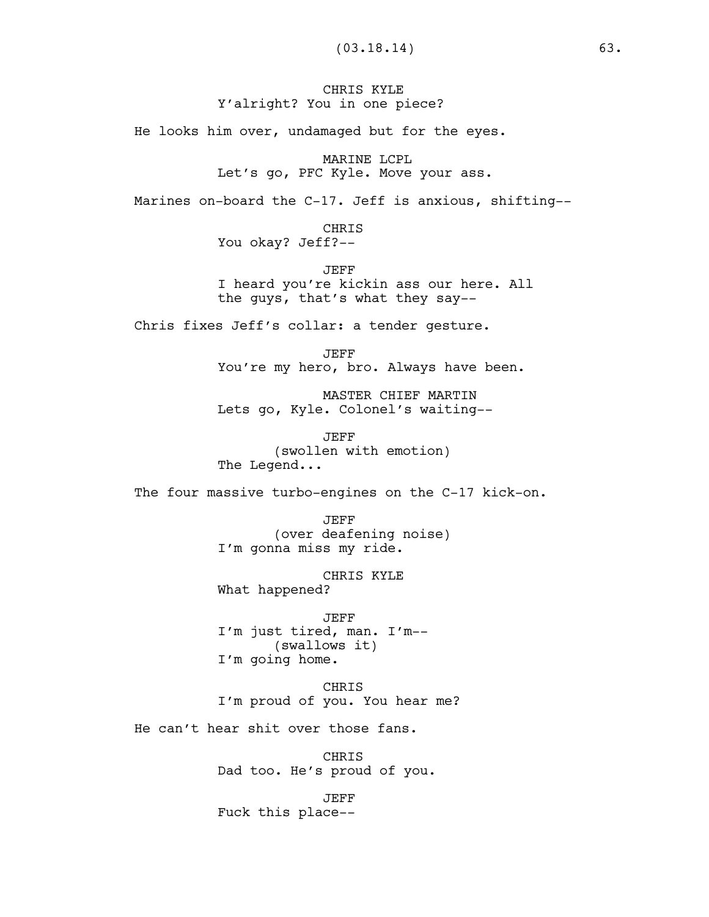## CHRIS KYLE Y'alright? You in one piece?

He looks him over, undamaged but for the eyes.

MARINE LCPL

Let's go, PFC Kyle. Move your ass.

Marines on-board the C-17. Jeff is anxious, shifting--

CHRIS You okay? Jeff?--

JEFF I heard you're kickin ass our here. All the guys, that's what they say--

Chris fixes Jeff's collar: a tender gesture.

JEFF You're my hero, bro. Always have been.

MASTER CHIEF MARTIN Lets go, Kyle. Colonel's waiting--

JEFF (swollen with emotion) The Legend...

The four massive turbo-engines on the C-17 kick-on.

JEFF (over deafening noise) I'm gonna miss my ride.

CHRIS KYLE What happened?

JEFF I'm just tired, man. I'm-- (swallows it) I'm going home.

CHRIS I'm proud of you. You hear me?

He can't hear shit over those fans.

CHRIS Dad too. He's proud of you.

JEFF Fuck this place--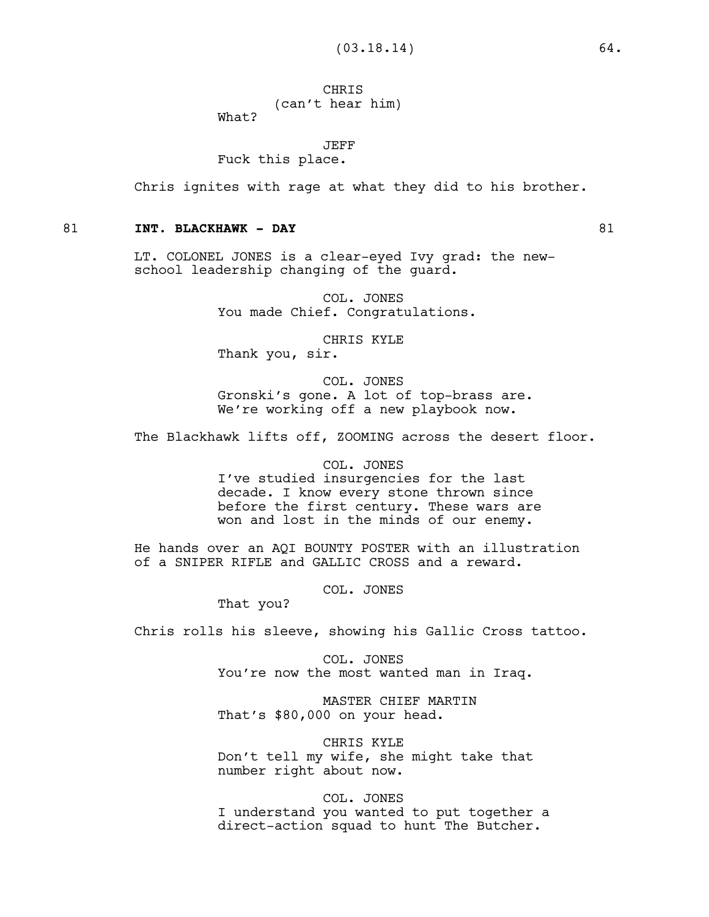# **CHRIS** (can't hear him)

What?

JEFF

Fuck this place.

Chris ignites with rage at what they did to his brother.

## 81 **INT. BLACKHAWK - DAY** 81

LT. COLONEL JONES is a clear-eyed Ivy grad: the newschool leadership changing of the guard.

> COL. JONES You made Chief. Congratulations.

> > CHRIS KYLE

Thank you, sir.

COL. JONES Gronski's gone. A lot of top-brass are. We're working off a new playbook now.

The Blackhawk lifts off, ZOOMING across the desert floor.

## COL. JONES

I've studied insurgencies for the last decade. I know every stone thrown since before the first century. These wars are won and lost in the minds of our enemy.

He hands over an AQI BOUNTY POSTER with an illustration of a SNIPER RIFLE and GALLIC CROSS and a reward.

COL. JONES

That you?

Chris rolls his sleeve, showing his Gallic Cross tattoo.

COL. JONES You're now the most wanted man in Iraq.

MASTER CHIEF MARTIN That's \$80,000 on your head.

CHRIS KYLE Don't tell my wife, she might take that number right about now.

#### COL. JONES

I understand you wanted to put together a direct-action squad to hunt The Butcher.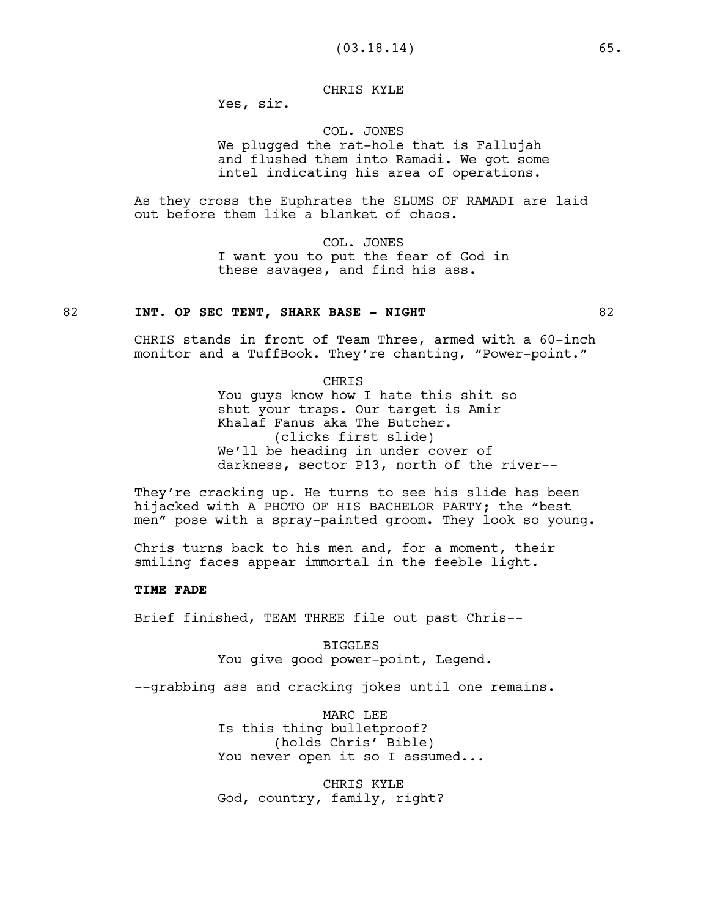## CHRIS KYLE

Yes, sir.

## COL. JONES We plugged the rat-hole that is Fallujah and flushed them into Ramadi. We got some intel indicating his area of operations.

As they cross the Euphrates the SLUMS OF RAMADI are laid out before them like a blanket of chaos.

> COL. JONES I want you to put the fear of God in these savages, and find his ass.

## 82 **INT. OP SEC TENT, SHARK BASE - NIGHT** 82

CHRIS stands in front of Team Three, armed with a 60-inch monitor and a TuffBook. They're chanting, "Power-point."

CHRIS

You guys know how I hate this shit so shut your traps. Our target is Amir Khalaf Fanus aka The Butcher. (clicks first slide) We'll be heading in under cover of darkness, sector P13, north of the river--

They're cracking up. He turns to see his slide has been hijacked with A PHOTO OF HIS BACHELOR PARTY; the "best men" pose with a spray-painted groom. They look so young.

Chris turns back to his men and, for a moment, their smiling faces appear immortal in the feeble light.

#### **TIME FADE**

Brief finished, TEAM THREE file out past Chris--

BIGGLES You give good power-point, Legend.

--grabbing ass and cracking jokes until one remains.

MARC LEE Is this thing bulletproof? (holds Chris' Bible) You never open it so I assumed...

CHRIS KYLE God, country, family, right?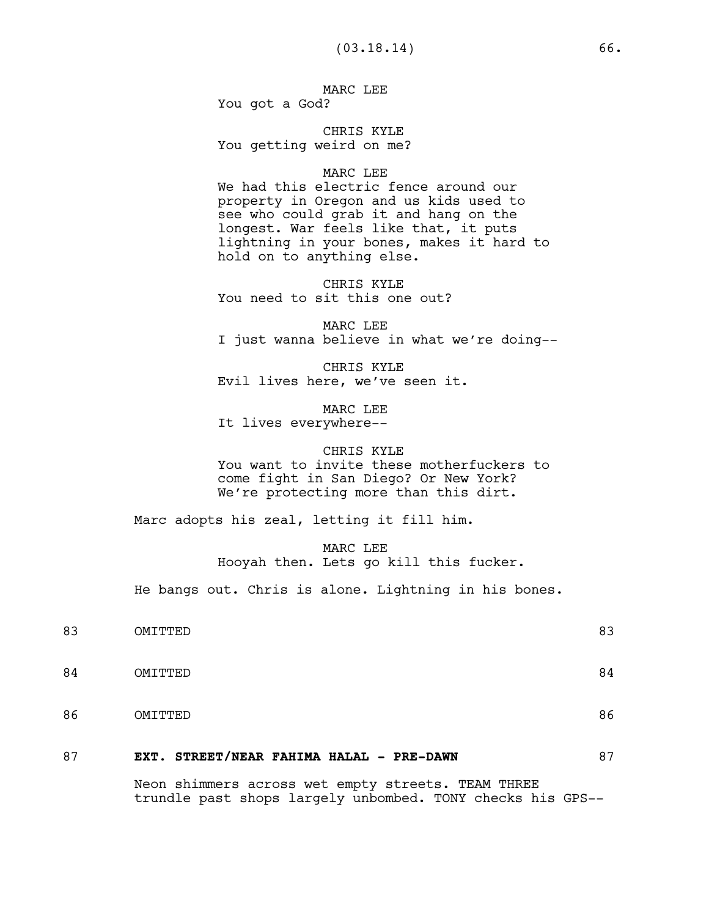MARC LEE You got a God?

CHRIS KYLE You getting weird on me?

#### MARC LEE

We had this electric fence around our property in Oregon and us kids used to see who could grab it and hang on the longest. War feels like that, it puts lightning in your bones, makes it hard to hold on to anything else.

CHRIS KYLE You need to sit this one out?

MARC LEE I just wanna believe in what we're doing--

CHRIS KYLE Evil lives here, we've seen it.

MARC LEE It lives everywhere--

#### CHRIS KYLE

You want to invite these motherfuckers to come fight in San Diego? Or New York? We're protecting more than this dirt.

Marc adopts his zeal, letting it fill him.

MARC LEE Hooyah then. Lets go kill this fucker.

He bangs out. Chris is alone. Lightning in his bones.

| 83 | OMITTED | 83 |
|----|---------|----|
| 84 | OMITTED | 84 |
| 86 | OMITTED | 86 |
|    | $\sim$  |    |

# 87 **EXT. STREET/NEAR FAHIMA HALAL - PRE-DAWN** 87

Neon shimmers across wet empty streets. TEAM THREE trundle past shops largely unbombed. TONY checks his GPS--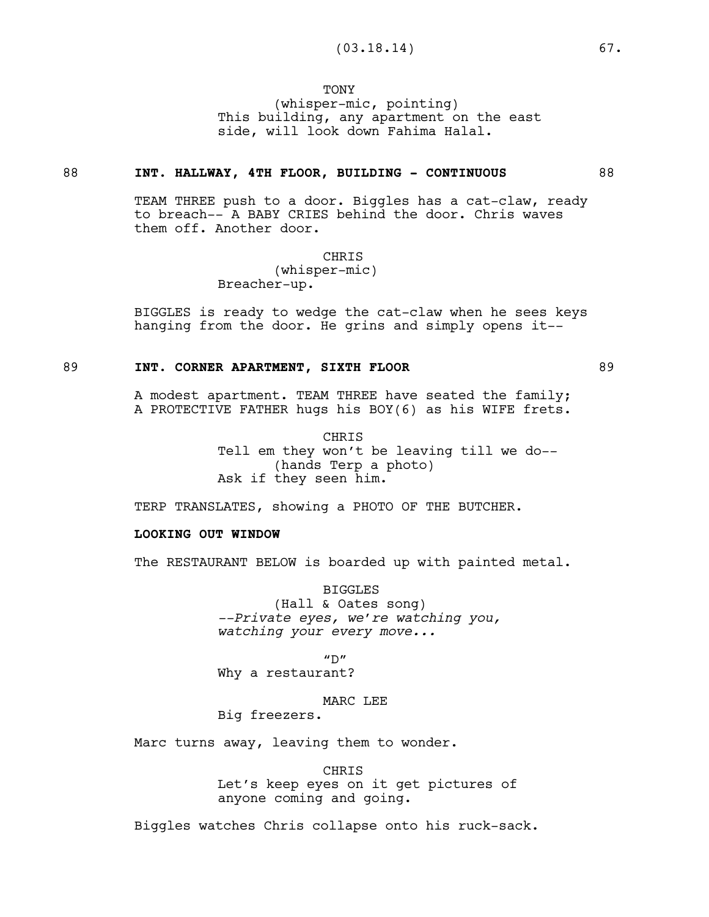**TONY** 

(whisper-mic, pointing) This building, any apartment on the east side, will look down Fahima Halal.

#### 88 **INT. HALLWAY, 4TH FLOOR, BUILDING - CONTINUOUS** 88

TEAM THREE push to a door. Biggles has a cat-claw, ready to breach-- A BABY CRIES behind the door. Chris waves them off. Another door.

CHRIS

(whisper-mic) Breacher-up.

BIGGLES is ready to wedge the cat-claw when he sees keys hanging from the door. He grins and simply opens it--

#### 89 **INT. CORNER APARTMENT, SIXTH FLOOR** 89

A modest apartment. TEAM THREE have seated the family; A PROTECTIVE FATHER hugs his BOY(6) as his WIFE frets.

> CHRIS Tell em they won't be leaving till we do-- (hands Terp a photo) Ask if they seen him.

TERP TRANSLATES, showing a PHOTO OF THE BUTCHER.

## **LOOKING OUT WINDOW**

The RESTAURANT BELOW is boarded up with painted metal.

BIGGLES (Hall & Oates song) *--Private eyes, we're watching you, watching your every move...*

 $''D''$ 

Why a restaurant?

## MARC LEE

Big freezers.

Marc turns away, leaving them to wonder.

CHRIS Let's keep eyes on it get pictures of anyone coming and going.

Biggles watches Chris collapse onto his ruck-sack.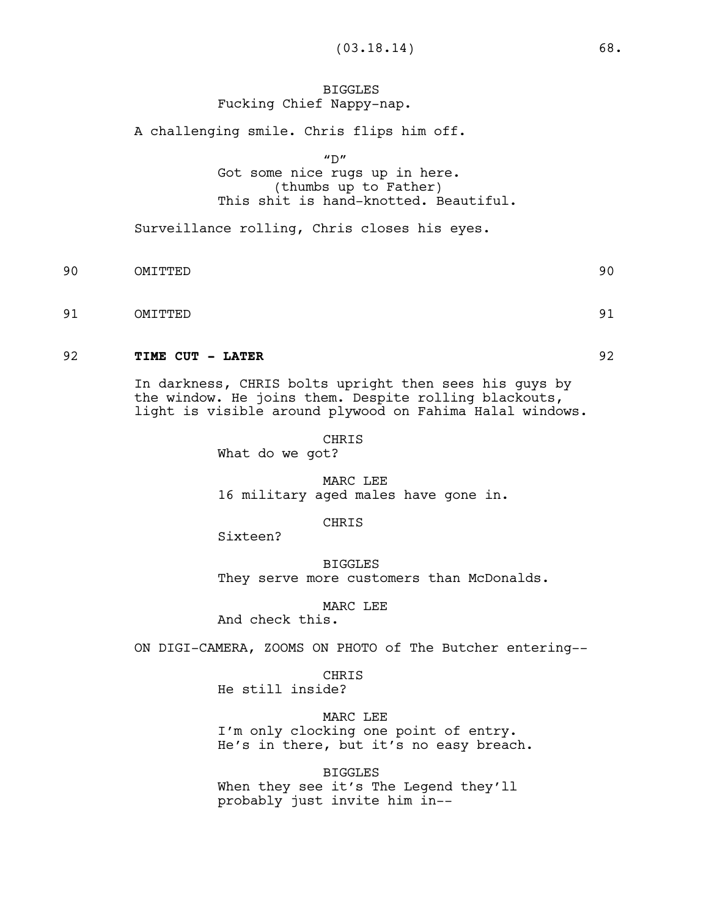## BIGGLES Fucking Chief Nappy-nap.

A challenging smile. Chris flips him off.

 $"D"$ 

# Got some nice rugs up in here. (thumbs up to Father) This shit is hand-knotted. Beautiful.

Surveillance rolling, Chris closes his eyes.

- 90 OMITTED 90
- 91 OMITTED 91

## 92 **TIME CUT - LATER** 92

In darkness, CHRIS bolts upright then sees his guys by the window. He joins them. Despite rolling blackouts, light is visible around plywood on Fahima Halal windows.

> CHRIS What do we got?

MARC LEE 16 military aged males have gone in.

CHRIS

Sixteen?

BIGGLES They serve more customers than McDonalds.

MARC LEE

And check this.

ON DIGI-CAMERA, ZOOMS ON PHOTO of The Butcher entering--

CHRIS

He still inside?

MARC LEE I'm only clocking one point of entry. He's in there, but it's no easy breach.

BIGGLES When they see it's The Legend they'll probably just invite him in--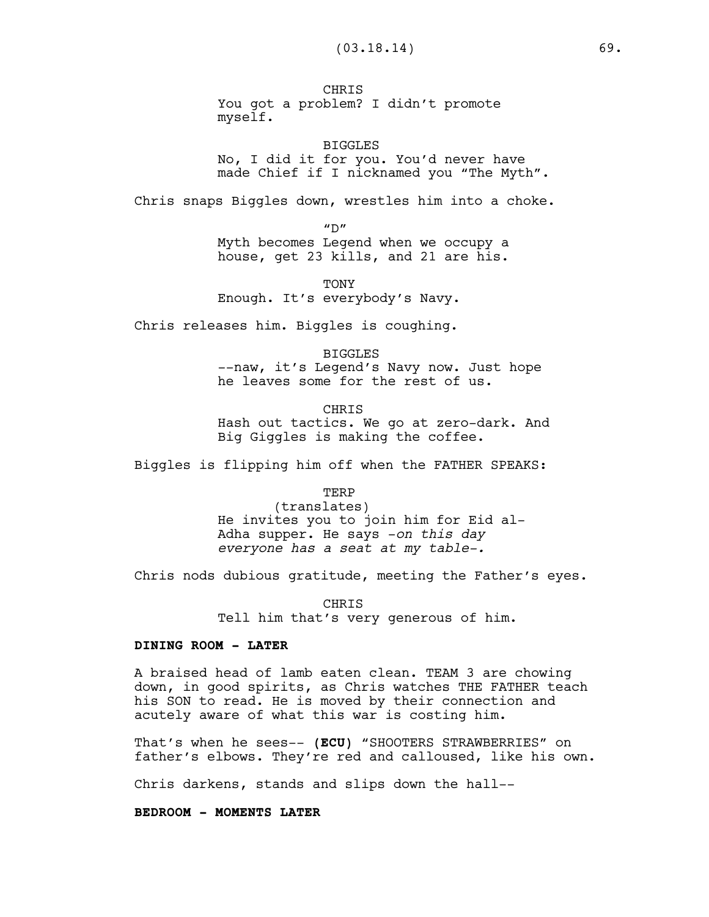**CHRTS** You got a problem? I didn't promote myself.

BIGGLES No, I did it for you. You'd never have made Chief if I nicknamed you "The Myth".

Chris snaps Biggles down, wrestles him into a choke.

 $^{\prime\prime}$ D"

Myth becomes Legend when we occupy a house, get 23 kills, and 21 are his.

TONY Enough. It's everybody's Navy.

Chris releases him. Biggles is coughing.

BIGGLES --naw, it's Legend's Navy now. Just hope he leaves some for the rest of us.

CHRIS Hash out tactics. We go at zero-dark. And Big Giggles is making the coffee.

Biggles is flipping him off when the FATHER SPEAKS:

TERP

(translates) He invites you to join him for Eid al-Adha supper. He says -*on this day everyone has a seat at my table-.*

Chris nods dubious gratitude, meeting the Father's eyes.

**CHRIS** Tell him that's very generous of him.

## **DINING ROOM - LATER**

A braised head of lamb eaten clean. TEAM 3 are chowing down, in good spirits, as Chris watches THE FATHER teach his SON to read. He is moved by their connection and acutely aware of what this war is costing him.

That's when he sees-- **(ECU)** "SHOOTERS STRAWBERRIES" on father's elbows. They're red and calloused, like his own.

Chris darkens, stands and slips down the hall--

**BEDROOM - MOMENTS LATER**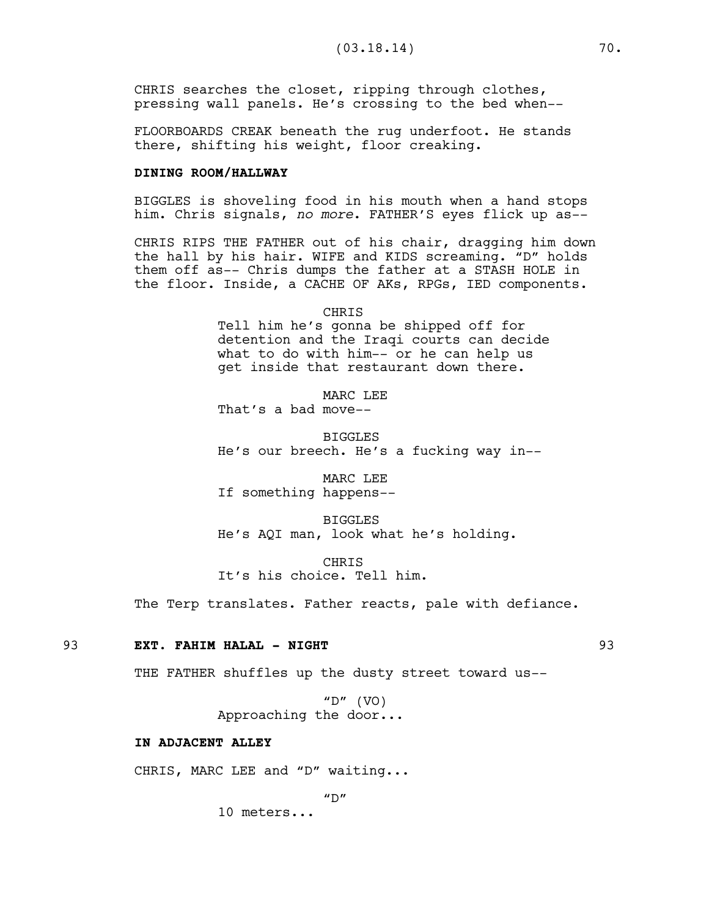CHRIS searches the closet, ripping through clothes, pressing wall panels. He's crossing to the bed when--

FLOORBOARDS CREAK beneath the rug underfoot. He stands there, shifting his weight, floor creaking.

## **DINING ROOM/HALLWAY**

BIGGLES is shoveling food in his mouth when a hand stops him. Chris signals, *no more*. FATHER'S eyes flick up as--

CHRIS RIPS THE FATHER out of his chair, dragging him down the hall by his hair. WIFE and KIDS screaming. "D" holds them off as-- Chris dumps the father at a STASH HOLE in the floor. Inside, a CACHE OF AKs, RPGs, IED components.

> CHRIS Tell him he's gonna be shipped off for detention and the Iraqi courts can decide what to do with him-- or he can help us get inside that restaurant down there.

MARC LEE That's a bad move--

BIGGLES

He's our breech. He's a fucking way in--

MARC LEE If something happens--

BIGGLES He's AQI man, look what he's holding.

CHRIS It's his choice. Tell him.

The Terp translates. Father reacts, pale with defiance.

#### 93 **EXT. FAHIM HALAL - NIGHT** 93

THE FATHER shuffles up the dusty street toward us--

"D"  $(VO)$ Approaching the door...

#### **IN ADJACENT ALLEY**

CHRIS, MARC LEE and "D" waiting...

 $^{\prime\prime}$ D $^{\prime\prime}$ 

10 meters...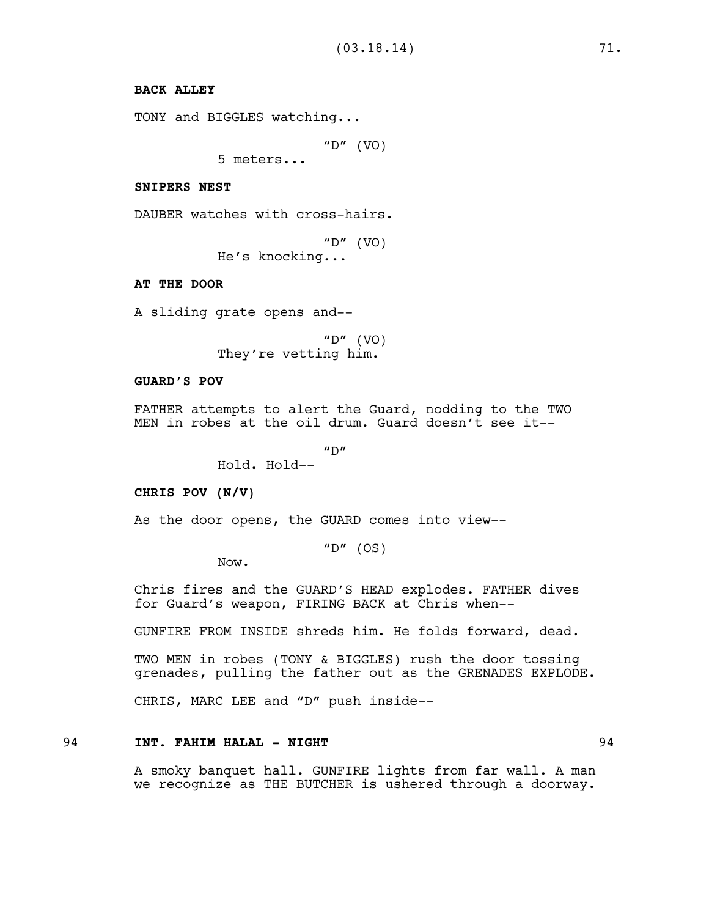# **BACK ALLEY**

```
TONY and BIGGLES watching...
```
"D"  $(VO)$ 

5 meters...

#### **SNIPERS NEST**

DAUBER watches with cross-hairs.

"D"  $(VO)$ 

He's knocking...

### **AT THE DOOR**

A sliding grate opens and--

"D"  $(VO)$ They're vetting him.

# **GUARD'S POV**

FATHER attempts to alert the Guard, nodding to the TWO MEN in robes at the oil drum. Guard doesn't see it--

 $''D''$ 

Hold. Hold--

### **CHRIS POV (N/V)**

As the door opens, the GUARD comes into view--

"D"  $(OS)$ 

Now.

Chris fires and the GUARD'S HEAD explodes. FATHER dives for Guard's weapon, FIRING BACK at Chris when--

GUNFIRE FROM INSIDE shreds him. He folds forward, dead.

TWO MEN in robes (TONY & BIGGLES) rush the door tossing grenades, pulling the father out as the GRENADES EXPLODE.

CHRIS, MARC LEE and "D" push inside--

# 94 **INT. FAHIM HALAL - NIGHT** 94

A smoky banquet hall. GUNFIRE lights from far wall. A man we recognize as THE BUTCHER is ushered through a doorway.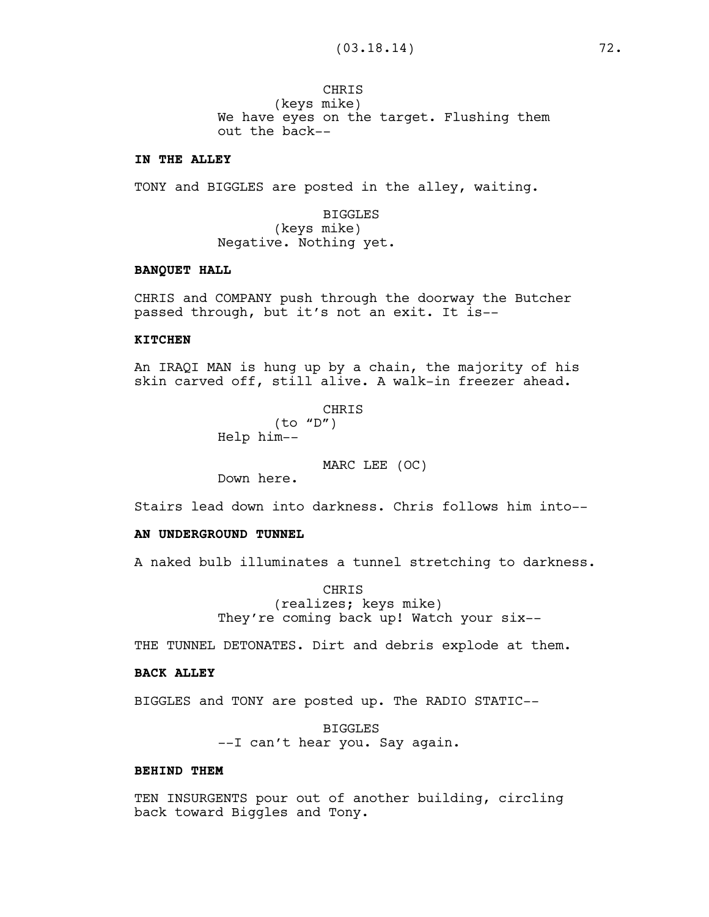**CHRTS** (keys mike) We have eyes on the target. Flushing them out the back--

# **IN THE ALLEY**

TONY and BIGGLES are posted in the alley, waiting.

BIGGLES (keys mike) Negative. Nothing yet.

# **BANQUET HALL**

CHRIS and COMPANY push through the doorway the Butcher passed through, but it's not an exit. It is--

#### **KITCHEN**

An IRAQI MAN is hung up by a chain, the majority of his skin carved off, still alive. A walk-in freezer ahead.

> CHRIS (to "D") Help him--

> > MARC LEE (OC)

Down here.

Stairs lead down into darkness. Chris follows him into--

### **AN UNDERGROUND TUNNEL**

A naked bulb illuminates a tunnel stretching to darkness.

CHRIS (realizes; keys mike) They're coming back up! Watch your six--

THE TUNNEL DETONATES. Dirt and debris explode at them.

#### **BACK ALLEY**

BIGGLES and TONY are posted up. The RADIO STATIC--

BIGGLES --I can't hear you. Say again.

#### **BEHIND THEM**

TEN INSURGENTS pour out of another building, circling back toward Biggles and Tony.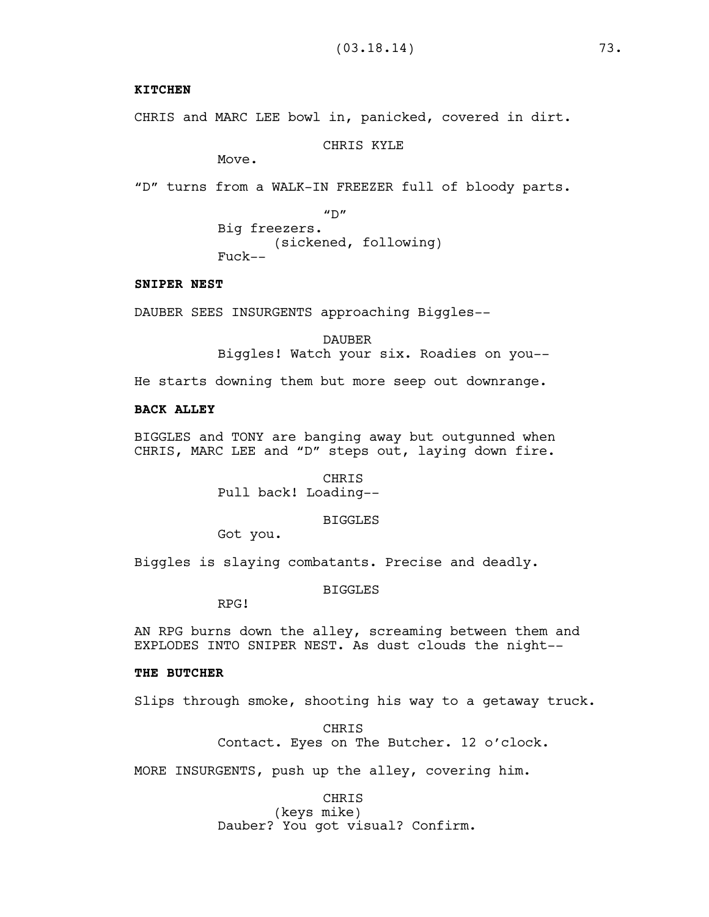# **KITCHEN**

CHRIS and MARC LEE bowl in, panicked, covered in dirt.

CHRIS KYLE

Move.

"D" turns from a WALK-IN FREEZER full of bloody parts.

 $"D"$ Big freezers. (sickened, following) Fuck--

### **SNIPER NEST**

DAUBER SEES INSURGENTS approaching Biggles--

DAUBER Biggles! Watch your six. Roadies on you--

He starts downing them but more seep out downrange.

### **BACK ALLEY**

BIGGLES and TONY are banging away but outgunned when CHRIS, MARC LEE and "D" steps out, laying down fire.

> CHRIS Pull back! Loading--

### BIGGLES

Got you.

Biggles is slaying combatants. Precise and deadly.

BIGGLES

RPG!

AN RPG burns down the alley, screaming between them and EXPLODES INTO SNIPER NEST. As dust clouds the night--

#### **THE BUTCHER**

Slips through smoke, shooting his way to a getaway truck.

**CHRTS** Contact. Eyes on The Butcher. 12 o'clock.

MORE INSURGENTS, push up the alley, covering him.

CHRIS (keys mike) Dauber? You got visual? Confirm.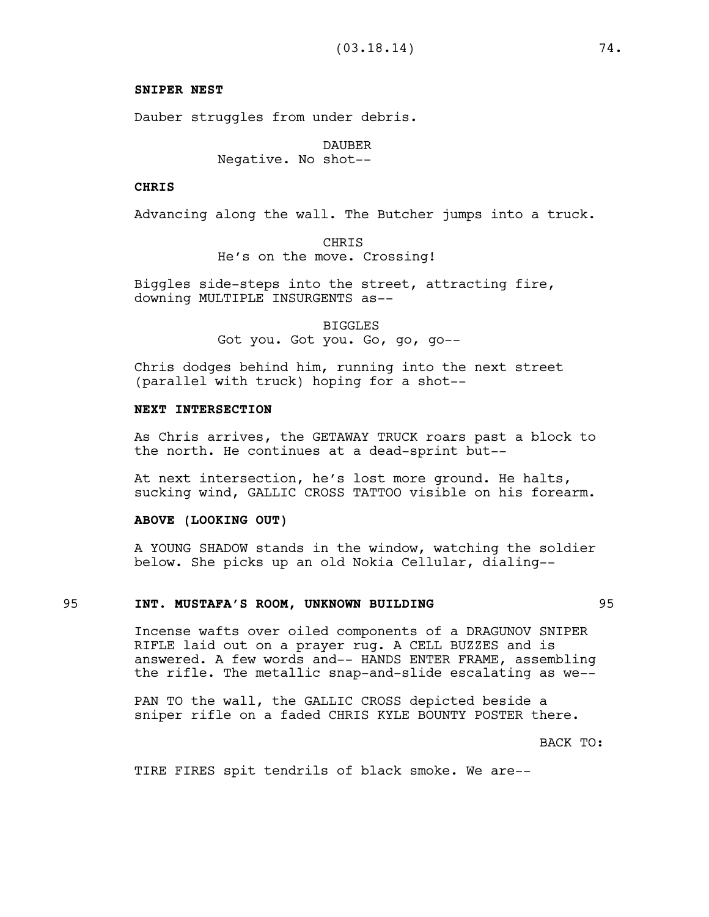### **SNIPER NEST**

Dauber struggles from under debris.

DAUBER Negative. No shot--

### **CHRIS**

Advancing along the wall. The Butcher jumps into a truck.

CHRIS He's on the move. Crossing!

Biggles side-steps into the street, attracting fire, downing MULTIPLE INSURGENTS as--

> BIGGLES Got you. Got you. Go, go, go--

Chris dodges behind him, running into the next street (parallel with truck) hoping for a shot--

# **NEXT INTERSECTION**

As Chris arrives, the GETAWAY TRUCK roars past a block to the north. He continues at a dead-sprint but--

At next intersection, he's lost more ground. He halts, sucking wind, GALLIC CROSS TATTOO visible on his forearm.

#### **ABOVE (LOOKING OUT)**

A YOUNG SHADOW stands in the window, watching the soldier below. She picks up an old Nokia Cellular, dialing--

#### 95 **INT. MUSTAFA'S ROOM, UNKNOWN BUILDING** 95

Incense wafts over oiled components of a DRAGUNOV SNIPER RIFLE laid out on a prayer rug. A CELL BUZZES and is answered. A few words and-- HANDS ENTER FRAME, assembling the rifle. The metallic snap-and-slide escalating as we--

PAN TO the wall, the GALLIC CROSS depicted beside a sniper rifle on a faded CHRIS KYLE BOUNTY POSTER there.

BACK TO:

TIRE FIRES spit tendrils of black smoke. We are--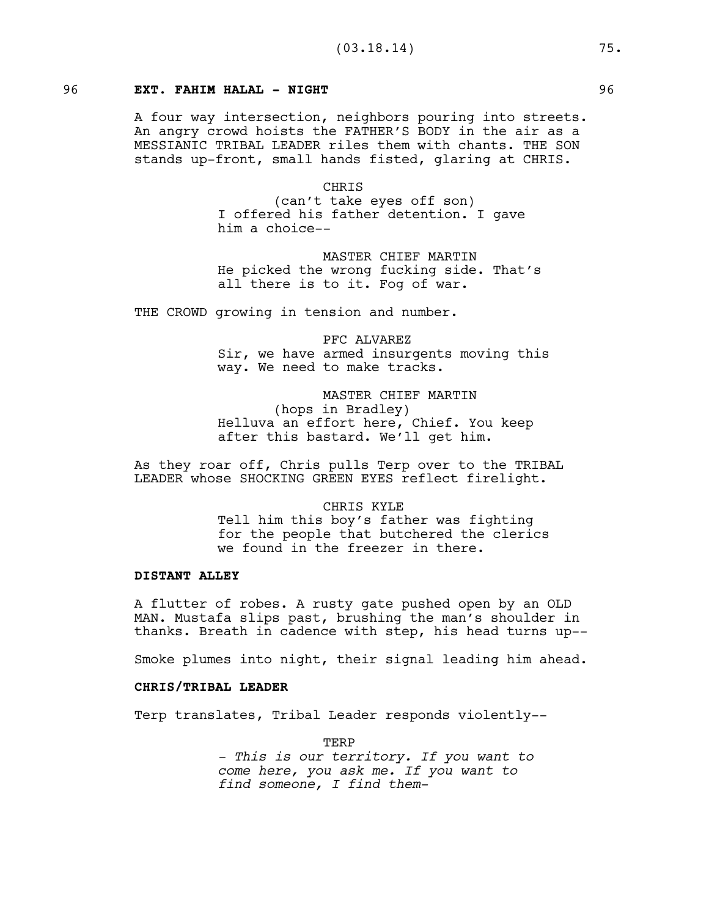# 96 **EXT. FAHIM HALAL - NIGHT** 96

A four way intersection, neighbors pouring into streets. An angry crowd hoists the FATHER'S BODY in the air as a MESSIANIC TRIBAL LEADER riles them with chants. THE SON stands up-front, small hands fisted, glaring at CHRIS.

> CHRIS (can't take eyes off son) I offered his father detention. I gave him a choice--

MASTER CHIEF MARTIN He picked the wrong fucking side. That's all there is to it. Fog of war.

THE CROWD growing in tension and number.

PFC ALVAREZ Sir, we have armed insurgents moving this way. We need to make tracks.

MASTER CHIEF MARTIN (hops in Bradley) Helluva an effort here, Chief. You keep after this bastard. We'll get him.

As they roar off, Chris pulls Terp over to the TRIBAL LEADER whose SHOCKING GREEN EYES reflect firelight.

> CHRIS KYLE Tell him this boy's father was fighting for the people that butchered the clerics we found in the freezer in there.

# **DISTANT ALLEY**

A flutter of robes. A rusty gate pushed open by an OLD MAN. Mustafa slips past, brushing the man's shoulder in thanks. Breath in cadence with step, his head turns up--

Smoke plumes into night, their signal leading him ahead.

# **CHRIS/TRIBAL LEADER**

Terp translates, Tribal Leader responds violently--

TERP

*- This is our territory. If you want to come here, you ask me. If you want to find someone, I find them-*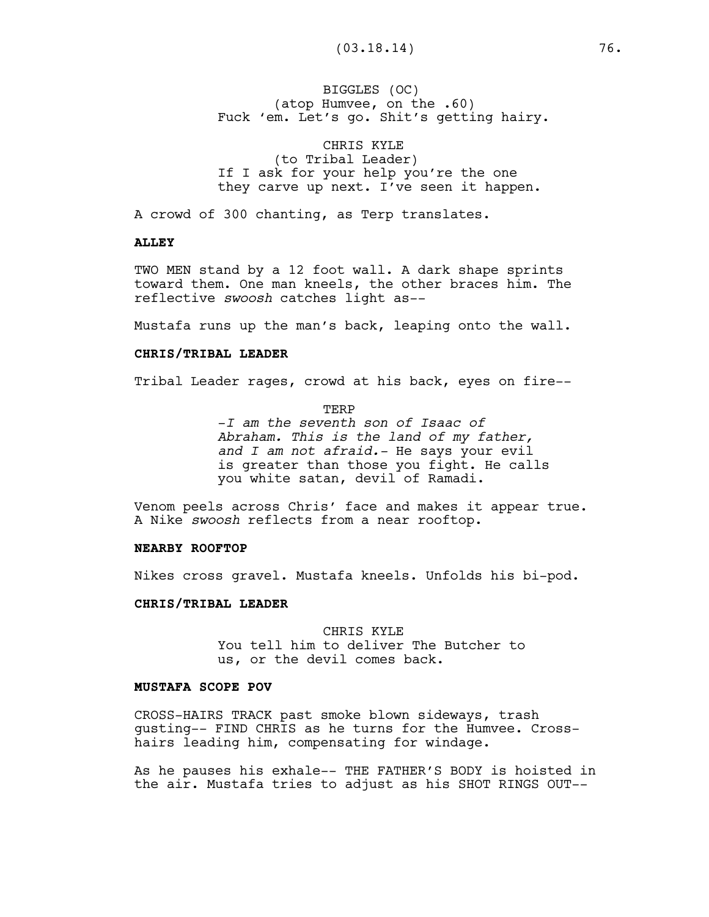# BIGGLES (OC) (atop Humvee, on the .60) Fuck 'em. Let's go. Shit's getting hairy.

CHRIS KYLE (to Tribal Leader) If I ask for your help you're the one they carve up next. I've seen it happen.

A crowd of 300 chanting, as Terp translates.

#### **ALLEY**

TWO MEN stand by a 12 foot wall. A dark shape sprints toward them. One man kneels, the other braces him. The reflective *swoosh* catches light as--

Mustafa runs up the man's back, leaping onto the wall.

# **CHRIS/TRIBAL LEADER**

Tribal Leader rages, crowd at his back, eyes on fire--

TERP

-*I am the seventh son of Isaac of Abraham. This is the land of my father, and I am not afraid.-* He says your evil is greater than those you fight. He calls you white satan, devil of Ramadi.

Venom peels across Chris' face and makes it appear true. A Nike *swoosh* reflects from a near rooftop.

# **NEARBY ROOFTOP**

Nikes cross gravel. Mustafa kneels. Unfolds his bi-pod.

#### **CHRIS/TRIBAL LEADER**

CHRIS KYLE You tell him to deliver The Butcher to us, or the devil comes back.

# **MUSTAFA SCOPE POV**

CROSS-HAIRS TRACK past smoke blown sideways, trash gusting-- FIND CHRIS as he turns for the Humvee. Crosshairs leading him, compensating for windage.

As he pauses his exhale-- THE FATHER'S BODY is hoisted in the air. Mustafa tries to adjust as his SHOT RINGS OUT--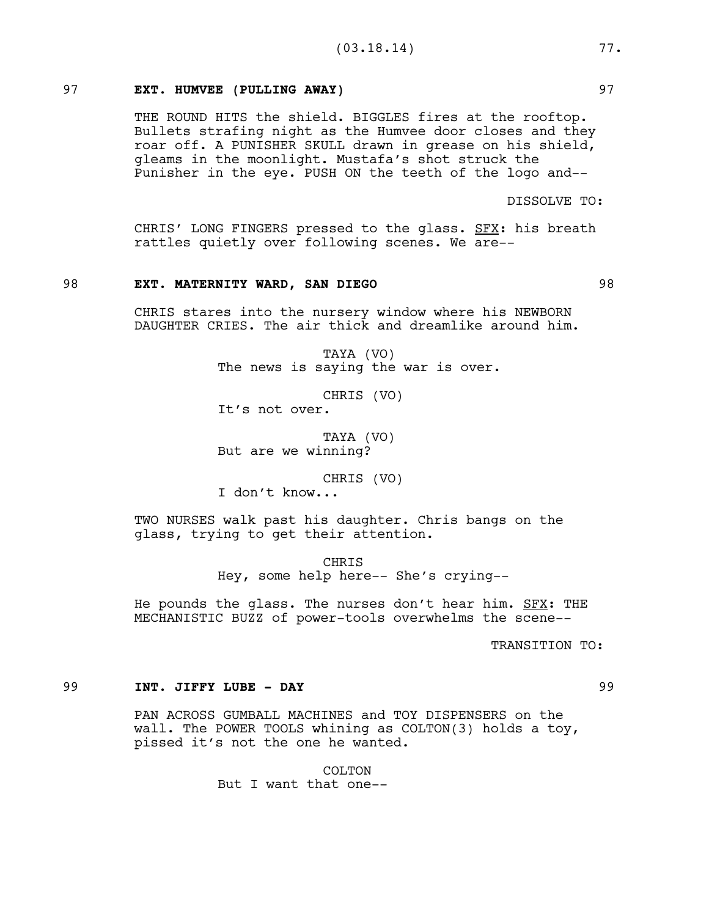# 97 **EXT. HUMVEE (PULLING AWAY)** 97

THE ROUND HITS the shield. BIGGLES fires at the rooftop. Bullets strafing night as the Humvee door closes and they roar off. A PUNISHER SKULL drawn in grease on his shield, gleams in the moonlight. Mustafa's shot struck the Punisher in the eye. PUSH ON the teeth of the logo and--

DISSOLVE TO:

CHRIS' LONG FINGERS pressed to the glass. SFX: his breath rattles quietly over following scenes. We are--

### 98 **EXT. MATERNITY WARD, SAN DIEGO** 98

CHRIS stares into the nursery window where his NEWBORN DAUGHTER CRIES. The air thick and dreamlike around him.

> TAYA (VO) The news is saying the war is over.

> > CHRIS (VO)

It's not over.

TAYA (VO) But are we winning?

CHRIS (VO)

I don't know...

TWO NURSES walk past his daughter. Chris bangs on the glass, trying to get their attention.

> CHRIS Hey, some help here-- She's crying--

He pounds the glass. The nurses don't hear him. SFX: THE MECHANISTIC BUZZ of power-tools overwhelms the scene--

TRANSITION TO:

### 99 **INT. JIFFY LUBE - DAY** 99

PAN ACROSS GUMBALL MACHINES and TOY DISPENSERS on the wall. The POWER TOOLS whining as COLTON(3) holds a toy, pissed it's not the one he wanted.

> COLTON But I want that one--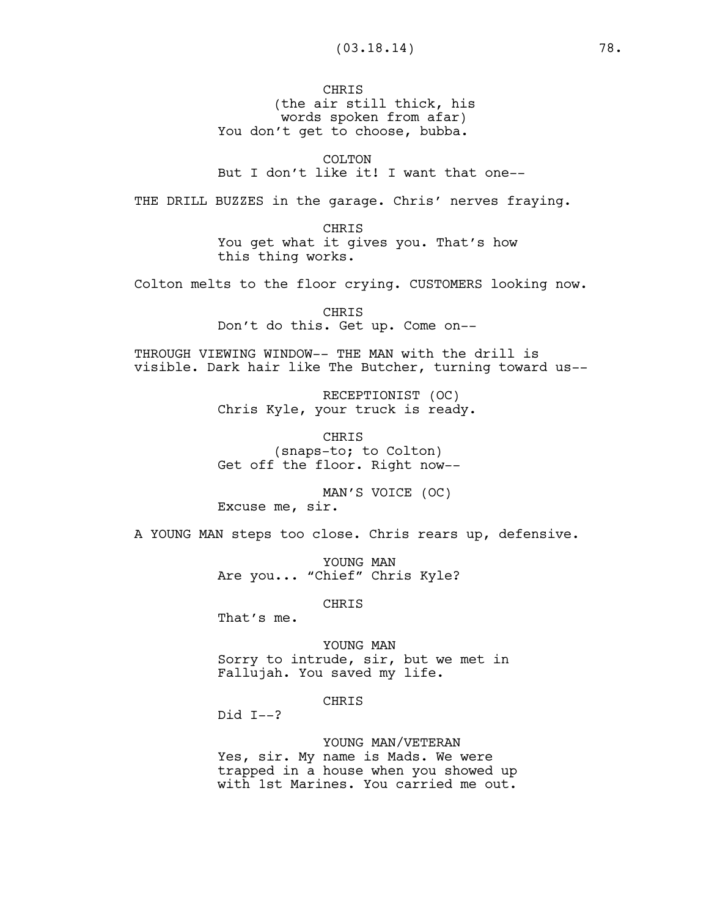CHRIS (the air still thick, his words spoken from afar) You don't get to choose, bubba.

COLTON

But I don't like it! I want that one--

THE DRILL BUZZES in the garage. Chris' nerves fraying.

CHRIS You get what it gives you. That's how this thing works.

Colton melts to the floor crying. CUSTOMERS looking now.

CHRIS Don't do this. Get up. Come on--

THROUGH VIEWING WINDOW-- THE MAN with the drill is visible. Dark hair like The Butcher, turning toward us--

> RECEPTIONIST (OC) Chris Kyle, your truck is ready.

CHRIS (snaps-to; to Colton) Get off the floor. Right now--

MAN'S VOICE (OC) Excuse me, sir.

A YOUNG MAN steps too close. Chris rears up, defensive.

YOUNG MAN Are you... "Chief" Chris Kyle?

CHRIS

That's me.

YOUNG MAN Sorry to intrude, sir, but we met in Fallujah. You saved my life.

CHRIS

Did I--?

YOUNG MAN/VETERAN Yes, sir. My name is Mads. We were trapped in a house when you showed up with 1st Marines. You carried me out.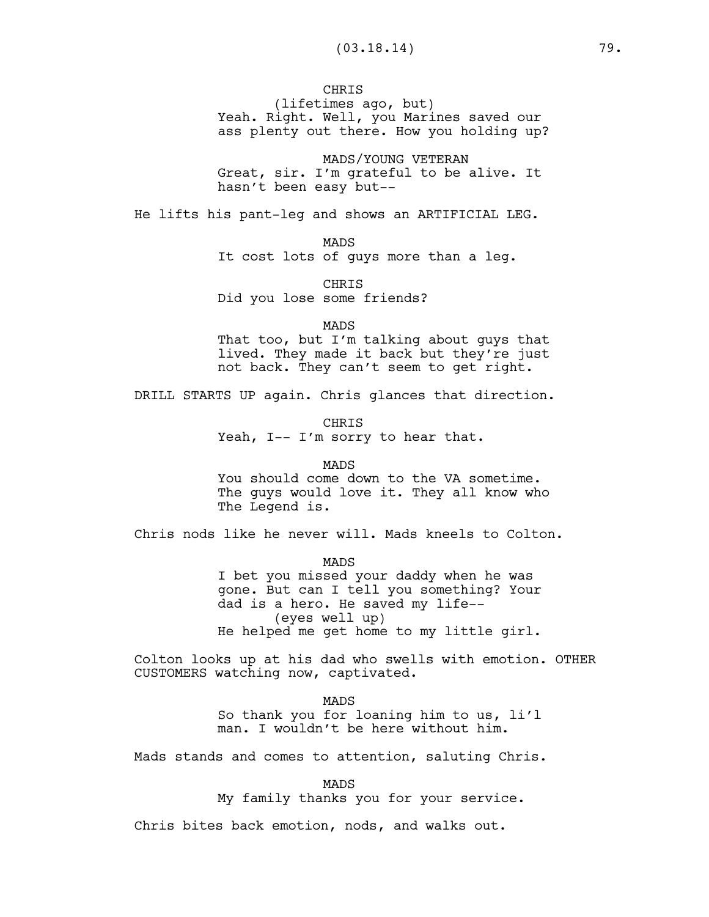**CHRIS** 

(lifetimes ago, but) Yeah. Right. Well, you Marines saved our ass plenty out there. How you holding up?

MADS/YOUNG VETERAN Great, sir. I'm grateful to be alive. It hasn't been easy but--

He lifts his pant-leg and shows an ARTIFICIAL LEG.

MADS

It cost lots of guys more than a leg.

CHRIS Did you lose some friends?

MADS

That too, but I'm talking about guys that lived. They made it back but they're just not back. They can't seem to get right.

DRILL STARTS UP again. Chris glances that direction.

**CHRTS** Yeah, I-- I'm sorry to hear that.

MADS You should come down to the VA sometime. The guys would love it. They all know who The Legend is.

Chris nods like he never will. Mads kneels to Colton.

MADS I bet you missed your daddy when he was gone. But can I tell you something? Your dad is a hero. He saved my life-- (eyes well up) He helped me get home to my little girl.

Colton looks up at his dad who swells with emotion. OTHER CUSTOMERS watching now, captivated.

> MADS So thank you for loaning him to us, li'l man. I wouldn't be here without him.

Mads stands and comes to attention, saluting Chris.

MADS

My family thanks you for your service.

Chris bites back emotion, nods, and walks out.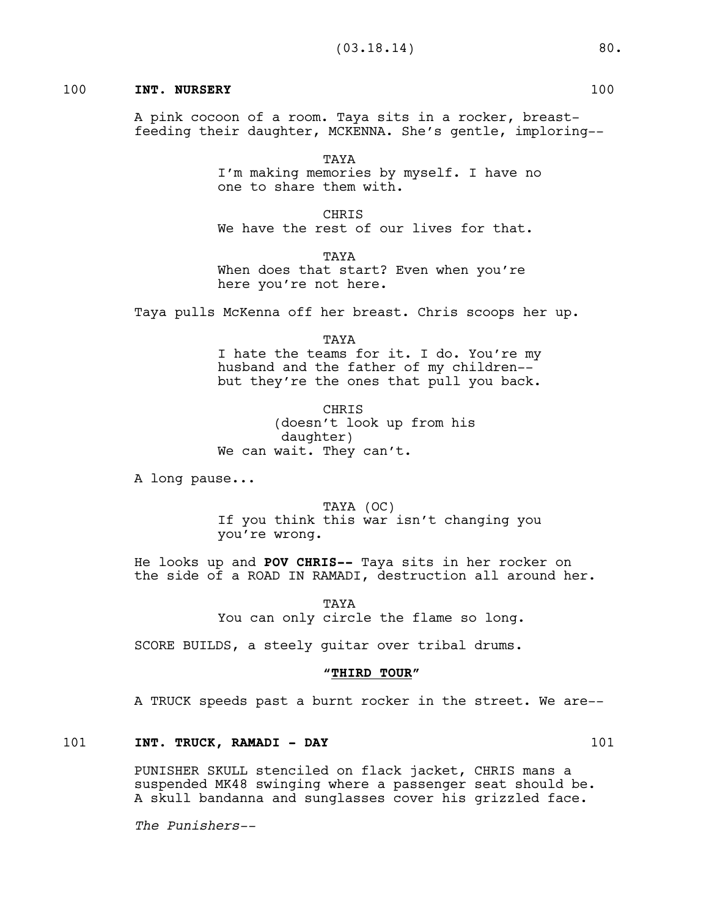# 100 **INT. NURSERY** 100

A pink cocoon of a room. Taya sits in a rocker, breastfeeding their daughter, MCKENNA. She's gentle, imploring--

> TAYA I'm making memories by myself. I have no one to share them with.

**CHRIS** We have the rest of our lives for that.

TAYA When does that start? Even when you're here you're not here.

Taya pulls McKenna off her breast. Chris scoops her up.

TAYA I hate the teams for it. I do. You're my husband and the father of my children- but they're the ones that pull you back.

CHRIS (doesn't look up from his daughter) We can wait. They can't.

A long pause...

TAYA (OC) If you think this war isn't changing you you're wrong.

He looks up and **POV CHRIS--** Taya sits in her rocker on the side of a ROAD IN RAMADI, destruction all around her.

> TAYA You can only circle the flame so long.

SCORE BUILDS, a steely guitar over tribal drums.

#### **"THIRD TOUR"**

A TRUCK speeds past a burnt rocker in the street. We are--

# 101 **INT. TRUCK, RAMADI - DAY** 101

PUNISHER SKULL stenciled on flack jacket, CHRIS mans a suspended MK48 swinging where a passenger seat should be. A skull bandanna and sunglasses cover his grizzled face.

*The Punishers--*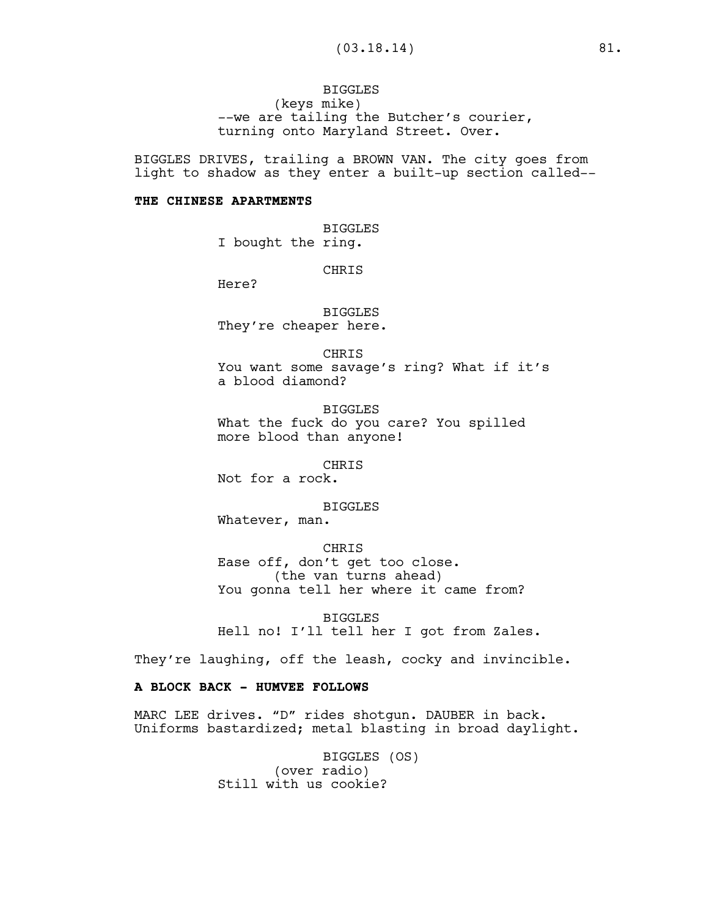# **BIGGLES** (keys mike) --we are tailing the Butcher's courier, turning onto Maryland Street. Over.

BIGGLES DRIVES, trailing a BROWN VAN. The city goes from light to shadow as they enter a built-up section called--

# **THE CHINESE APARTMENTS**

BIGGLES I bought the ring.

**CHRTS** 

Here?

BIGGLES They're cheaper here.

CHRIS You want some savage's ring? What if it's a blood diamond?

BIGGLES What the fuck do you care? You spilled more blood than anyone!

CHRIS

Not for a rock.

BIGGLES

Whatever, man.

CHRIS

Ease off, don't get too close. (the van turns ahead) You gonna tell her where it came from?

BIGGLES Hell no! I'll tell her I got from Zales.

They're laughing, off the leash, cocky and invincible.

# **A BLOCK BACK - HUMVEE FOLLOWS**

MARC LEE drives. "D" rides shotgun. DAUBER in back. Uniforms bastardized; metal blasting in broad daylight.

> BIGGLES (OS) (over radio) Still with us cookie?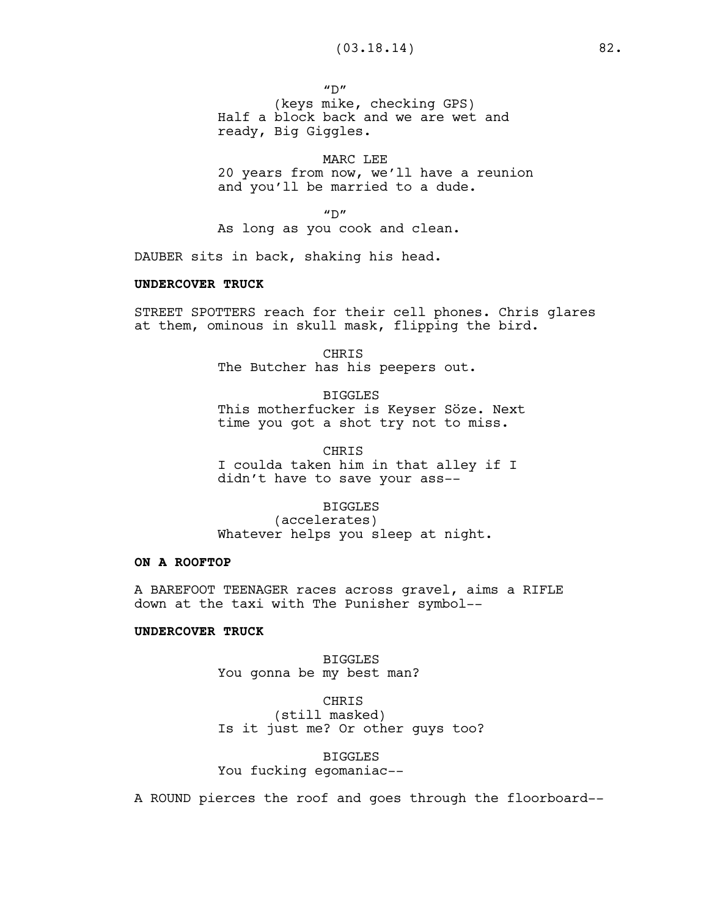$^{\prime\prime}$ D" (keys mike, checking GPS) Half a block back and we are wet and ready, Big Giggles.

MARC LEE 20 years from now, we'll have a reunion and you'll be married to a dude.

 $''D''$ 

As long as you cook and clean.

DAUBER sits in back, shaking his head.

### **UNDERCOVER TRUCK**

STREET SPOTTERS reach for their cell phones. Chris glares at them, ominous in skull mask, flipping the bird.

> CHRIS The Butcher has his peepers out.

BIGGLES This motherfucker is Keyser Söze. Next time you got a shot try not to miss.

CHRIS I coulda taken him in that alley if I didn't have to save your ass--

### BIGGLES

(accelerates) Whatever helps you sleep at night.

# **ON A ROOFTOP**

A BAREFOOT TEENAGER races across gravel, aims a RIFLE down at the taxi with The Punisher symbol--

### **UNDERCOVER TRUCK**

BIGGLES You gonna be my best man?

CHRIS (still masked) Is it just me? Or other guys too?

BIGGLES You fucking egomaniac--

A ROUND pierces the roof and goes through the floorboard--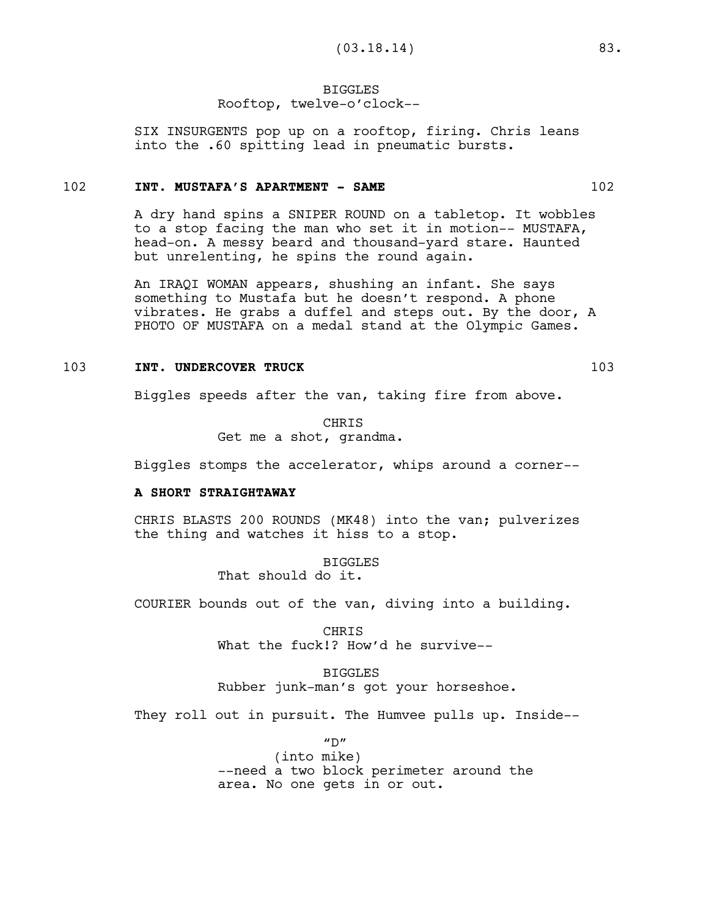### BIGGLES Rooftop, twelve-o'clock--

SIX INSURGENTS pop up on a rooftop, firing. Chris leans into the .60 spitting lead in pneumatic bursts.

#### 102 **INT. MUSTAFA'S APARTMENT - SAME** 102

A dry hand spins a SNIPER ROUND on a tabletop. It wobbles to a stop facing the man who set it in motion-- MUSTAFA, head-on. A messy beard and thousand-yard stare. Haunted but unrelenting, he spins the round again.

An IRAQI WOMAN appears, shushing an infant. She says something to Mustafa but he doesn't respond. A phone vibrates. He grabs a duffel and steps out. By the door, A PHOTO OF MUSTAFA on a medal stand at the Olympic Games.

### **INT. UNDERCOVER TRUCK** 103

Biggles speeds after the van, taking fire from above.

**CHRTS** Get me a shot, grandma.

Biggles stomps the accelerator, whips around a corner--

### **A SHORT STRAIGHTAWAY**

CHRIS BLASTS 200 ROUNDS (MK48) into the van; pulverizes the thing and watches it hiss to a stop.

> BIGGLES That should do it.

COURIER bounds out of the van, diving into a building.

CHRIS What the fuck!? How'd he survive--

BIGGLES Rubber junk-man's got your horseshoe.

They roll out in pursuit. The Humvee pulls up. Inside--

 $^{\prime\prime}$ D" (into mike) --need a two block perimeter around the area. No one gets in or out.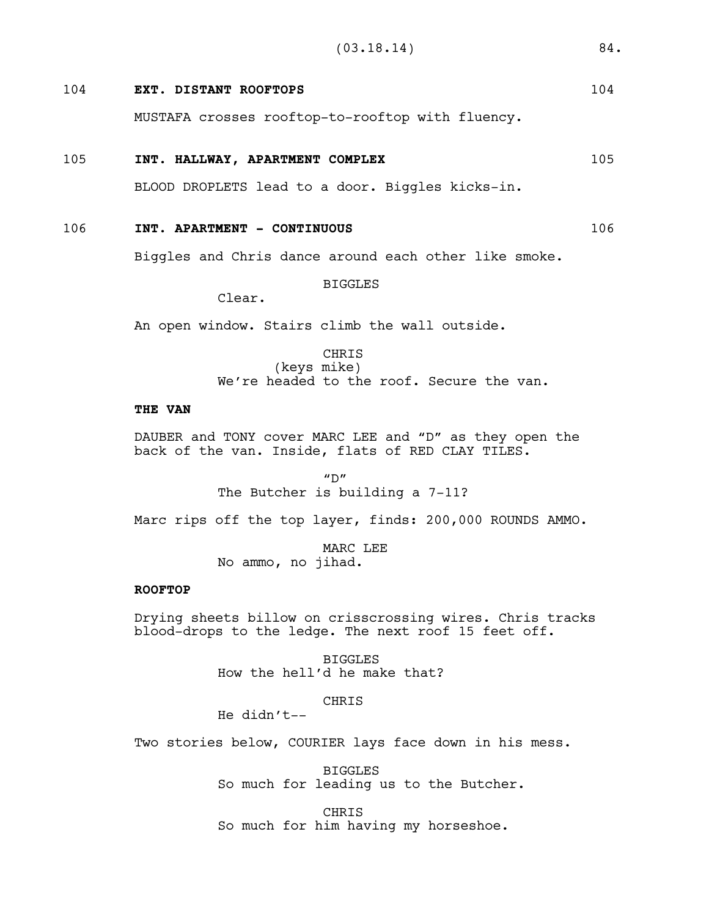# 104 **EXT. DISTANT ROOFTOPS** 104

MUSTAFA crosses rooftop-to-rooftop with fluency.

# 105 **INT. HALLWAY, APARTMENT COMPLEX** 105

BLOOD DROPLETS lead to a door. Biggles kicks-in.

# 106 **INT. APARTMENT - CONTINUOUS** 106

Biggles and Chris dance around each other like smoke.

BIGGLES

Clear.

An open window. Stairs climb the wall outside.

# CHRIS (keys mike) We're headed to the roof. Secure the van.

### **THE VAN**

DAUBER and TONY cover MARC LEE and "D" as they open the back of the van. Inside, flats of RED CLAY TILES.

> $^{\prime\prime}$  D $^{\prime\prime}$ The Butcher is building a 7-11?

Marc rips off the top layer, finds: 200,000 ROUNDS AMMO.

MARC LEE No ammo, no jihad.

### **ROOFTOP**

Drying sheets billow on crisscrossing wires. Chris tracks blood-drops to the ledge. The next roof 15 feet off.

> BIGGLES How the hell'd he make that?

# CHRIS

He didn't--

Two stories below, COURIER lays face down in his mess.

BIGGLES So much for leading us to the Butcher.

CHRIS So much for him having my horseshoe.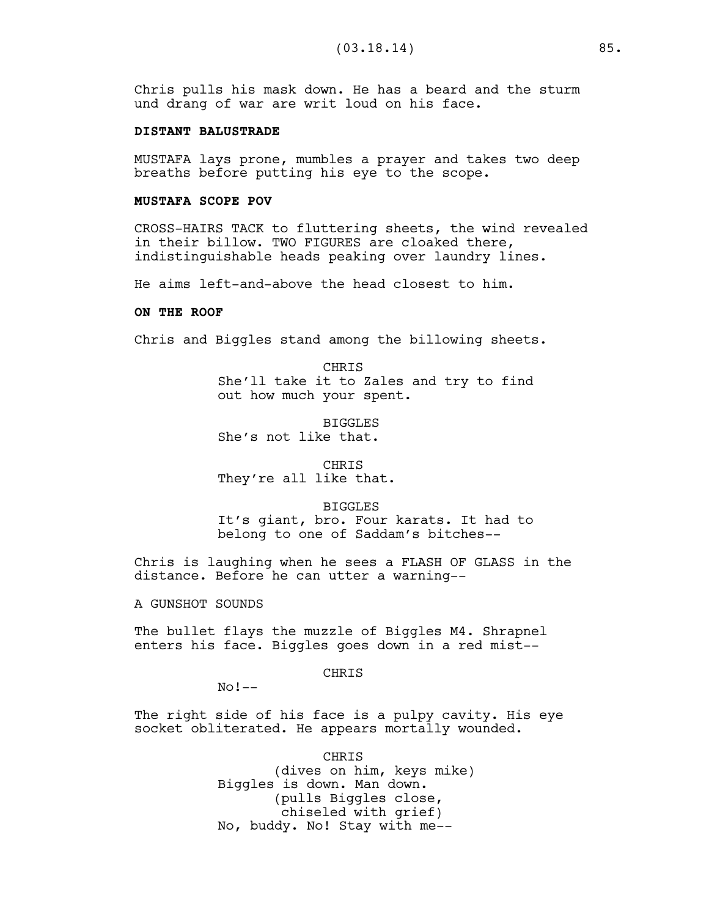Chris pulls his mask down. He has a beard and the sturm und drang of war are writ loud on his face.

#### **DISTANT BALUSTRADE**

MUSTAFA lays prone, mumbles a prayer and takes two deep breaths before putting his eye to the scope.

#### **MUSTAFA SCOPE POV**

CROSS-HAIRS TACK to fluttering sheets, the wind revealed in their billow. TWO FIGURES are cloaked there, indistinguishable heads peaking over laundry lines.

He aims left-and-above the head closest to him.

#### **ON THE ROOF**

Chris and Biggles stand among the billowing sheets.

**CHRIS** She'll take it to Zales and try to find out how much your spent.

BIGGLES She's not like that.

CHRIS They're all like that.

#### BIGGLES

It's giant, bro. Four karats. It had to belong to one of Saddam's bitches--

Chris is laughing when he sees a FLASH OF GLASS in the distance. Before he can utter a warning--

A GUNSHOT SOUNDS

The bullet flays the muzzle of Biggles M4. Shrapnel enters his face. Biggles goes down in a red mist--

#### **CHRTS**

 $No !--$ 

The right side of his face is a pulpy cavity. His eye socket obliterated. He appears mortally wounded.

> CHRIS (dives on him, keys mike) Biggles is down. Man down. (pulls Biggles close, chiseled with grief) No, buddy. No! Stay with me--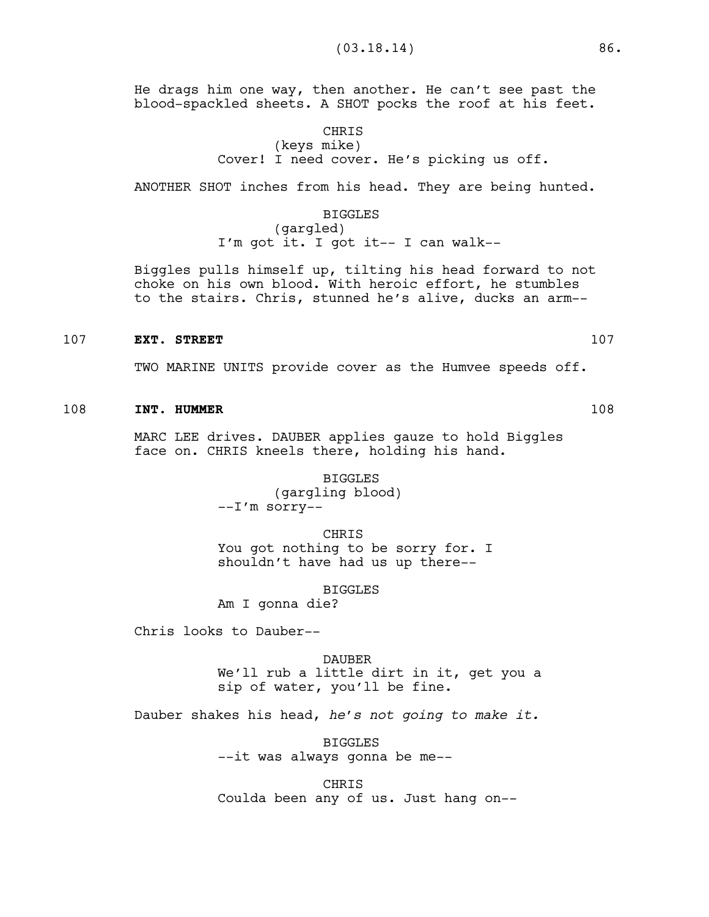He drags him one way, then another. He can't see past the blood-spackled sheets. A SHOT pocks the roof at his feet.

# CHRIS

(keys mike) Cover! I need cover. He's picking us off.

ANOTHER SHOT inches from his head. They are being hunted.

#### BIGGLES

(gargled) I'm got it. I got it-- I can walk--

Biggles pulls himself up, tilting his head forward to not choke on his own blood. With heroic effort, he stumbles to the stairs. Chris, stunned he's alive, ducks an arm--

#### 107 **EXT. STREET** 107

TWO MARINE UNITS provide cover as the Humvee speeds off.

# 108 **INT. HUMMER** 108

MARC LEE drives. DAUBER applies gauze to hold Biggles face on. CHRIS kneels there, holding his hand.

> BIGGLES (gargling blood) --I'm sorry--

> > CHRIS

You got nothing to be sorry for. I shouldn't have had us up there--

BIGGLES

Am I gonna die?

Chris looks to Dauber--

# DAUBER We'll rub a little dirt in it, get you a sip of water, you'll be fine.

Dauber shakes his head, *he's not going to make it.*

BIGGLES --it was always gonna be me--

CHRIS Coulda been any of us. Just hang on--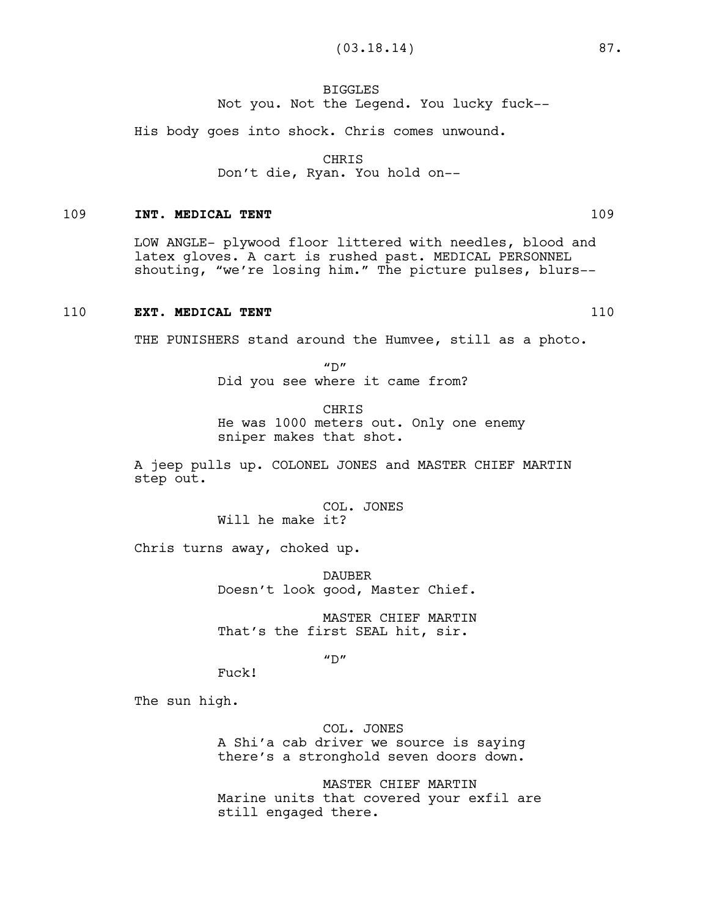# BIGGLES Not you. Not the Legend. You lucky fuck--

His body goes into shock. Chris comes unwound.

CHRIS

Don't die, Ryan. You hold on--

### 109 **INT. MEDICAL TENT** 109

LOW ANGLE- plywood floor littered with needles, blood and latex gloves. A cart is rushed past. MEDICAL PERSONNEL shouting, "we're losing him." The picture pulses, blurs--

# 110 **EXT. MEDICAL TENT** 110

THE PUNISHERS stand around the Humvee, still as a photo.

 $''D''$ Did you see where it came from?

CHRIS He was 1000 meters out. Only one enemy sniper makes that shot.

A jeep pulls up. COLONEL JONES and MASTER CHIEF MARTIN step out.

> COL. JONES Will he make it?

Chris turns away, choked up.

DAUBER Doesn't look good, Master Chief.

MASTER CHIEF MARTIN That's the first SEAL hit, sir.

 $"D"$ 

Fuck!

The sun high.

COL. JONES A Shi'a cab driver we source is saying there's a stronghold seven doors down.

MASTER CHIEF MARTIN Marine units that covered your exfil are still engaged there.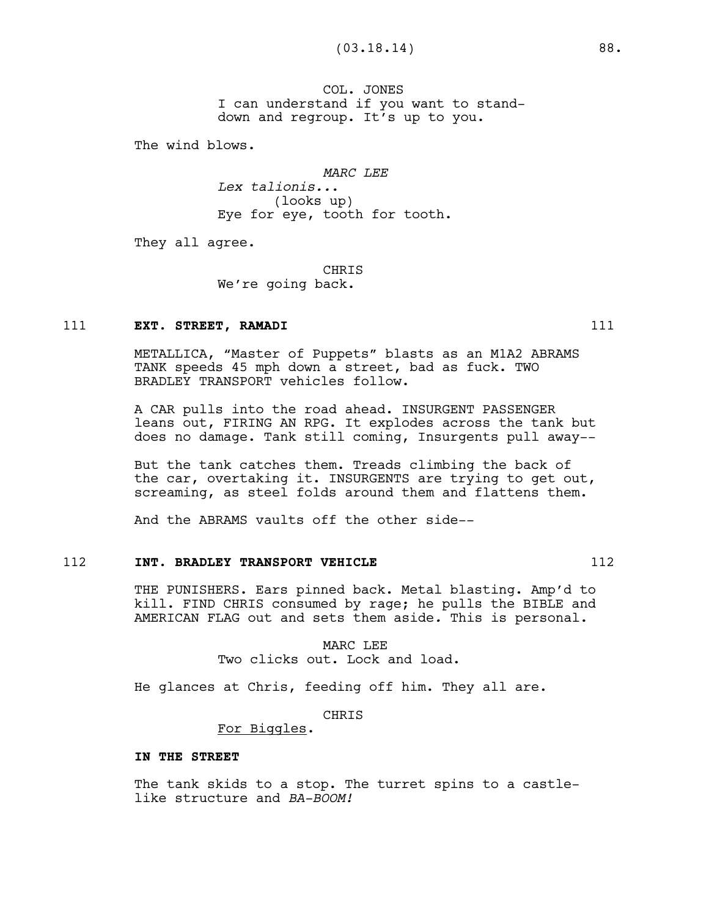COL. JONES I can understand if you want to standdown and regroup. It's up to you.

The wind blows.

*MARC LEE*

*Lex talionis..*. (looks up) Eye for eye, tooth for tooth.

They all agree.

**CHRTS** We're going back.

# 111 **EXT. STREET, RAMADI** 111

METALLICA, "Master of Puppets" blasts as an M1A2 ABRAMS TANK speeds 45 mph down a street, bad as fuck. TWO BRADLEY TRANSPORT vehicles follow.

A CAR pulls into the road ahead. INSURGENT PASSENGER leans out, FIRING AN RPG. It explodes across the tank but does no damage. Tank still coming, Insurgents pull away--

But the tank catches them. Treads climbing the back of the car, overtaking it. INSURGENTS are trying to get out, screaming, as steel folds around them and flattens them.

And the ABRAMS vaults off the other side--

### 112 **INT. BRADLEY TRANSPORT VEHICLE 112 112**

THE PUNISHERS. Ears pinned back. Metal blasting. Amp'd to kill. FIND CHRIS consumed by rage; he pulls the BIBLE and AMERICAN FLAG out and sets them aside*.* This is personal.

> MARC LEE Two clicks out. Lock and load.

He glances at Chris, feeding off him. They all are.

CHRIS

For Biggles.

#### **IN THE STREET**

The tank skids to a stop. The turret spins to a castlelike structure and *BA-BOOM!*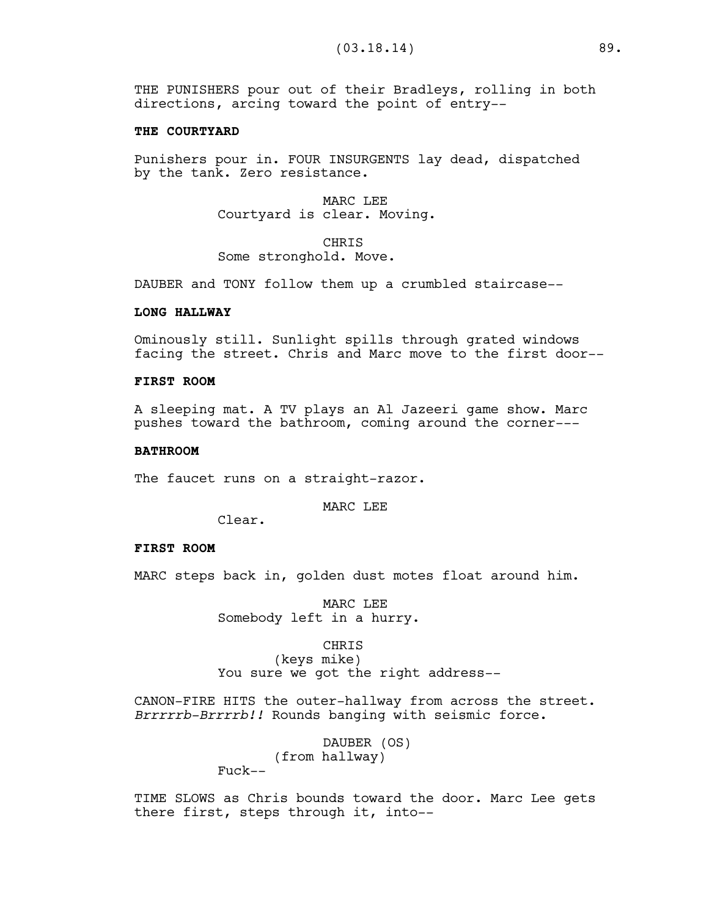THE PUNISHERS pour out of their Bradleys, rolling in both directions, arcing toward the point of entry--

#### **THE COURTYARD**

Punishers pour in. FOUR INSURGENTS lay dead, dispatched by the tank. Zero resistance.

> MARC LEE Courtyard is clear. Moving.

CHRIS Some stronghold. Move.

DAUBER and TONY follow them up a crumbled staircase--

### **LONG HALLWAY**

Ominously still. Sunlight spills through grated windows facing the street. Chris and Marc move to the first door--

# **FIRST ROOM**

A sleeping mat. A TV plays an Al Jazeeri game show. Marc pushes toward the bathroom, coming around the corner---

#### **BATHROOM**

The faucet runs on a straight-razor.

MARC LEE

Clear.

# **FIRST ROOM**

MARC steps back in, golden dust motes float around him.

MARC LEE Somebody left in a hurry.

#### CHRIS

(keys mike) You sure we got the right address--

CANON-FIRE HITS the outer-hallway from across the street. *Brrrrrb-Brrrrb!!* Rounds banging with seismic force.

> DAUBER (OS) (from hallway)

Fuck--

TIME SLOWS as Chris bounds toward the door. Marc Lee gets there first, steps through it, into--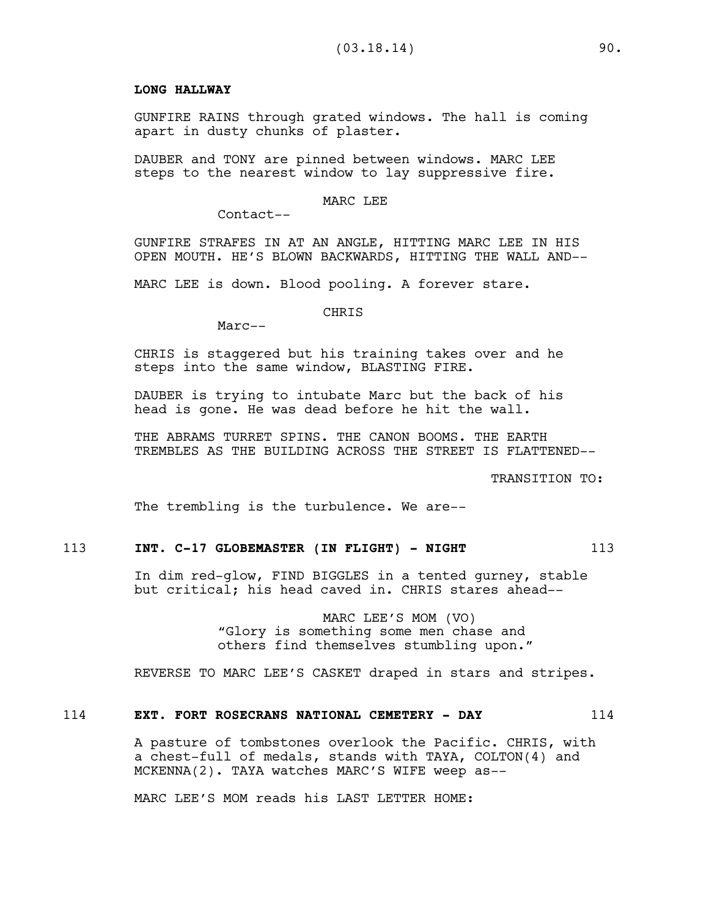### **LONG HALLWAY**

GUNFIRE RAINS through grated windows. The hall is coming apart in dusty chunks of plaster.

DAUBER and TONY are pinned between windows. MARC LEE steps to the nearest window to lay suppressive fire.

# MARC LEE

Contact--

GUNFIRE STRAFES IN AT AN ANGLE, HITTING MARC LEE IN HIS OPEN MOUTH. HE'S BLOWN BACKWARDS, HITTING THE WALL AND--

MARC LEE is down. Blood pooling. A forever stare.

#### CHRIS

Marc--

CHRIS is staggered but his training takes over and he steps into the same window, BLASTING FIRE.

DAUBER is trying to intubate Marc but the back of his head is gone. He was dead before he hit the wall.

THE ABRAMS TURRET SPINS. THE CANON BOOMS. THE EARTH TREMBLES AS THE BUILDING ACROSS THE STREET IS FLATTENED--

TRANSITION TO:

The trembling is the turbulence. We are--

# 113 **INT. C-17 GLOBEMASTER (IN FLIGHT) - NIGHT** 113

In dim red-glow, FIND BIGGLES in a tented gurney, stable but critical; his head caved in. CHRIS stares ahead--

> MARC LEE'S MOM (VO) "Glory is something some men chase and others find themselves stumbling upon."

REVERSE TO MARC LEE'S CASKET draped in stars and stripes.

# 114 **EXT. FORT ROSECRANS NATIONAL CEMETERY - DAY** 114

A pasture of tombstones overlook the Pacific. CHRIS, with a chest-full of medals, stands with TAYA, COLTON(4) and MCKENNA(2). TAYA watches MARC'S WIFE weep as--

MARC LEE'S MOM reads his LAST LETTER HOME: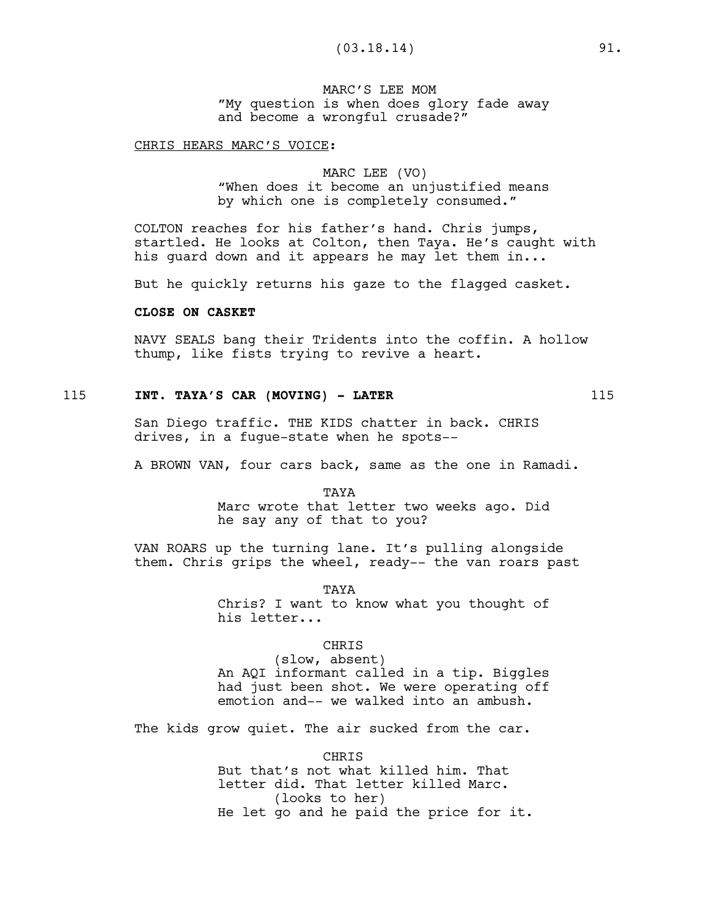MARC'S LEE MOM "My question is when does glory fade away and become a wrongful crusade?"

#### CHRIS HEARS MARC'S VOICE:

# MARC LEE (VO) "When does it become an unjustified means by which one is completely consumed."

COLTON reaches for his father's hand. Chris jumps, startled. He looks at Colton, then Taya. He's caught with his quard down and it appears he may let them in...

But he quickly returns his gaze to the flagged casket.

### **CLOSE ON CASKET**

NAVY SEALS bang their Tridents into the coffin. A hollow thump, like fists trying to revive a heart.

# 115 **INT. TAYA'S CAR (MOVING) - LATER** 115

San Diego traffic. THE KIDS chatter in back. CHRIS drives, in a fugue-state when he spots--

A BROWN VAN, four cars back, same as the one in Ramadi.

TAYA Marc wrote that letter two weeks ago. Did he say any of that to you?

VAN ROARS up the turning lane. It's pulling alongside them. Chris grips the wheel, ready-- the van roars past

TAYA

Chris? I want to know what you thought of his letter...

#### CHRIS

(slow, absent) An AQI informant called in a tip. Biggles had just been shot. We were operating off emotion and-- we walked into an ambush.

The kids grow quiet. The air sucked from the car.

CHRIS But that's not what killed him. That letter did. That letter killed Marc. (looks to her) He let go and he paid the price for it.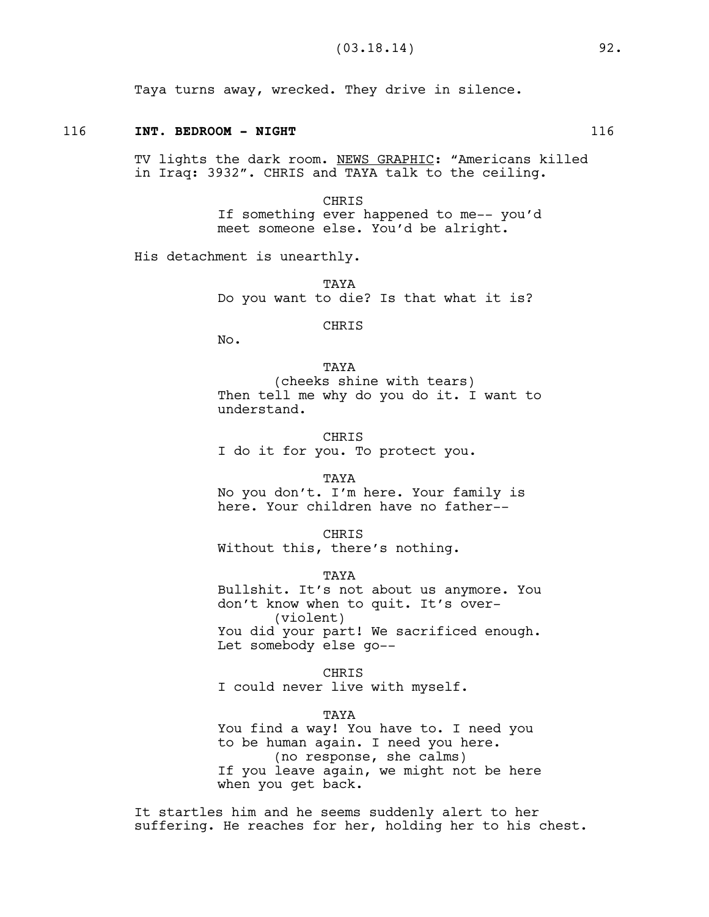Taya turns away, wrecked. They drive in silence.

#### 116 **INT. BEDROOM - NIGHT** 116

TV lights the dark room. NEWS GRAPHIC: "Americans killed in Iraq: 3932". CHRIS and TAYA talk to the ceiling.

> CHRIS If something ever happened to me-- you'd meet someone else. You'd be alright.

His detachment is unearthly.

TAYA Do you want to die? Is that what it is?

CHRIS

No.

**TAYA** (cheeks shine with tears) Then tell me why do you do it. I want to understand.

CHRIS I do it for you. To protect you.

TAYA

No you don't. I'm here. Your family is here. Your children have no father--

CHRIS Without this, there's nothing.

TAYA Bullshit. It's not about us anymore. You don't know when to quit. It's over- (violent) You did your part! We sacrificed enough. Let somebody else go--

CHRIS I could never live with myself.

#### TAYA

You find a way! You have to. I need you to be human again. I need you here. (no response, she calms) If you leave again, we might not be here when you get back.

It startles him and he seems suddenly alert to her suffering. He reaches for her, holding her to his chest.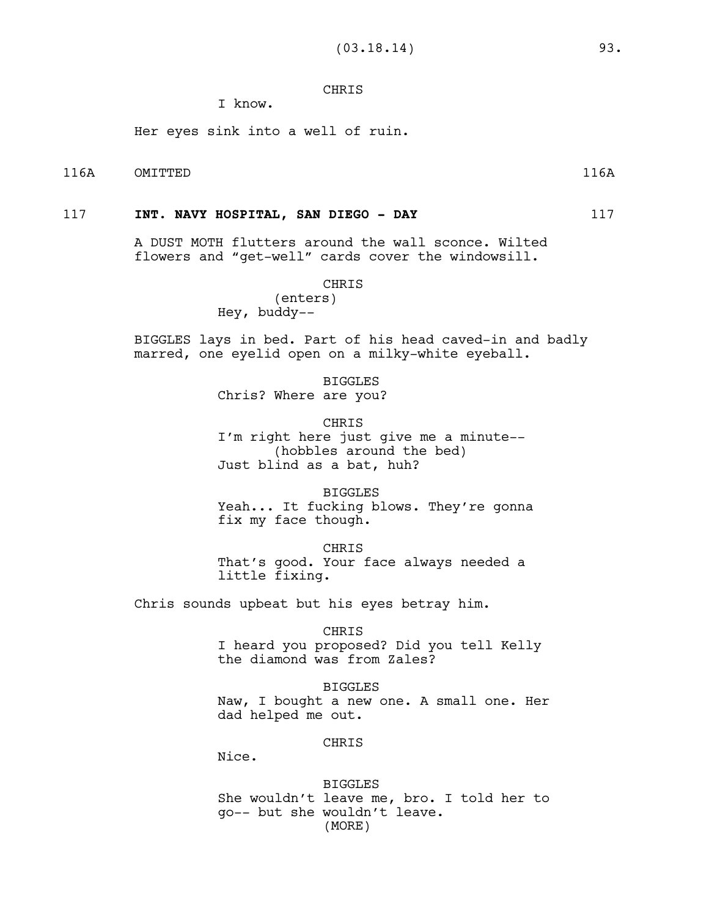# CHRIS

I know.

Her eyes sink into a well of ruin.

# 116A OMITTED 116A

# 117 **INT. NAVY HOSPITAL, SAN DIEGO - DAY** 117

A DUST MOTH flutters around the wall sconce. Wilted flowers and "get-well" cards cover the windowsill.

#### CHRIS

# (enters) Hey, buddy--

BIGGLES lays in bed. Part of his head caved-in and badly marred, one eyelid open on a milky-white eyeball.

> BIGGLES Chris? Where are you?

> > **CHRIS**

I'm right here just give me a minute-- (hobbles around the bed) Just blind as a bat, huh?

BIGGLES Yeah... It fucking blows. They're gonna fix my face though.

CHRIS That's good. Your face always needed a little fixing.

Chris sounds upbeat but his eyes betray him.

#### CHRIS

I heard you proposed? Did you tell Kelly the diamond was from Zales?

#### BIGGLES

Naw, I bought a new one. A small one. Her dad helped me out.

#### CHRIS

Nice.

BIGGLES She wouldn't leave me, bro. I told her to go-- but she wouldn't leave. (MORE)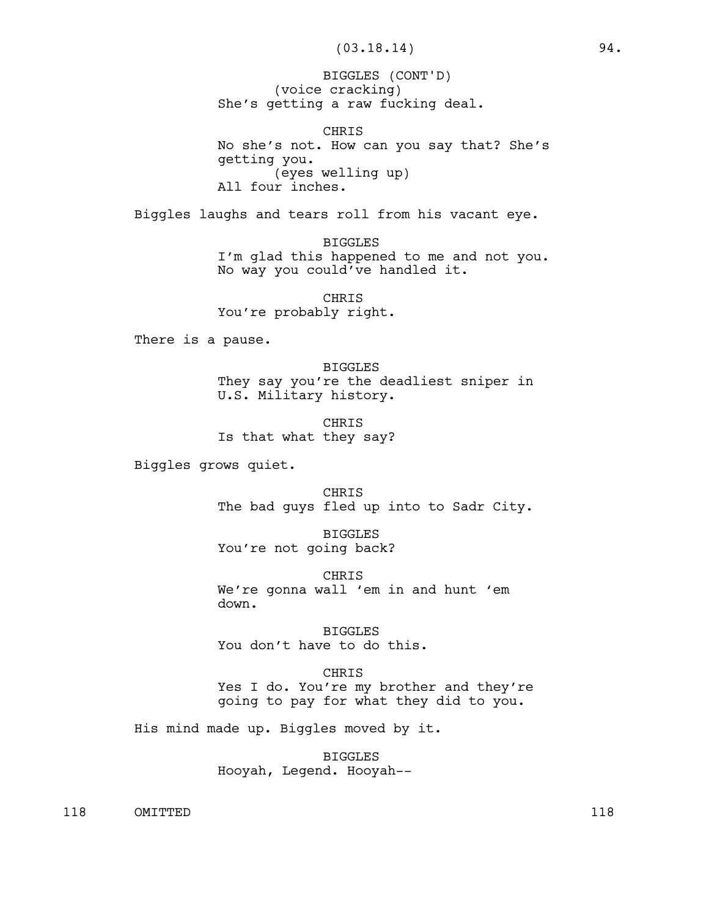(voice cracking) She's getting a raw fucking deal. BIGGLES (CONT'D)

CHRIS No she's not. How can you say that? She's getting you. (eyes welling up) All four inches.

Biggles laughs and tears roll from his vacant eye.

BIGGLES I'm glad this happened to me and not you. No way you could've handled it.

CHRIS You're probably right.

There is a pause.

BIGGLES They say you're the deadliest sniper in U.S. Military history.

CHRIS Is that what they say?

Biggles grows quiet.

CHRIS The bad guys fled up into to Sadr City.

BIGGLES You're not going back?

CHRIS We're gonna wall 'em in and hunt 'em down.

BIGGLES You don't have to do this.

CHRIS Yes I do. You're my brother and they're going to pay for what they did to you.

His mind made up. Biggles moved by it.

BIGGLES Hooyah, Legend. Hooyah--

118 OMITTED 118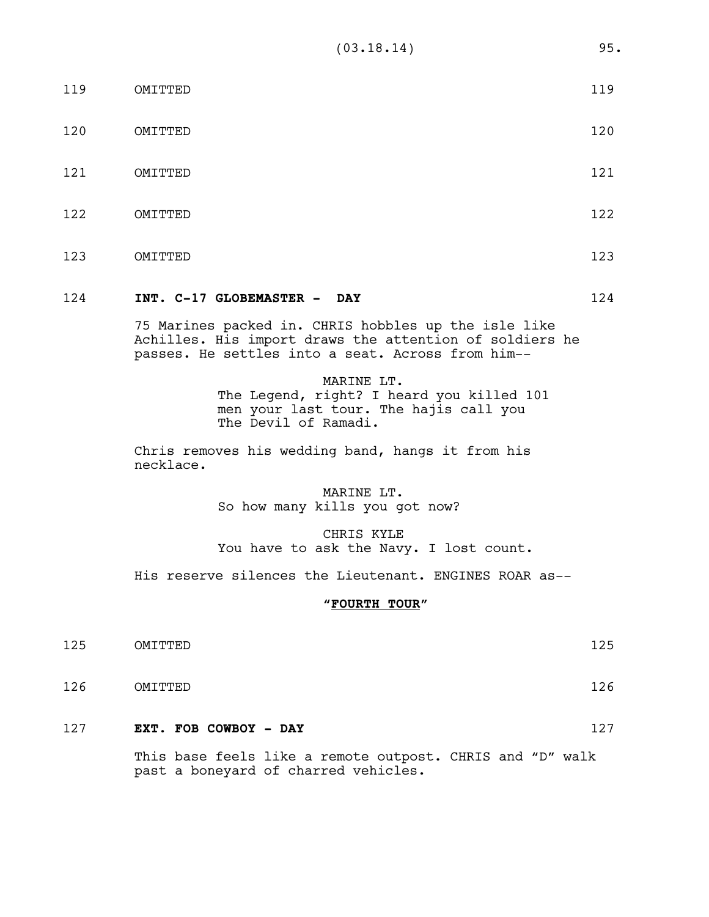| 119 | OMITTED | 119 |
|-----|---------|-----|
| 120 | OMITTED | 120 |
| 121 | OMITTED | 121 |
| 122 | OMITTED | 122 |
| 123 | OMITTED | 123 |

# 124 **INT. C-17 GLOBEMASTER - DAY** 124

75 Marines packed in. CHRIS hobbles up the isle like Achilles. His import draws the attention of soldiers he passes. He settles into a seat. Across from him--

### MARINE LT.

The Legend, right? I heard you killed 101 men your last tour. The hajis call you The Devil of Ramadi.

Chris removes his wedding band, hangs it from his necklace.

# MARINE LT. So how many kills you got now?

CHRIS KYLE You have to ask the Navy. I lost count.

His reserve silences the Lieutenant. ENGINES ROAR as--

# **"FOURTH TOUR"**

- 125 OMITTED 125
- 126 OMITTED 126
- 127 **EXT. FOB COWBOY DAY** 127

This base feels like a remote outpost. CHRIS and "D" walk past a boneyard of charred vehicles.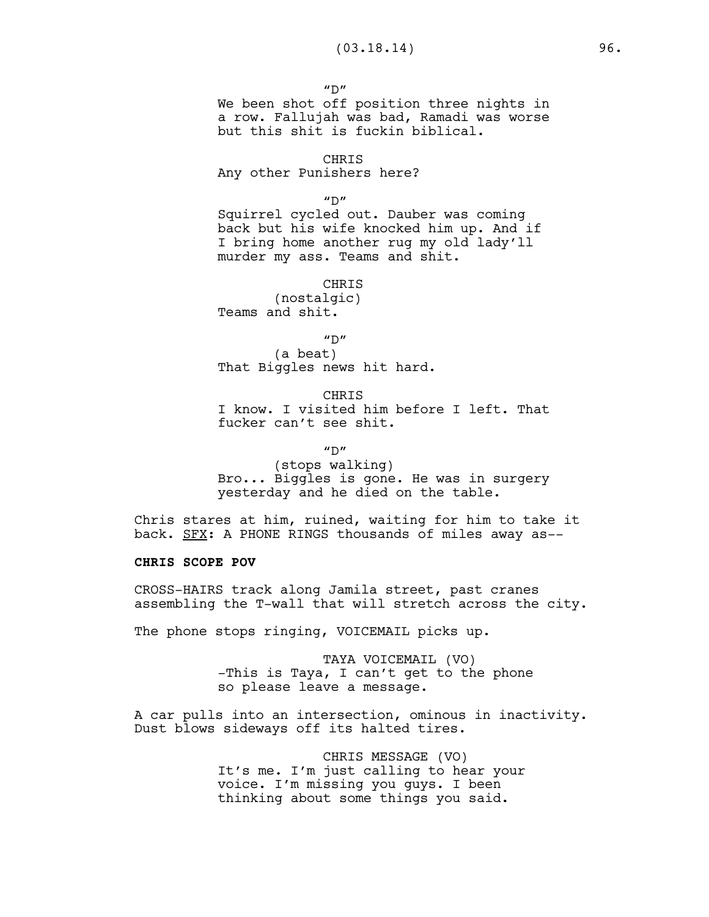$^{\prime\prime}$ D" We been shot off position three nights in a row. Fallujah was bad, Ramadi was worse

but this shit is fuckin biblical. CHRIS

Any other Punishers here?

 $''D''$ 

Squirrel cycled out. Dauber was coming back but his wife knocked him up. And if I bring home another rug my old lady'll murder my ass. Teams and shit.

CHRIS

(nostalgic) Teams and shit.

 $^{\prime\prime}$ D"

(a beat) That Biggles news hit hard.

CHRIS I know. I visited him before I left. That fucker can't see shit.

 $''D''$ 

(stops walking) Bro... Biggles is gone. He was in surgery yesterday and he died on the table.

Chris stares at him, ruined, waiting for him to take it back. SFX: A PHONE RINGS thousands of miles away as--

### **CHRIS SCOPE POV**

CROSS-HAIRS track along Jamila street, past cranes assembling the T-wall that will stretch across the city.

The phone stops ringing, VOICEMAIL picks up.

TAYA VOICEMAIL (VO) -This is Taya, I can't get to the phone so please leave a message.

A car pulls into an intersection, ominous in inactivity. Dust blows sideways off its halted tires.

> CHRIS MESSAGE (VO) It's me. I'm just calling to hear your voice. I'm missing you guys. I been thinking about some things you said.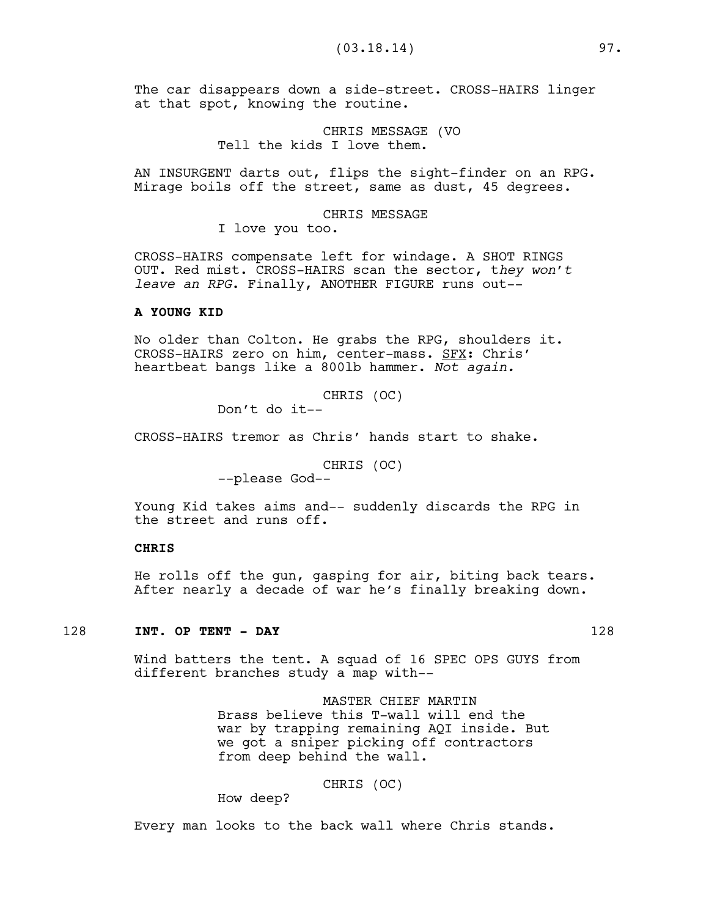The car disappears down a side-street. CROSS-HAIRS linger at that spot, knowing the routine.

> CHRIS MESSAGE (VO Tell the kids I love them.

AN INSURGENT darts out, flips the sight-finder on an RPG. Mirage boils off the street, same as dust, 45 degrees.

### CHRIS MESSAGE

I love you too.

CROSS-HAIRS compensate left for windage. A SHOT RINGS OUT. Red mist. CROSS-HAIRS scan the sector, t*hey won't leave an RPG*. Finally, ANOTHER FIGURE runs out--

### **A YOUNG KID**

No older than Colton. He grabs the RPG, shoulders it. CROSS-HAIRS zero on him, center-mass. SFX: Chris' heartbeat bangs like a 800lb hammer. *Not again.*

CHRIS (OC)

Don't do it--

CROSS-HAIRS tremor as Chris' hands start to shake.

CHRIS (OC) --please God--

Young Kid takes aims and-- suddenly discards the RPG in the street and runs off.

# **CHRIS**

He rolls off the gun, gasping for air, biting back tears. After nearly a decade of war he's finally breaking down.

# 128 **INT. OP TENT - DAY** 128

Wind batters the tent. A squad of 16 SPEC OPS GUYS from different branches study a map with--

> MASTER CHIEF MARTIN Brass believe this T-wall will end the war by trapping remaining AQI inside. But we got a sniper picking off contractors from deep behind the wall.

> > CHRIS (OC)

How deep?

Every man looks to the back wall where Chris stands.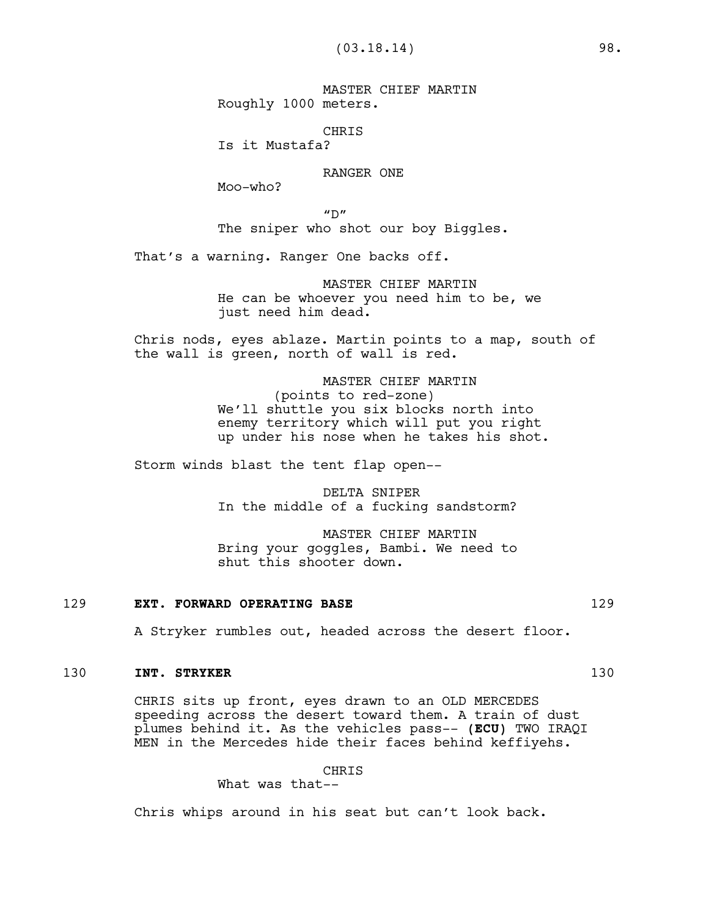MASTER CHIEF MARTIN Roughly 1000 meters.

CHRIS

Is it Mustafa?

RANGER ONE

Moo-who?

 $"D"$ The sniper who shot our boy Biggles.

That's a warning. Ranger One backs off.

MASTER CHIEF MARTIN He can be whoever you need him to be, we just need him dead.

Chris nods, eyes ablaze. Martin points to a map, south of the wall is green, north of wall is red.

> MASTER CHIEF MARTIN (points to red-zone) We'll shuttle you six blocks north into enemy territory which will put you right up under his nose when he takes his shot.

Storm winds blast the tent flap open--

DELTA SNIPER In the middle of a fucking sandstorm?

MASTER CHIEF MARTIN Bring your goggles, Bambi. We need to shut this shooter down.

#### 129 **EXT. FORWARD OPERATING BASE** 129

A Stryker rumbles out, headed across the desert floor.

### 130 **INT. STRYKER** 130

CHRIS sits up front, eyes drawn to an OLD MERCEDES speeding across the desert toward them. A train of dust plumes behind it. As the vehicles pass-- **(ECU)** TWO IRAQI MEN in the Mercedes hide their faces behind keffiyehs.

CHRIS

What was that--

Chris whips around in his seat but can't look back.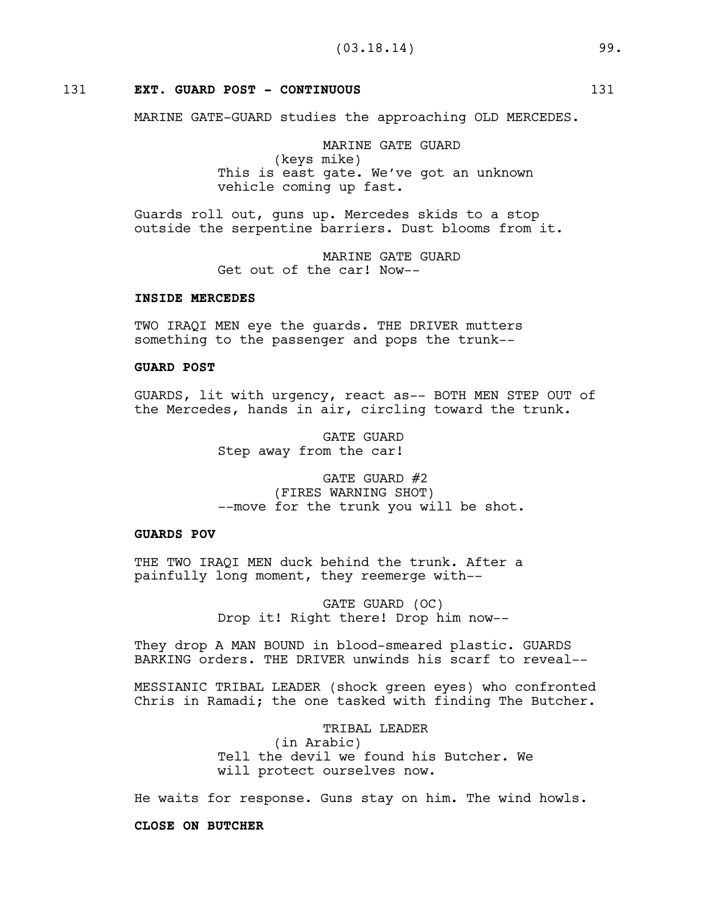### 131 **EXT. GUARD POST - CONTINUOUS** 131

MARINE GATE-GUARD studies the approaching OLD MERCEDES.

MARINE GATE GUARD (keys mike) This is east gate. We've got an unknown vehicle coming up fast.

Guards roll out, guns up. Mercedes skids to a stop outside the serpentine barriers. Dust blooms from it.

> MARINE GATE GUARD Get out of the car! Now--

#### **INSIDE MERCEDES**

TWO IRAQI MEN eye the guards. THE DRIVER mutters something to the passenger and pops the trunk--

#### **GUARD POST**

GUARDS, lit with urgency, react as-- BOTH MEN STEP OUT of the Mercedes, hands in air, circling toward the trunk.

> GATE GUARD Step away from the car!

GATE GUARD #2 (FIRES WARNING SHOT) --move for the trunk you will be shot.

### **GUARDS POV**

THE TWO IRAQI MEN duck behind the trunk. After a painfully long moment, they reemerge with--

> GATE GUARD (OC) Drop it! Right there! Drop him now--

They drop A MAN BOUND in blood-smeared plastic. GUARDS BARKING orders. THE DRIVER unwinds his scarf to reveal--

MESSIANIC TRIBAL LEADER (shock green eyes) who confronted Chris in Ramadi; the one tasked with finding The Butcher.

> TRIBAL LEADER (in Arabic) Tell the devil we found his Butcher. We will protect ourselves now.

He waits for response. Guns stay on him. The wind howls.

**CLOSE ON BUTCHER**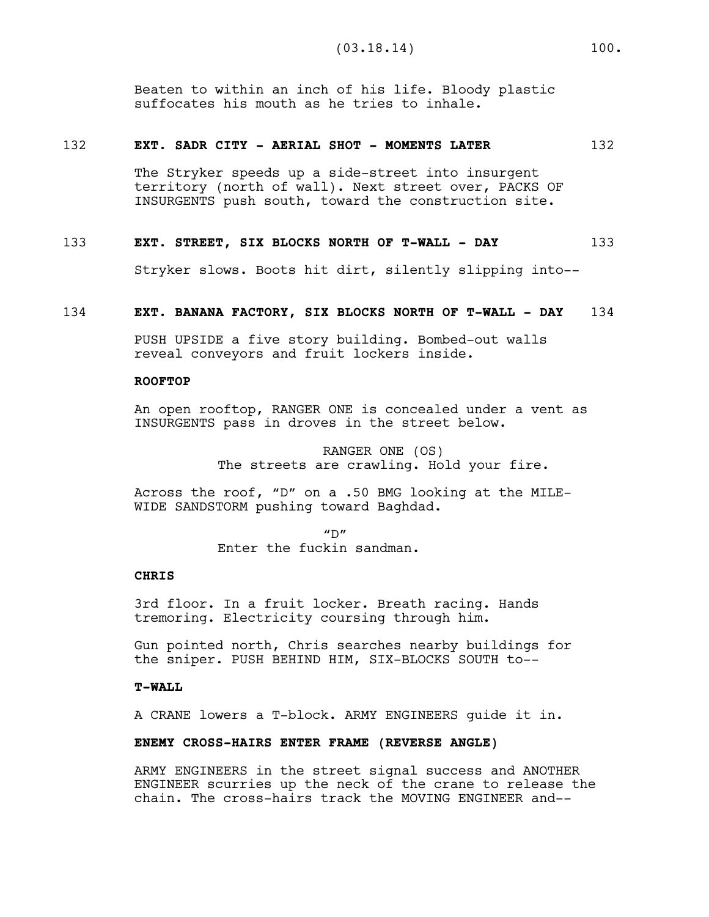Beaten to within an inch of his life. Bloody plastic suffocates his mouth as he tries to inhale.

#### 132 **EXT. SADR CITY - AERIAL SHOT - MOMENTS LATER** 132

The Stryker speeds up a side-street into insurgent territory (north of wall). Next street over, PACKS OF INSURGENTS push south, toward the construction site.

#### 133 **EXT. STREET, SIX BLOCKS NORTH OF T-WALL - DAY** 133

Stryker slows. Boots hit dirt, silently slipping into--

# 134 **EXT. BANANA FACTORY, SIX BLOCKS NORTH OF T-WALL - DAY** 134

PUSH UPSIDE a five story building. Bombed-out walls reveal conveyors and fruit lockers inside.

### **ROOFTOP**

An open rooftop, RANGER ONE is concealed under a vent as INSURGENTS pass in droves in the street below.

> RANGER ONE (OS) The streets are crawling. Hold your fire.

Across the roof, "D" on a .50 BMG looking at the MILE-WIDE SANDSTORM pushing toward Baghdad.

> $''D''$ Enter the fuckin sandman.

### **CHRIS**

3rd floor. In a fruit locker. Breath racing. Hands tremoring. Electricity coursing through him.

Gun pointed north, Chris searches nearby buildings for the sniper. PUSH BEHIND HIM, SIX-BLOCKS SOUTH to--

#### **T-WALL**

A CRANE lowers a T-block. ARMY ENGINEERS guide it in.

#### **ENEMY CROSS-HAIRS ENTER FRAME (REVERSE ANGLE)**

ARMY ENGINEERS in the street signal success and ANOTHER ENGINEER scurries up the neck of the crane to release the chain. The cross-hairs track the MOVING ENGINEER and--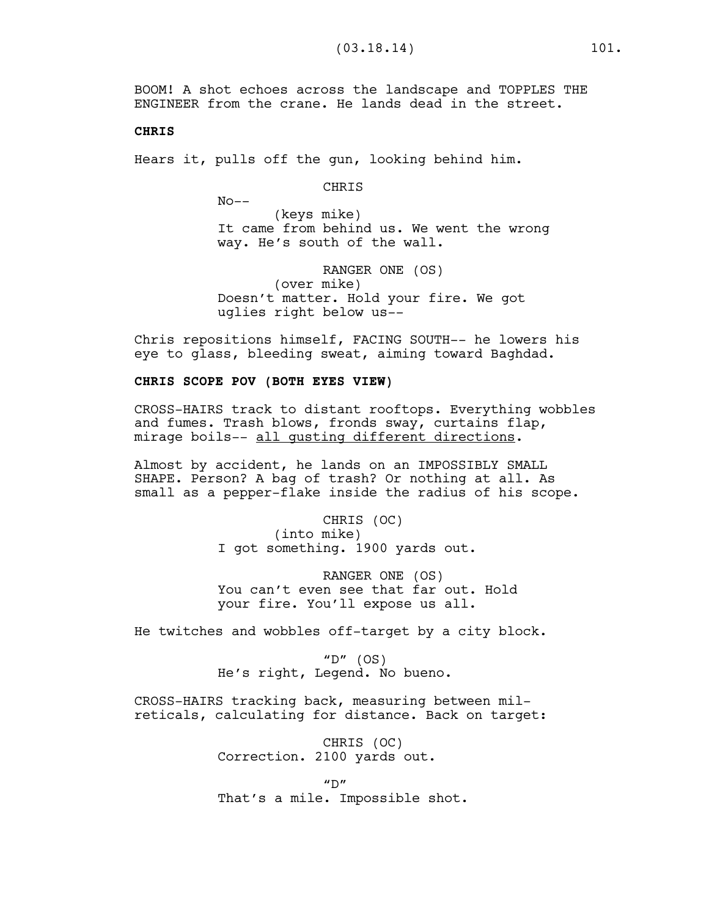BOOM! A shot echoes across the landscape and TOPPLES THE ENGINEER from the crane. He lands dead in the street.

#### **CHRIS**

Hears it, pulls off the gun, looking behind him.

CHRIS

 $No--$ 

(keys mike) It came from behind us. We went the wrong way. He's south of the wall.

RANGER ONE (OS) (over mike) Doesn't matter. Hold your fire. We got uglies right below us--

Chris repositions himself, FACING SOUTH-- he lowers his eye to glass, bleeding sweat, aiming toward Baghdad.

# **CHRIS SCOPE POV (BOTH EYES VIEW)**

CROSS-HAIRS track to distant rooftops. Everything wobbles and fumes. Trash blows, fronds sway, curtains flap, mirage boils-- all gusting different directions.

Almost by accident, he lands on an IMPOSSIBLY SMALL SHAPE. Person? A bag of trash? Or nothing at all. As small as a pepper-flake inside the radius of his scope.

> CHRIS (OC) (into mike) I got something. 1900 yards out.

RANGER ONE (OS) You can't even see that far out. Hold your fire. You'll expose us all.

He twitches and wobbles off-target by a city block.

" $D"$  (OS) He's right, Legend. No bueno.

CROSS-HAIRS tracking back, measuring between milreticals, calculating for distance. Back on target:

> CHRIS (OC) Correction. 2100 yards out.

 $^{\prime\prime}$  D $^{\prime\prime}$ That's a mile. Impossible shot.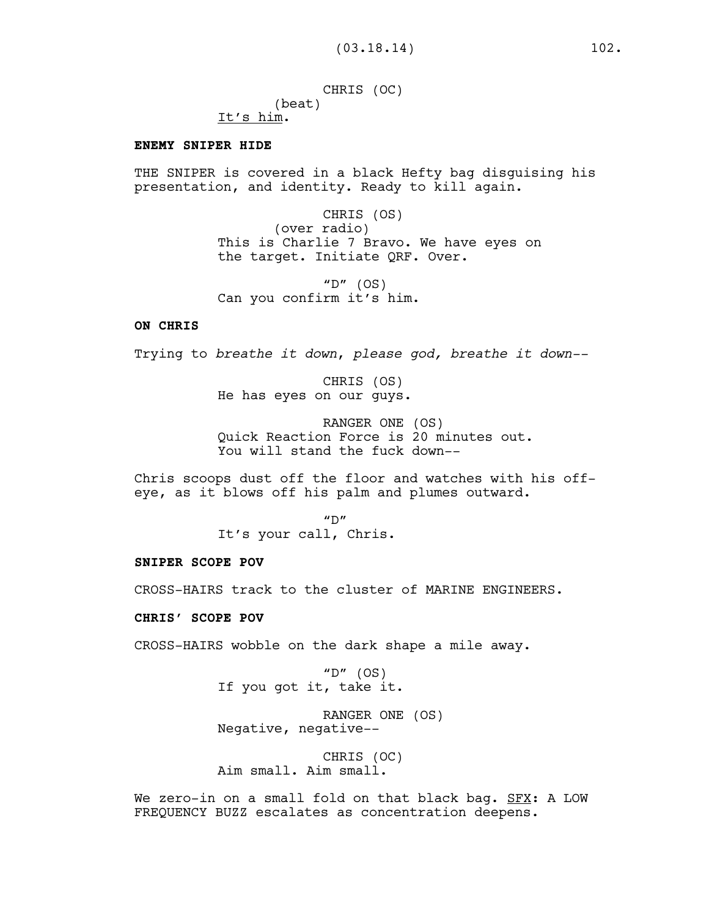CHRIS (OC) (beat) It's him.

### **ENEMY SNIPER HIDE**

THE SNIPER is covered in a black Hefty bag disguising his presentation, and identity. Ready to kill again.

> CHRIS (OS) (over radio) This is Charlie 7 Bravo. We have eyes on the target. Initiate QRF. Over.

"D"  $(OS)$ Can you confirm it's him.

# **ON CHRIS**

Trying to *breathe it down*, *please god, breathe it down--*

CHRIS (OS) He has eyes on our guys.

RANGER ONE (OS) Quick Reaction Force is 20 minutes out. You will stand the fuck down--

Chris scoops dust off the floor and watches with his offeye, as it blows off his palm and plumes outward.

> $''D''$ It's your call, Chris.

#### **SNIPER SCOPE POV**

CROSS-HAIRS track to the cluster of MARINE ENGINEERS.

### **CHRIS' SCOPE POV**

CROSS-HAIRS wobble on the dark shape a mile away.

" $D"$  (OS) If you got it, take it.

RANGER ONE (OS) Negative, negative--

CHRIS (OC) Aim small. Aim small.

We zero-in on a small fold on that black bag. SFX: A LOW FREQUENCY BUZZ escalates as concentration deepens.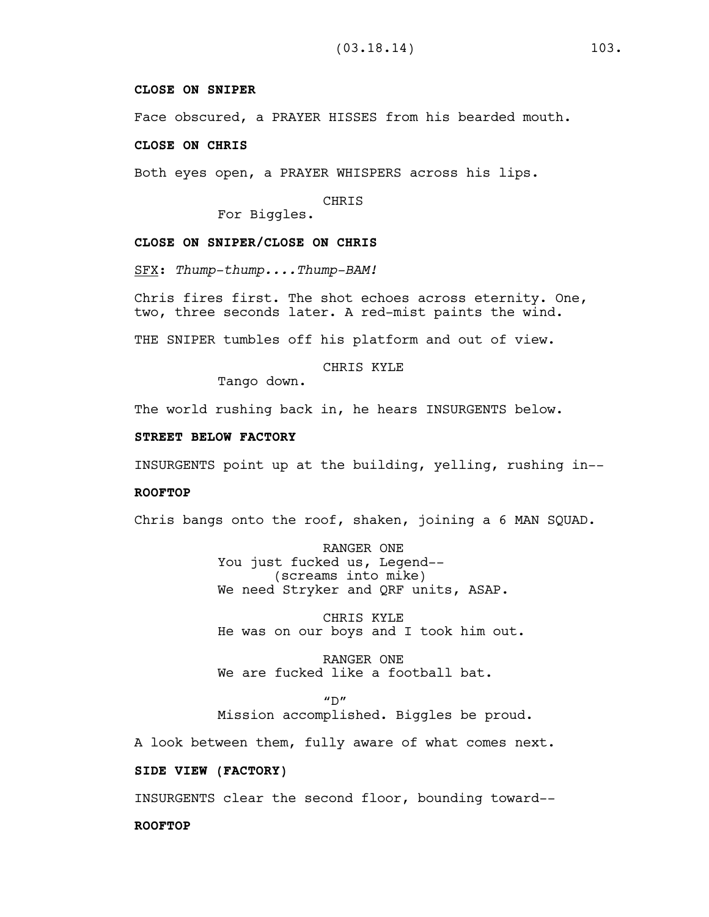# **CLOSE ON SNIPER**

Face obscured, a PRAYER HISSES from his bearded mouth.

#### **CLOSE ON CHRIS**

Both eyes open, a PRAYER WHISPERS across his lips.

CHRIS

For Biggles.

# **CLOSE ON SNIPER/CLOSE ON CHRIS**

SFX: *Thump-thump....Thump-BAM!*

Chris fires first. The shot echoes across eternity. One, two, three seconds later. A red-mist paints the wind.

THE SNIPER tumbles off his platform and out of view.

# CHRIS KYLE

Tango down.

The world rushing back in, he hears INSURGENTS below.

#### **STREET BELOW FACTORY**

INSURGENTS point up at the building, yelling, rushing in--

#### **ROOFTOP**

Chris bangs onto the roof, shaken, joining a 6 MAN SQUAD.

RANGER ONE You just fucked us, Legend-- (screams into mike) We need Stryker and QRF units, ASAP.

CHRIS KYLE He was on our boys and I took him out.

RANGER ONE We are fucked like a football bat.

 $''D''$ Mission accomplished. Biggles be proud.

A look between them, fully aware of what comes next.

# **SIDE VIEW (FACTORY)**

INSURGENTS clear the second floor, bounding toward--

### **ROOFTOP**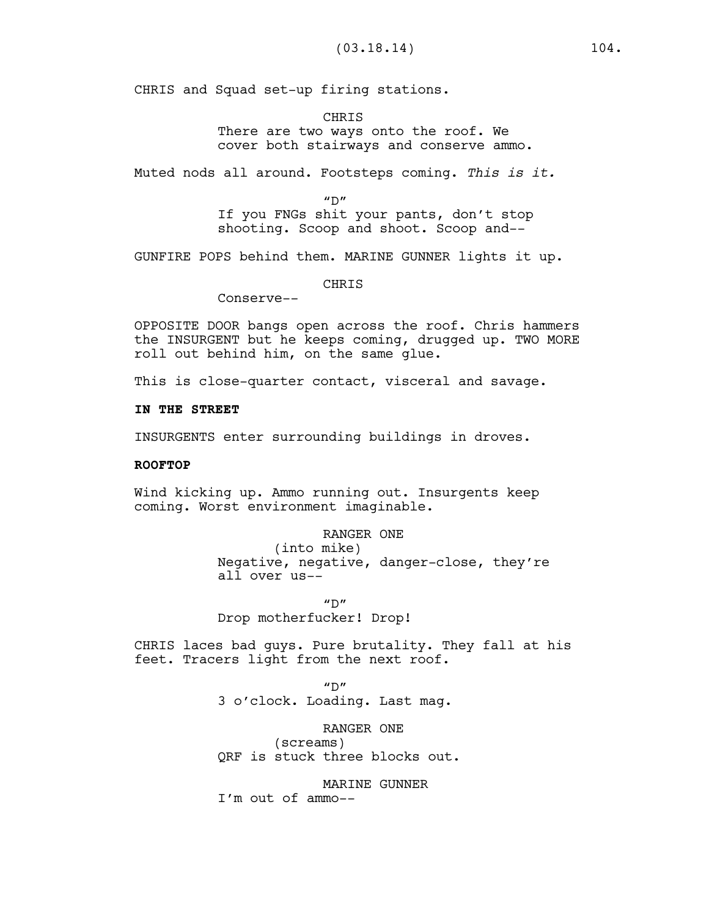CHRIS and Squad set-up firing stations.

**CHRTS** There are two ways onto the roof. We cover both stairways and conserve ammo.

Muted nods all around. Footsteps coming. *This is it.*

 $^{\prime\prime}$  D $^{\prime\prime}$ 

If you FNGs shit your pants, don't stop shooting. Scoop and shoot. Scoop and--

GUNFIRE POPS behind them. MARINE GUNNER lights it up.

CHRIS

Conserve--

OPPOSITE DOOR bangs open across the roof. Chris hammers the INSURGENT but he keeps coming, drugged up. TWO MORE roll out behind him, on the same glue.

This is close-quarter contact, visceral and savage.

#### **IN THE STREET**

INSURGENTS enter surrounding buildings in droves.

### **ROOFTOP**

Wind kicking up. Ammo running out. Insurgents keep coming. Worst environment imaginable.

RANGER ONE

(into mike) Negative, negative, danger-close, they're all over us--

 $''D''$ 

Drop motherfucker! Drop!

CHRIS laces bad guys. Pure brutality. They fall at his feet. Tracers light from the next roof.

> $''D''$ 3 o'clock. Loading. Last mag.

RANGER ONE (screams) QRF is stuck three blocks out.

MARINE GUNNER I'm out of ammo--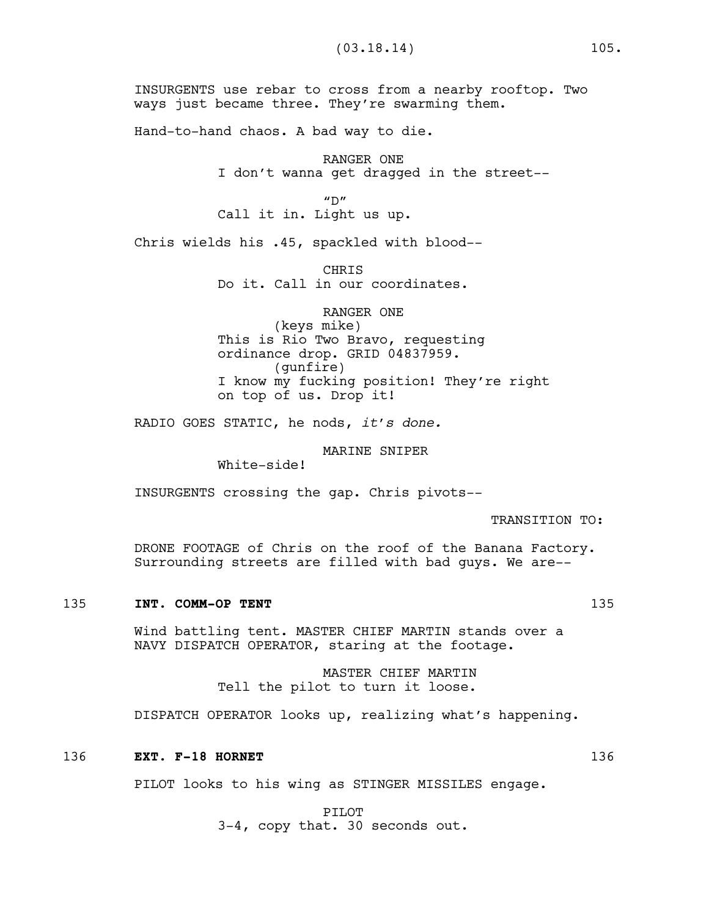INSURGENTS use rebar to cross from a nearby rooftop. Two ways just became three. They're swarming them.

Hand-to-hand chaos. A bad way to die.

RANGER ONE I don't wanna get dragged in the street--

 $''D''$ Call it in. Light us up.

Chris wields his .45, spackled with blood--

**CHRTS** Do it. Call in our coordinates.

RANGER ONE (keys mike) This is Rio Two Bravo, requesting ordinance drop. GRID 04837959. (gunfire) I know my fucking position! They're right on top of us. Drop it!

RADIO GOES STATIC, he nods, *it's done.* 

MARINE SNIPER

White-side!

INSURGENTS crossing the gap. Chris pivots--

TRANSITION TO:

DRONE FOOTAGE of Chris on the roof of the Banana Factory. Surrounding streets are filled with bad guys. We are--

#### 135 **INT. COMM-OP TENT** 135

Wind battling tent. MASTER CHIEF MARTIN stands over a NAVY DISPATCH OPERATOR, staring at the footage.

> MASTER CHIEF MARTIN Tell the pilot to turn it loose.

DISPATCH OPERATOR looks up, realizing what's happening.

#### 136 **EXT. F-18 HORNET** 136

PILOT looks to his wing as STINGER MISSILES engage.

PILOT

3-4, copy that. 30 seconds out.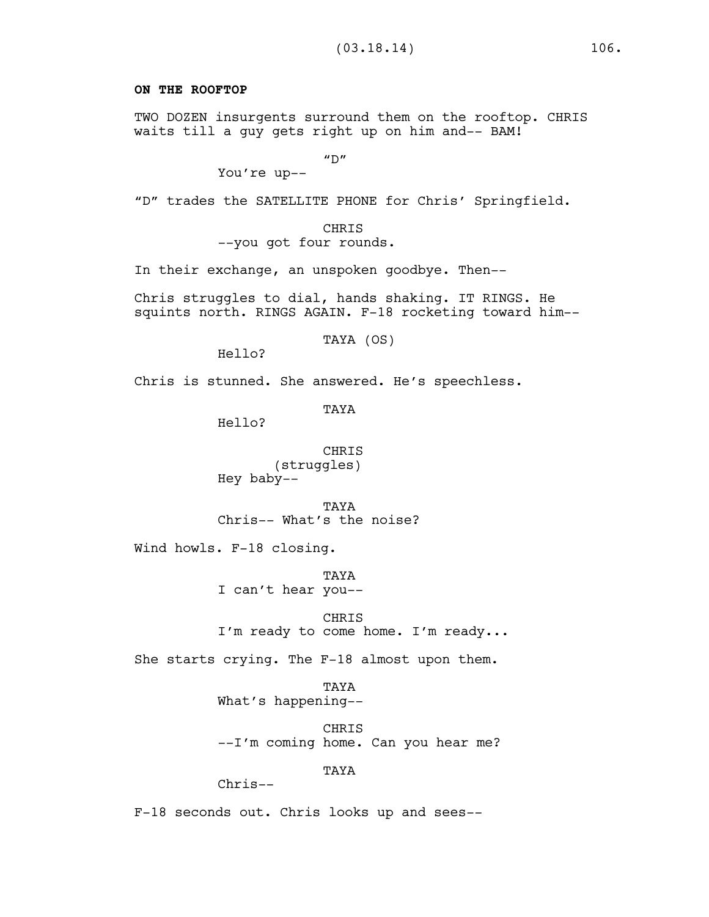# **ON THE ROOFTOP**

TWO DOZEN insurgents surround them on the rooftop. CHRIS waits till a guy gets right up on him and-- BAM!

 $''D''$ 

You're up--

"D" trades the SATELLITE PHONE for Chris' Springfield.

CHRIS --you got four rounds.

In their exchange, an unspoken goodbye. Then--

Chris struggles to dial, hands shaking. IT RINGS. He squints north. RINGS AGAIN. F-18 rocketing toward him--

TAYA (OS)

Hello?

Chris is stunned. She answered. He's speechless.

TAYA

Hello?

CHRIS (struggles) Hey baby--

**TAYA** Chris-- What's the noise?

Wind howls. F-18 closing.

TAYA I can't hear you--

CHRIS

I'm ready to come home. I'm ready...

She starts crying. The F-18 almost upon them.

TAYA What's happening--

CHRIS --I'm coming home. Can you hear me?

TAYA

Chris--

F-18 seconds out. Chris looks up and sees--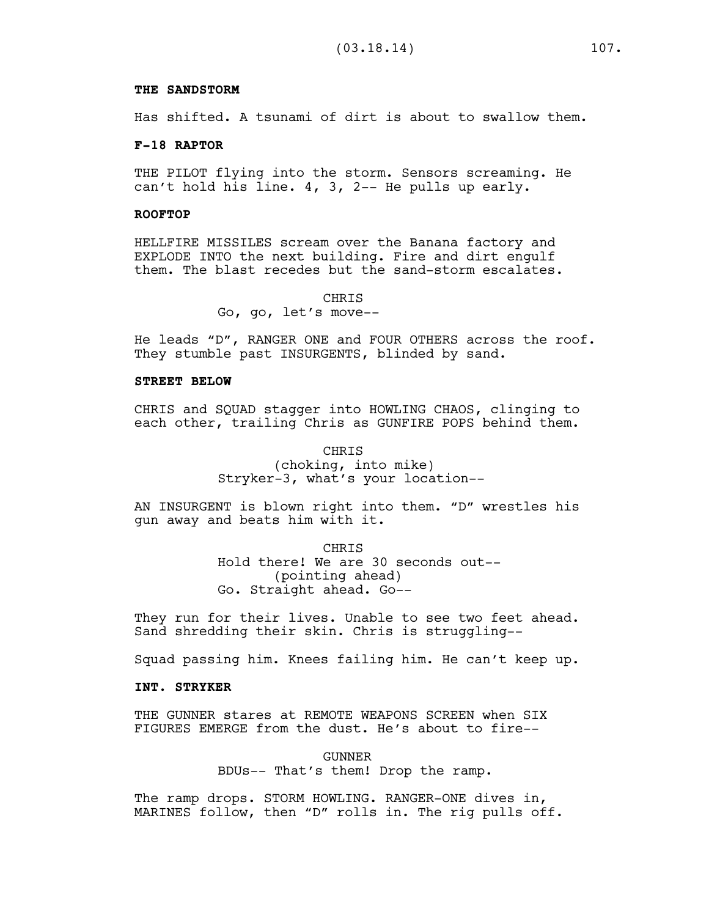#### **THE SANDSTORM**

Has shifted. A tsunami of dirt is about to swallow them.

#### **F-18 RAPTOR**

THE PILOT flying into the storm. Sensors screaming. He can't hold his line. 4, 3, 2-- He pulls up early.

### **ROOFTOP**

HELLFIRE MISSILES scream over the Banana factory and EXPLODE INTO the next building. Fire and dirt engulf them. The blast recedes but the sand-storm escalates.

> **CHRTS** Go, go, let's move--

He leads "D", RANGER ONE and FOUR OTHERS across the roof. They stumble past INSURGENTS, blinded by sand.

### **STREET BELOW**

CHRIS and SQUAD stagger into HOWLING CHAOS, clinging to each other, trailing Chris as GUNFIRE POPS behind them.

> CHRIS (choking, into mike) Stryker-3, what's your location--

AN INSURGENT is blown right into them. "D" wrestles his gun away and beats him with it.

> **CHRTS** Hold there! We are 30 seconds out-- (pointing ahead) Go. Straight ahead. Go--

They run for their lives. Unable to see two feet ahead. Sand shredding their skin. Chris is struggling--

Squad passing him. Knees failing him. He can't keep up.

### **INT. STRYKER**

THE GUNNER stares at REMOTE WEAPONS SCREEN when SIX FIGURES EMERGE from the dust. He's about to fire--

> GUNNER BDUs-- That's them! Drop the ramp.

The ramp drops. STORM HOWLING. RANGER-ONE dives in, MARINES follow, then "D" rolls in. The rig pulls off.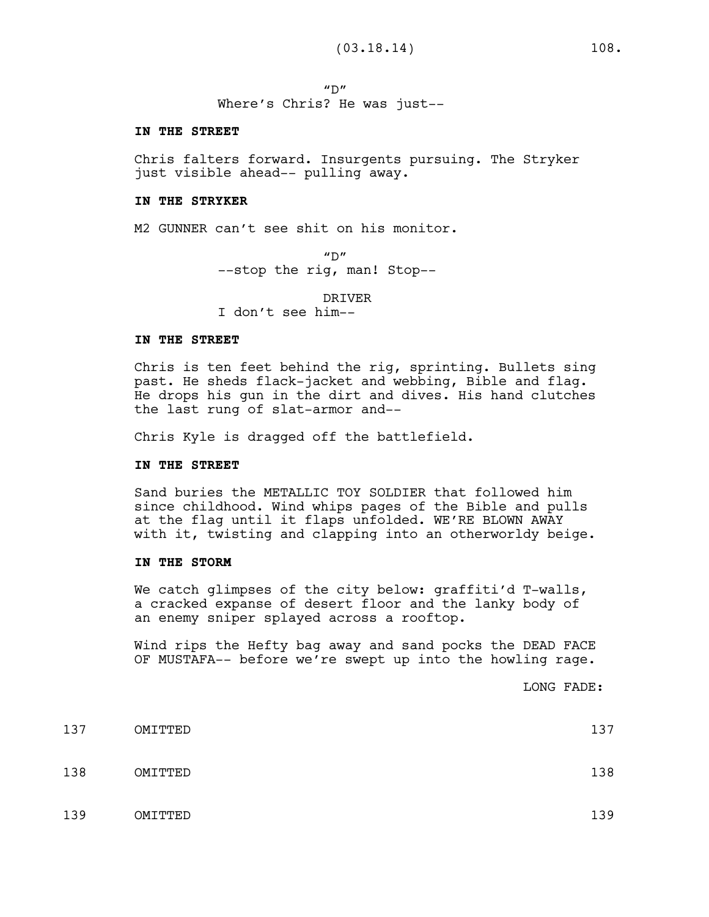$''D''$ Where's Chris? He was just--

#### **IN THE STREET**

Chris falters forward. Insurgents pursuing. The Stryker just visible ahead-- pulling away.

### **IN THE STRYKER**

M2 GUNNER can't see shit on his monitor.

 $"D"$ --stop the rig, man! Stop--

DRIVER

I don't see him--

### **IN THE STREET**

Chris is ten feet behind the rig, sprinting. Bullets sing past. He sheds flack-jacket and webbing, Bible and flag. He drops his gun in the dirt and dives. His hand clutches the last rung of slat-armor and--

Chris Kyle is dragged off the battlefield.

### **IN THE STREET**

Sand buries the METALLIC TOY SOLDIER that followed him since childhood. Wind whips pages of the Bible and pulls at the flag until it flaps unfolded. WE'RE BLOWN AWAY with it, twisting and clapping into an otherworldy beige.

### **IN THE STORM**

We catch glimpses of the city below: graffiti'd T-walls, a cracked expanse of desert floor and the lanky body of an enemy sniper splayed across a rooftop.

Wind rips the Hefty bag away and sand pocks the DEAD FACE OF MUSTAFA-- before we're swept up into the howling rage.

LONG FADE:

| 137 | OMITTED | 137 |
|-----|---------|-----|
| 138 | OMITTED | 138 |
| 139 | OMITTED | 139 |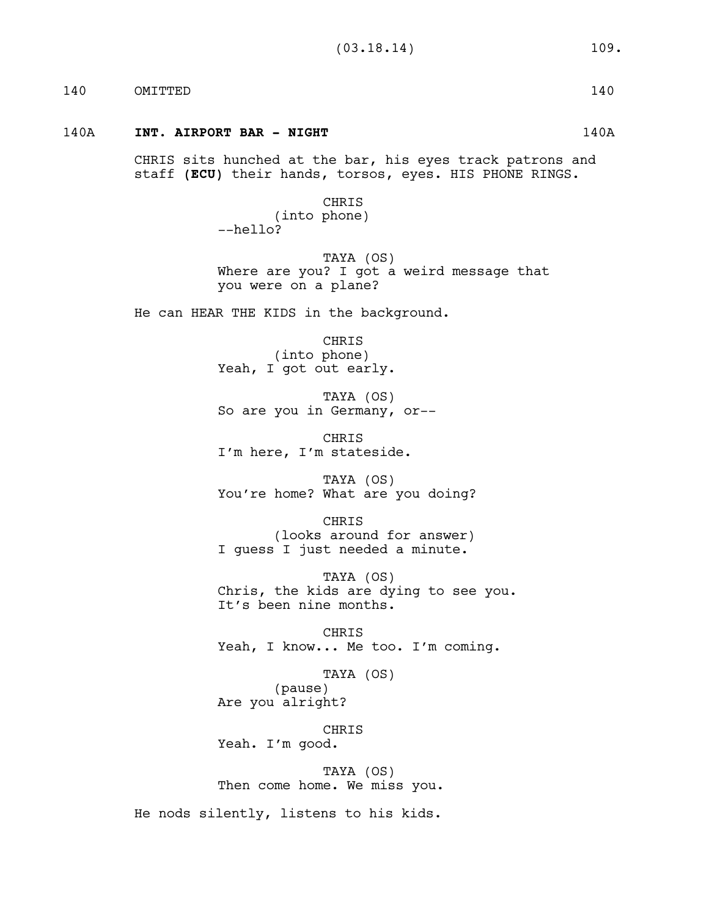140 OMITTED 140

### 140A **INT. AIRPORT BAR - NIGHT** 140A

CHRIS sits hunched at the bar, his eyes track patrons and staff **(ECU)** their hands, torsos, eyes. HIS PHONE RINGS.

> CHRIS (into phone) --hello?

TAYA (OS) Where are you? I got a weird message that you were on a plane?

He can HEAR THE KIDS in the background.

CHRIS (into phone) Yeah, I got out early.

TAYA (OS) So are you in Germany, or--

CHRIS I'm here, I'm stateside.

TAYA (OS) You're home? What are you doing?

CHRIS (looks around for answer) I guess I just needed a minute.

TAYA (OS) Chris, the kids are dying to see you. It's been nine months.

CHRIS Yeah, I know... Me too. I'm coming.

TAYA (OS) (pause) Are you alright?

CHRIS Yeah. I'm good.

TAYA (OS) Then come home. We miss you.

He nods silently, listens to his kids.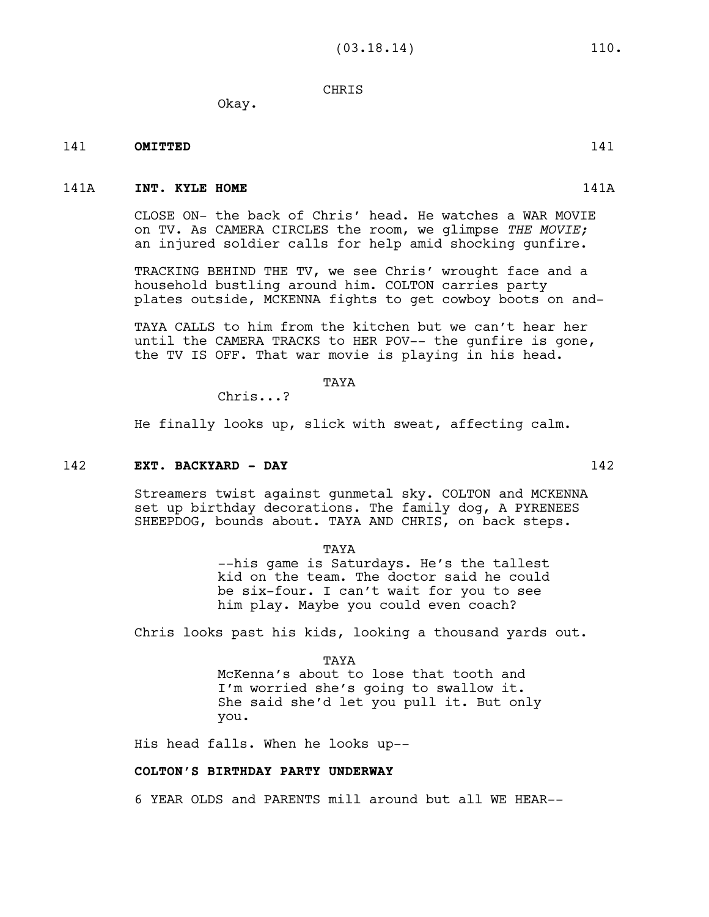# CHRIS

Okay.

# 141 **OMITTED** 141

### 141A **INT. KYLE HOME** 141A

CLOSE ON- the back of Chris' head. He watches a WAR MOVIE on TV. As CAMERA CIRCLES the room, we glimpse *THE MOVIE;* an injured soldier calls for help amid shocking gunfire.

TRACKING BEHIND THE TV, we see Chris' wrought face and a household bustling around him. COLTON carries party plates outside, MCKENNA fights to get cowboy boots on and-

TAYA CALLS to him from the kitchen but we can't hear her until the CAMERA TRACKS to HER POV-- the gunfire is gone, the TV IS OFF. That war movie is playing in his head.

TAYA

Chris...?

He finally looks up, slick with sweat, affecting calm.

### 142 **EXT. BACKYARD - DAY** 142

Streamers twist against gunmetal sky. COLTON and MCKENNA set up birthday decorations. The family dog, A PYRENEES SHEEPDOG, bounds about. TAYA AND CHRIS, on back steps.

TAYA

--his game is Saturdays. He's the tallest kid on the team. The doctor said he could be six-four. I can't wait for you to see him play. Maybe you could even coach?

Chris looks past his kids, looking a thousand yards out.

TAYA

McKenna's about to lose that tooth and I'm worried she's going to swallow it. She said she'd let you pull it. But only you.

His head falls. When he looks up--

# **COLTON'S BIRTHDAY PARTY UNDERWAY**

6 YEAR OLDS and PARENTS mill around but all WE HEAR--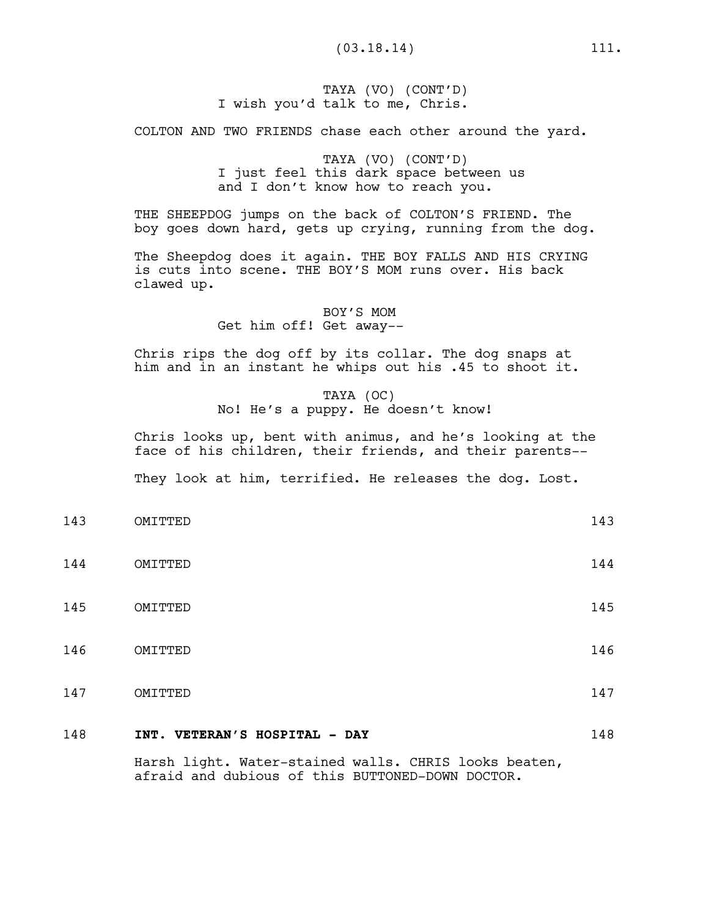TAYA (VO) (CONT'D) I wish you'd talk to me, Chris.

COLTON AND TWO FRIENDS chase each other around the yard.

TAYA (VO) (CONT'D) I just feel this dark space between us and I don't know how to reach you.

THE SHEEPDOG jumps on the back of COLTON'S FRIEND. The boy goes down hard, gets up crying, running from the dog.

The Sheepdog does it again. THE BOY FALLS AND HIS CRYING is cuts into scene. THE BOY'S MOM runs over. His back clawed up.

> BOY'S MOM Get him off! Get away--

Chris rips the dog off by its collar. The dog snaps at him and in an instant he whips out his .45 to shoot it.

> TAYA (OC) No! He's a puppy. He doesn't know!

Chris looks up, bent with animus, and he's looking at the face of his children, their friends, and their parents--

They look at him, terrified. He releases the dog. Lost.

- 143 OMITTED 143
- 144 OMITTED 144
- 145 OMITTED 145
- 146 OMITTED 146
- 147 OMITTED 147

# 148 **INT. VETERAN'S HOSPITAL - DAY** 148

Harsh light. Water-stained walls. CHRIS looks beaten, afraid and dubious of this BUTTONED-DOWN DOCTOR.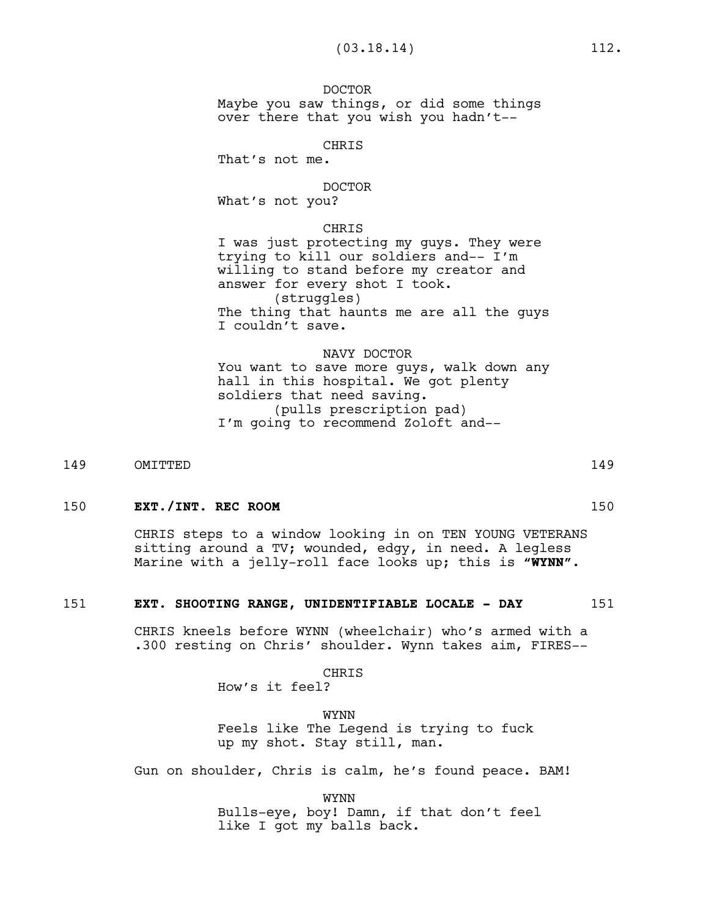DOCTOR Maybe you saw things, or did some things over there that you wish you hadn't--

CHRIS

That's not me.

#### DOCTOR

What's not you?

### CHRIS

I was just protecting my guys. They were trying to kill our soldiers and-- I'm willing to stand before my creator and answer for every shot I took. (struggles) The thing that haunts me are all the guys I couldn't save.

#### NAVY DOCTOR

You want to save more guys, walk down any hall in this hospital. We got plenty soldiers that need saving. (pulls prescription pad) I'm going to recommend Zoloft and--

149 OMITTED 149

# 150 **EXT./INT. REC ROOM** 150

CHRIS steps to a window looking in on TEN YOUNG VETERANS sitting around a TV; wounded, edgy, in need. A legless Marine with a jelly-roll face looks up; this is **"WYNN"**.

### 151 **EXT. SHOOTING RANGE, UNIDENTIFIABLE LOCALE - DAY** 151

CHRIS kneels before WYNN (wheelchair) who's armed with a .300 resting on Chris' shoulder. Wynn takes aim, FIRES--

**CHRIS** 

How's it feel?

WYNN Feels like The Legend is trying to fuck up my shot. Stay still, man.

Gun on shoulder, Chris is calm, he's found peace. BAM!

WYNN

Bulls-eye, boy! Damn, if that don't feel like I got my balls back.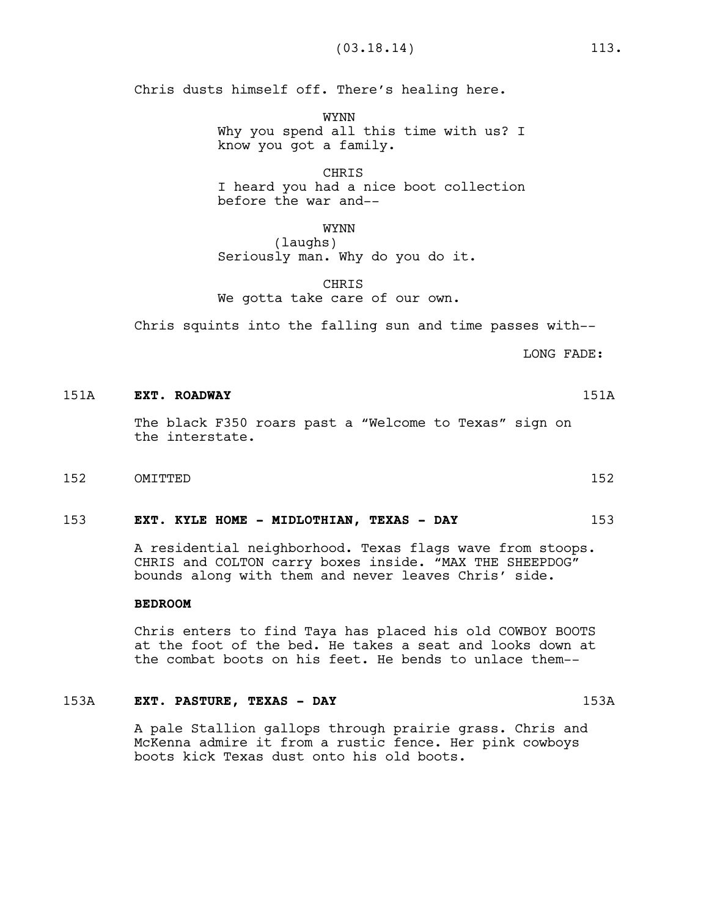Chris dusts himself off. There's healing here.

WYNN Why you spend all this time with us? I know you got a family.

CHRIS I heard you had a nice boot collection before the war and--

WYNN (laughs) Seriously man. Why do you do it.

CHRIS We gotta take care of our own.

Chris squints into the falling sun and time passes with--

LONG FADE:

### 151A **EXT. ROADWAY** 151A

The black F350 roars past a "Welcome to Texas" sign on the interstate.

152 OMITTED 152

### 153 **EXT. KYLE HOME - MIDLOTHIAN, TEXAS - DAY** 153

A residential neighborhood. Texas flags wave from stoops. CHRIS and COLTON carry boxes inside. "MAX THE SHEEPDOG" bounds along with them and never leaves Chris' side.

### **BEDROOM**

Chris enters to find Taya has placed his old COWBOY BOOTS at the foot of the bed. He takes a seat and looks down at the combat boots on his feet. He bends to unlace them--

### 153A **EXT. PASTURE, TEXAS - DAY** 153A

A pale Stallion gallops through prairie grass. Chris and McKenna admire it from a rustic fence. Her pink cowboys boots kick Texas dust onto his old boots.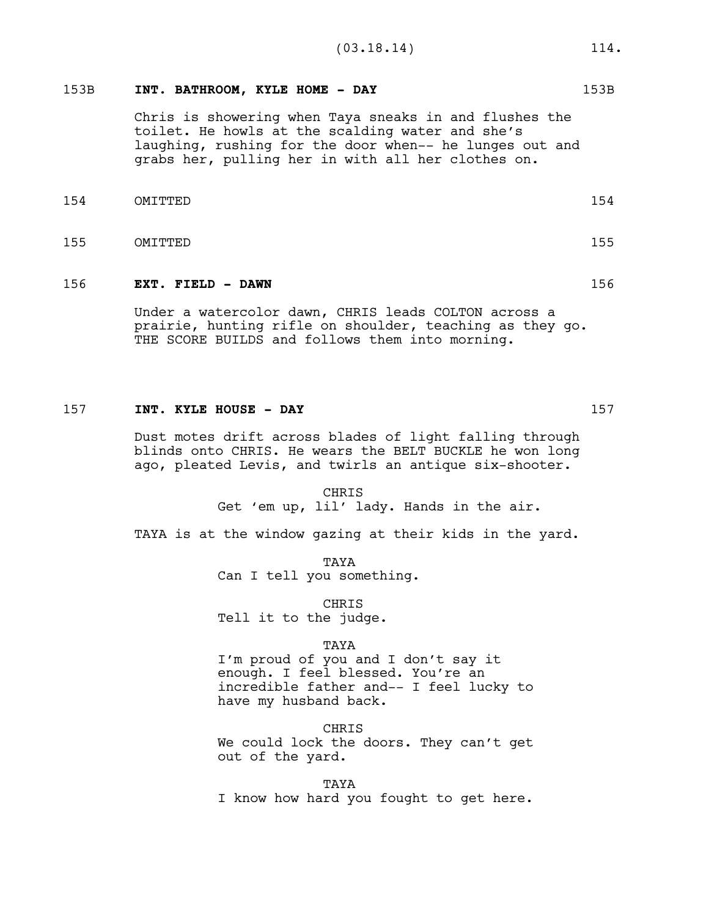# 153B **INT. BATHROOM, KYLE HOME - DAY** 153B

Chris is showering when Taya sneaks in and flushes the toilet. He howls at the scalding water and she's laughing, rushing for the door when-- he lunges out and grabs her, pulling her in with all her clothes on.

- 154 OMITTED 154
- 155 OMITTED 155

### 156 **EXT. FIELD - DAWN** 156

Under a watercolor dawn, CHRIS leads COLTON across a prairie, hunting rifle on shoulder, teaching as they go. THE SCORE BUILDS and follows them into morning.

### 157 **INT. KYLE HOUSE - DAY** 157

Dust motes drift across blades of light falling through blinds onto CHRIS. He wears the BELT BUCKLE he won long ago, pleated Levis, and twirls an antique six-shooter.

> CHRIS Get 'em up, lil' lady. Hands in the air.

TAYA is at the window gazing at their kids in the yard.

TAYA Can I tell you something.

CHRIS Tell it to the judge.

#### TAYA

I'm proud of you and I don't say it enough. I feel blessed. You're an incredible father and-- I feel lucky to have my husband back.

CHRIS We could lock the doors. They can't get out of the yard.

TAYA I know how hard you fought to get here.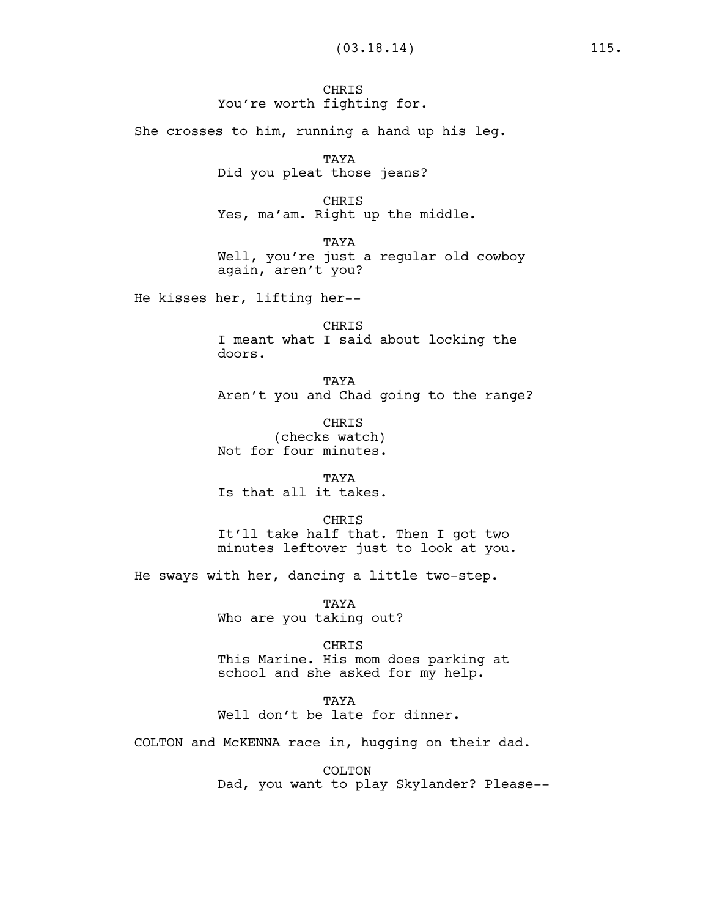# **CHRIS** You're worth fighting for.

She crosses to him, running a hand up his leg.

TAYA Did you pleat those jeans?

CHRIS Yes, ma'am. Right up the middle.

TAYA Well, you're just a regular old cowboy again, aren't you?

He kisses her, lifting her--

CHRIS I meant what I said about locking the doors.

TAYA Aren't you and Chad going to the range?

CHRIS (checks watch) Not for four minutes.

TAYA Is that all it takes.

CHRIS It'll take half that. Then I got two minutes leftover just to look at you.

He sways with her, dancing a little two-step.

TAYA Who are you taking out?

CHRIS This Marine. His mom does parking at school and she asked for my help.

**TAYA** Well don't be late for dinner.

COLTON and McKENNA race in, hugging on their dad.

COLTON Dad, you want to play Skylander? Please--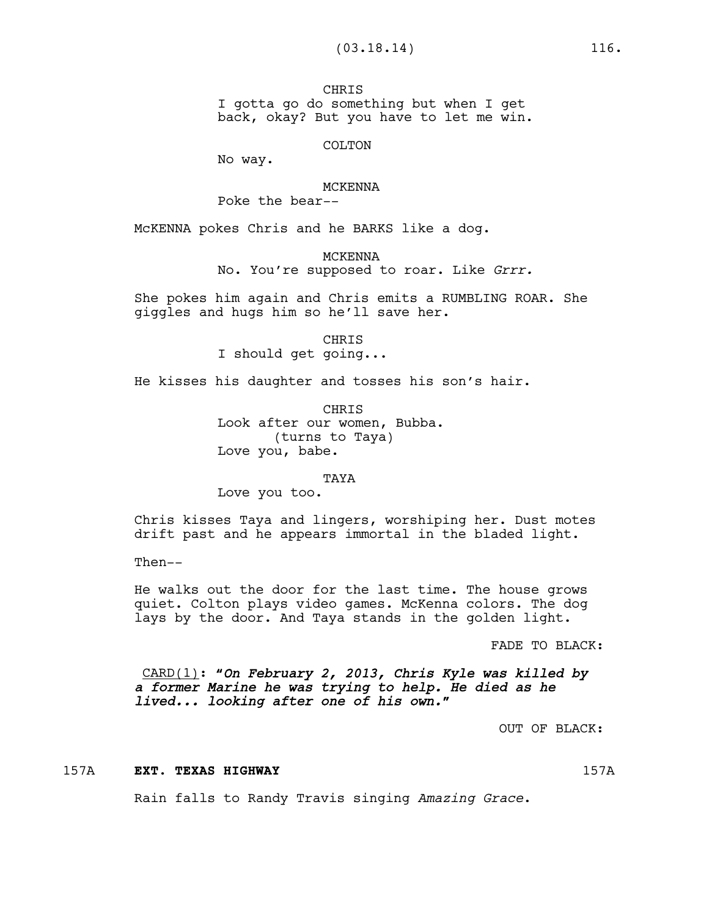**CHRTS** I gotta go do something but when I get back, okay? But you have to let me win.

COLTON

No way.

#### MCKENNA

Poke the bear--

McKENNA pokes Chris and he BARKS like a dog.

MCKENNA

No. You're supposed to roar. Like *Grrr.*

She pokes him again and Chris emits a RUMBLING ROAR. She giggles and hugs him so he'll save her.

> CHRIS I should get going...

He kisses his daughter and tosses his son's hair.

CHRIS Look after our women, Bubba. (turns to Taya) Love you, babe.

#### TAYA

Love you too.

Chris kisses Taya and lingers, worshiping her. Dust motes drift past and he appears immortal in the bladed light.

Then--

He walks out the door for the last time. The house grows quiet. Colton plays video games. McKenna colors. The dog lays by the door. And Taya stands in the golden light.

FADE TO BLACK:

CARD(1)**:** *"On February 2, 2013, Chris Kyle was killed by a former Marine he was trying to help. He died as he lived... looking after one of his own."*

OUT OF BLACK:

### 157A **EXT. TEXAS HIGHWAY** 157A

Rain falls to Randy Travis singing *Amazing Grace*.